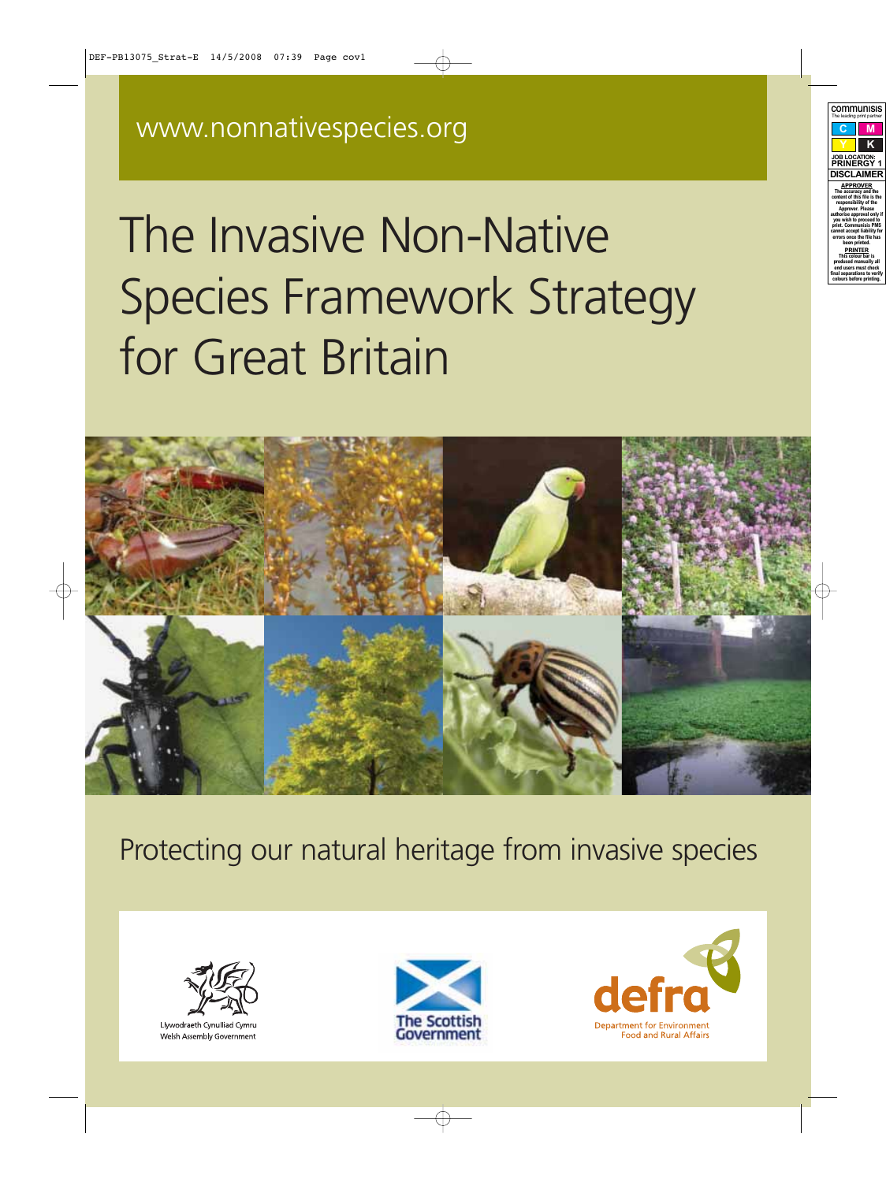# The Invasive Non-Native Species Framework Strategy for Great Britain



Protecting our natural heritage from invasive species



Llywodraeth Cynulliad Cymru Welsh Assembly Government



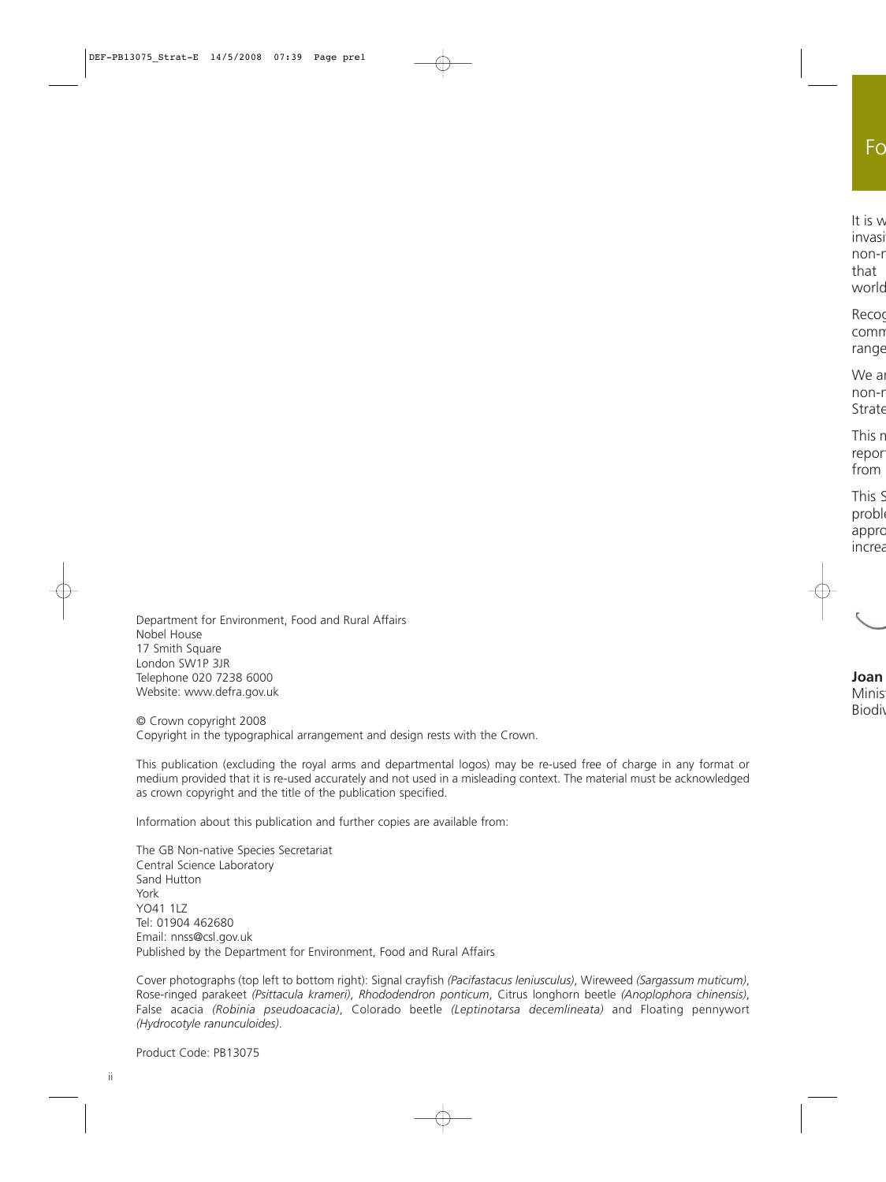Department for Environment, Food and Rural Affairs Nobel House 17 Smith Square London SW1P 3JR Telephone 020 7238 6000 Website[: www.defra.gov.uk](http://www.defra.gov.uk)

© Crown copyright 2008 Copyright in the typographical arrangement and design rests with the Crown.

This publication (excluding the royal arms and departmental logos) may be re-used free of charge in any format or medium provided that it is re-used accurately and not used in a misleading context. The material must be acknowledged as crown copyright and the title of the publication specified.

Information about this publication and further copies are available from:

The GB Non-native Species Secretariat Central Science Laboratory Sand Hutton York YO41 1I7 Tel: 01904 462680 Email[: nnss@csl.gov.uk](mailto:nnss@csl.gov.uk) Published by the Department for Environment, Food and Rural Affairs

Cover photographs (top left to bottom right): Signal crayfish *(Pacifastacus leniusculus)*, Wireweed *(Sargassum muticum)*, Rose-ringed parakeet *(Psittacula krameri)*, *Rhododendron ponticum*, Citrus longhorn beetle *(Anoplophora chinensis)*, False acacia *(Robinia pseudoacacia)*, Colorado beetle *(Leptinotarsa decemlineata)* and Floating pennywort *(Hydrocotyle ranunculoides)*.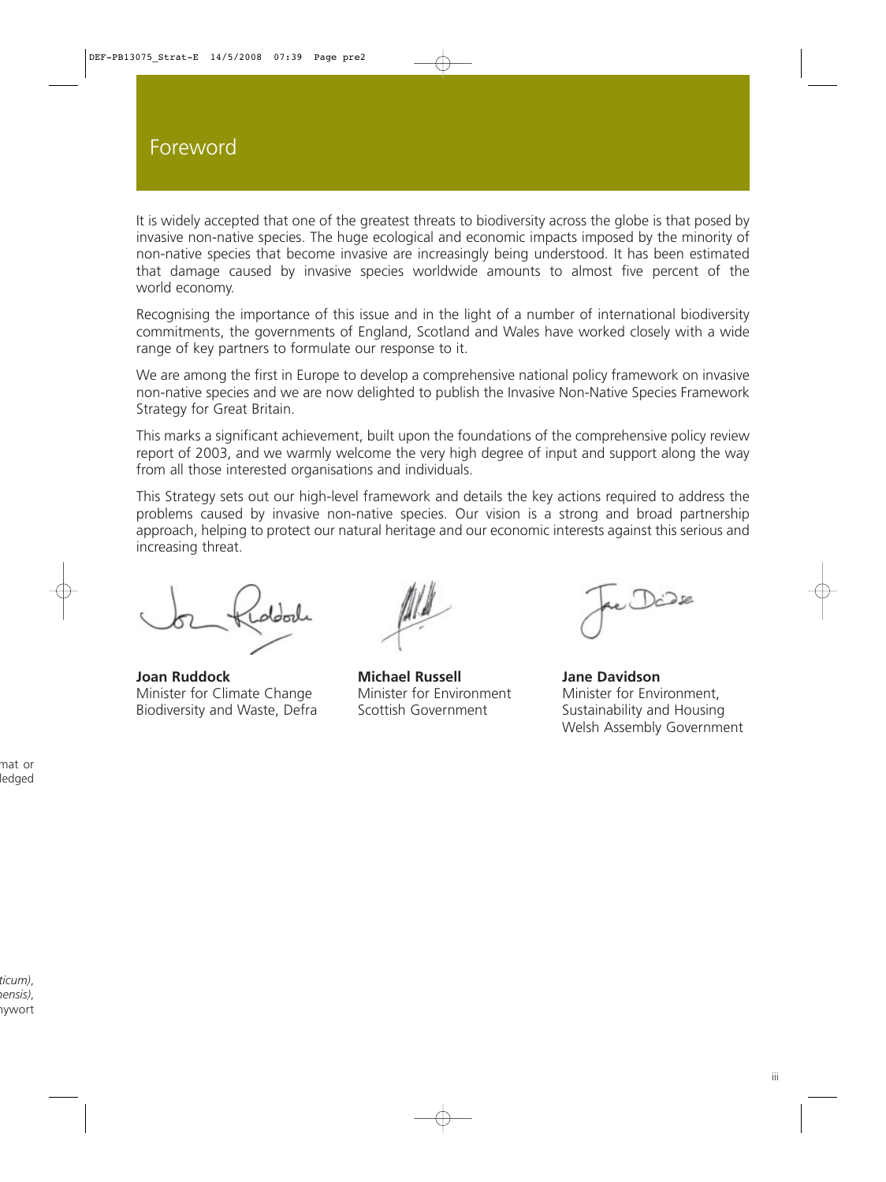It is widely accepted that one of the greatest threats to biodiversity across the globe is that posed by invasive non-native species. The huge ecological and economic impacts imposed by the minority of non-native species that become invasive are increasingly being understood. It has been estimated that damage caused by invasive species worldwide amounts to almost five percent of the world economy.

Recognising the importance of this issue and in the light of a number of international biodiversity commitments, the governments of England, Scotland and Wales have worked closely with a wide range of key partners to formulate our response to it.

We are among the first in Europe to develop a comprehensive national policy framework on invasive non-native species and we are now delighted to publish the Invasive Non-Native Species Framework Strategy for Great Britain.

This marks a significant achievement, built upon the foundations of the comprehensive policy review report of 2003, and we warmly welcome the very high degree of input and support along the way from all those interested organisations and individuals.

This Strategy sets out our high-level framework and details the key actions required to address the problems caused by invasive non-native species. Our vision is a strong and broad partnership approach, helping to protect our natural heritage and our economic interests against this serious and increasing threat.

**Joan Ruddock Michael Russell Jane Davidson** Minister for Climate Change Minister for Environment Minister for Environment, Biodiversity and Waste, Defra Scottish Government Sustainability and Housing

Welsh Assembly Government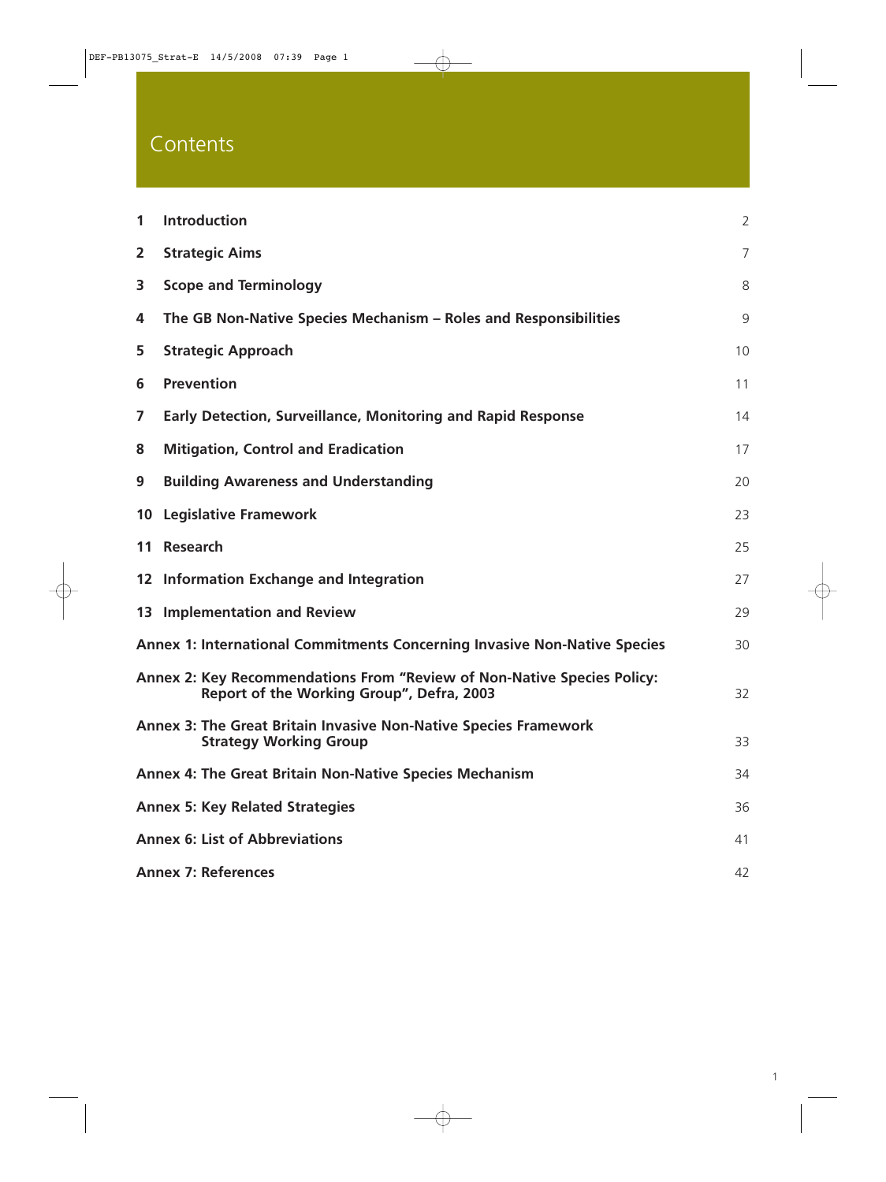# **Contents**

| $\mathbf{1}$                                                                                                         | <b>Introduction</b>                                                                               | $\overline{2}$ |
|----------------------------------------------------------------------------------------------------------------------|---------------------------------------------------------------------------------------------------|----------------|
| $\overline{2}$                                                                                                       | <b>Strategic Aims</b>                                                                             | $\overline{7}$ |
| 3                                                                                                                    | <b>Scope and Terminology</b>                                                                      | 8              |
| 4                                                                                                                    | The GB Non-Native Species Mechanism – Roles and Responsibilities                                  | 9              |
| 5                                                                                                                    | <b>Strategic Approach</b>                                                                         | 10             |
| 6                                                                                                                    | <b>Prevention</b>                                                                                 | 11             |
| 7                                                                                                                    | <b>Early Detection, Surveillance, Monitoring and Rapid Response</b>                               | 14             |
| 8                                                                                                                    | <b>Mitigation, Control and Eradication</b>                                                        | 17             |
| 9                                                                                                                    | <b>Building Awareness and Understanding</b>                                                       | 20             |
|                                                                                                                      | <b>10 Legislative Framework</b>                                                                   | 23             |
| 11                                                                                                                   | Research                                                                                          | 25             |
|                                                                                                                      | 12 Information Exchange and Integration                                                           | 27             |
|                                                                                                                      | 13 Implementation and Review                                                                      | 29             |
| <b>Annex 1: International Commitments Concerning Invasive Non-Native Species</b>                                     |                                                                                                   |                |
| Annex 2: Key Recommendations From "Review of Non-Native Species Policy:<br>Report of the Working Group", Defra, 2003 |                                                                                                   | 32             |
|                                                                                                                      | Annex 3: The Great Britain Invasive Non-Native Species Framework<br><b>Strategy Working Group</b> | 33             |
|                                                                                                                      | <b>Annex 4: The Great Britain Non-Native Species Mechanism</b>                                    | 34             |
| <b>Annex 5: Key Related Strategies</b>                                                                               |                                                                                                   |                |
| <b>Annex 6: List of Abbreviations</b>                                                                                |                                                                                                   |                |
| <b>Annex 7: References</b>                                                                                           |                                                                                                   |                |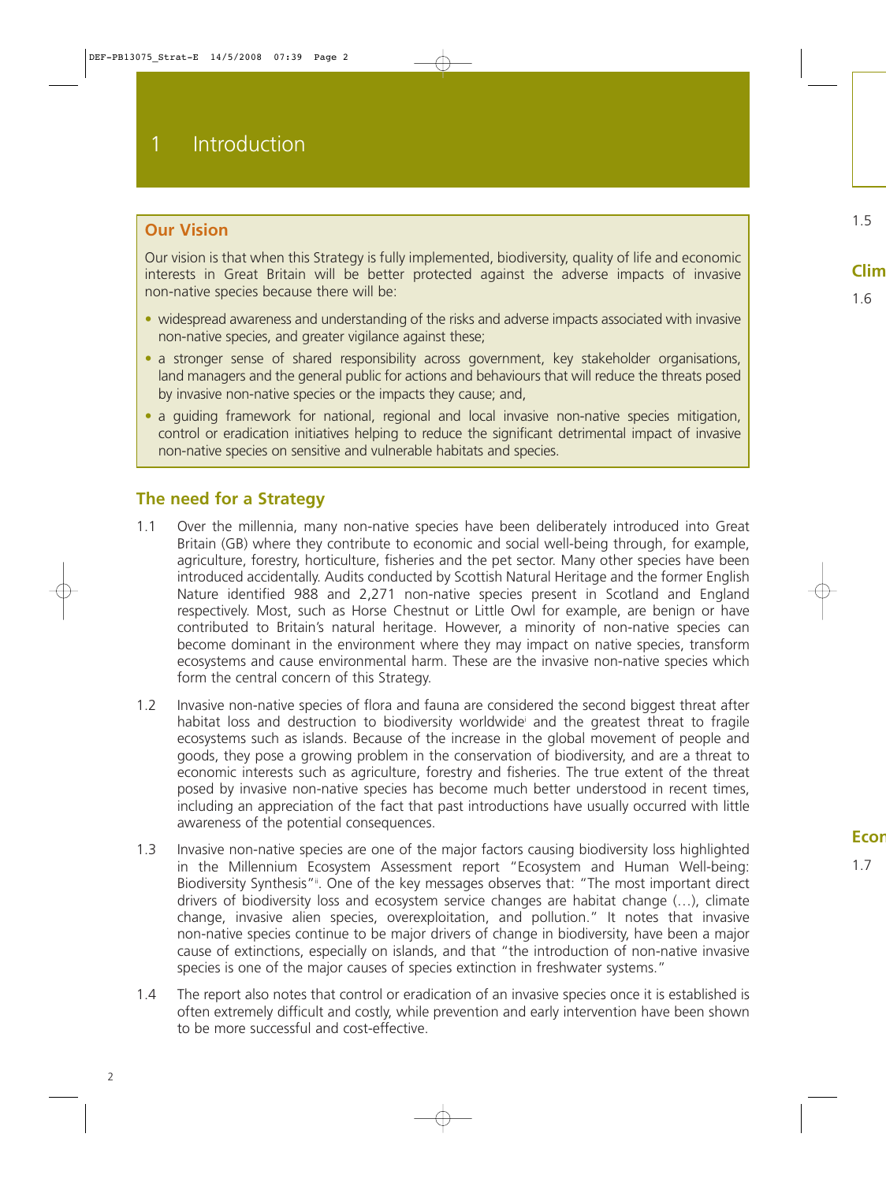## **Our Vision**

Our vision is that when this Strategy is fully implemented, biodiversity, quality of life and economic interests in Great Britain will be better protected against the adverse impacts of invasive non-native species because there will be:

- widespread awareness and understanding of the risks and adverse impacts associated with invasive non-native species, and greater vigilance against these;
- a stronger sense of shared responsibility across government, key stakeholder organisations, land managers and the general public for actions and behaviours that will reduce the threats posed by invasive non-native species or the impacts they cause; and,
- a quiding framework for national, regional and local invasive non-native species mitigation, control or eradication initiatives helping to reduce the significant detrimental impact of invasive non-native species on sensitive and vulnerable habitats and species.

## **The need for a Strategy**

- 1.1 Over the millennia, many non-native species have been deliberately introduced into Great Britain (GB) where they contribute to economic and social well-being through, for example, agriculture, forestry, horticulture, fisheries and the pet sector. Many other species have been introduced accidentally. Audits conducted by Scottish Natural Heritage and the former English Nature identified 988 and 2,271 non-native species present in Scotland and England respectively. Most, such as Horse Chestnut or Little Owl for example, are benign or have contributed to Britain's natural heritage. However, a minority of non-native species can become dominant in the environment where they may impact on native species, transform ecosystems and cause environmental harm. These are the invasive non-native species which form the central concern of this Strategy.
- 1.2 Invasive non-native species of flora and fauna are considered the second biggest threat after habitat loss and destruction to biodiversity worldwidei and the greatest threat to fragile ecosystems such as islands. Because of the increase in the global movement of people and goods, they pose a growing problem in the conservation of biodiversity, and are a threat to economic interests such as agriculture, forestry and fisheries. The true extent of the threat posed by invasive non-native species has become much better understood in recent times, including an appreciation of the fact that past introductions have usually occurred with little awareness of the potential consequences.
- 1.3 Invasive non-native species are one of the major factors causing biodiversity loss highlighted in the Millennium Ecosystem Assessment report "Ecosystem and Human Well-being: Biodiversity Synthesis"<sup>ii</sup>. One of the key messages observes that: "The most important direct drivers of biodiversity loss and ecosystem service changes are habitat change (…), climate change, invasive alien species, overexploitation, and pollution." It notes that invasive non-native species continue to be major drivers of change in biodiversity, have been a major cause of extinctions, especially on islands, and that "the introduction of non-native invasive species is one of the major causes of species extinction in freshwater systems."
- 1.4 The report also notes that control or eradication of an invasive species once it is established is often extremely difficult and costly, while prevention and early intervention have been shown to be more successful and cost-effective.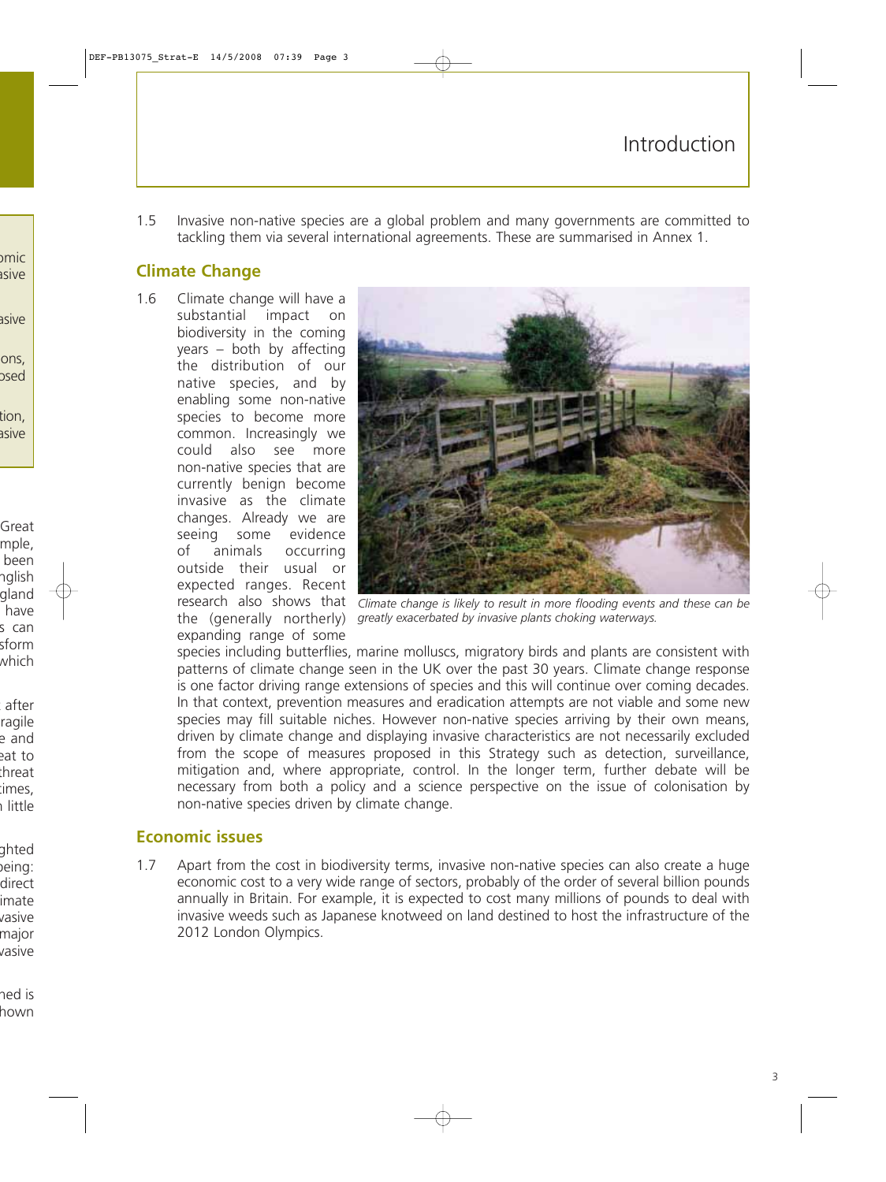1.5 Invasive non-native species are a global problem and many governments are committed to tackling them via several international agreements. These are summarised in Annex 1.

## **Climate Change**

1.6 Climate change will have a substantial impact on biodiversity in the coming years – both by affecting the distribution of our native species, and by enabling some non-native species to become more common. Increasingly we could also see more non-native species that are currently benign become invasive as the climate changes. Already we are seeing some evidence of animals occurring outside their usual or expected ranges. Recent expanding range of some



research also shows that *Climate change is likely to result in more flooding events and these can be* the (generally northerly) *greatly exacerbated by invasive plants choking waterways.*

species including butterflies, marine molluscs, migratory birds and plants are consistent with patterns of climate change seen in the UK over the past 30 years. Climate change response is one factor driving range extensions of species and this will continue over coming decades. In that context, prevention measures and eradication attempts are not viable and some new species may fill suitable niches. However non-native species arriving by their own means, driven by climate change and displaying invasive characteristics are not necessarily excluded from the scope of measures proposed in this Strategy such as detection, surveillance, mitigation and, where appropriate, control. In the longer term, further debate will be necessary from both a policy and a science perspective on the issue of colonisation by non-native species driven by climate change.

## **Economic issues**

1.7 Apart from the cost in biodiversity terms, invasive non-native species can also create a huge economic cost to a very wide range of sectors, probably of the order of several billion pounds annually in Britain. For example, it is expected to cost many millions of pounds to deal with invasive weeds such as Japanese knotweed on land destined to host the infrastructure of the 2012 London Olympics.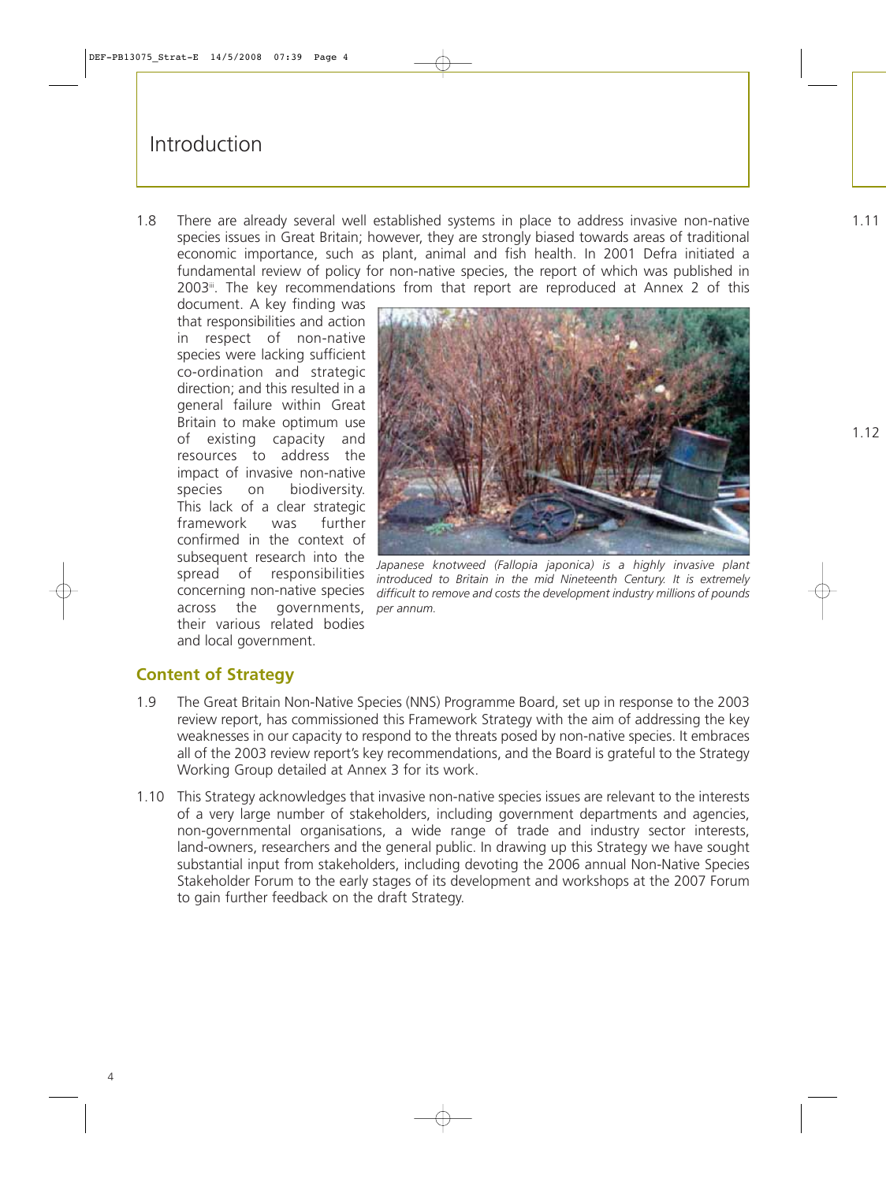1.8 There are already several well established systems in place to address invasive non-native species issues in Great Britain; however, they are strongly biased towards areas of traditional economic importance, such as plant, animal and fish health. In 2001 Defra initiated a fundamental review of policy for non-native species, the report of which was published in 2003<sup>ii</sup>. The key recommendations from that report are reproduced at Annex 2 of this

document. A key finding was that responsibilities and action in respect of non-native species were lacking sufficient co-ordination and strategic direction; and this resulted in a general failure within Great Britain to make optimum use of existing capacity and resources to address the impact of invasive non-native species on biodiversity. This lack of a clear strategic framework was further confirmed in the context of subsequent research into the spread of responsibilities concerning non-native species across the governments, *per annum.* their various related bodies and local government.



*Japanese knotweed (Fallopia japonica) is a highly invasive plant introduced to Britain in the mid Nineteenth Century. It is extremely difficult to remove and costs the development industry millions of pounds*

## **Content of Strategy**

- 1.9 The Great Britain Non-Native Species (NNS) Programme Board, set up in response to the 2003 review report, has commissioned this Framework Strategy with the aim of addressing the key weaknesses in our capacity to respond to the threats posed by non-native species. It embraces all of the 2003 review report's key recommendations, and the Board is grateful to the Strategy Working Group detailed at Annex 3 for its work.
- 1.10 This Strategy acknowledges that invasive non-native species issues are relevant to the interests of a very large number of stakeholders, including government departments and agencies, non-governmental organisations, a wide range of trade and industry sector interests, land-owners, researchers and the general public. In drawing up this Strategy we have sought substantial input from stakeholders, including devoting the 2006 annual Non-Native Species Stakeholder Forum to the early stages of its development and workshops at the 2007 Forum to gain further feedback on the draft Strategy.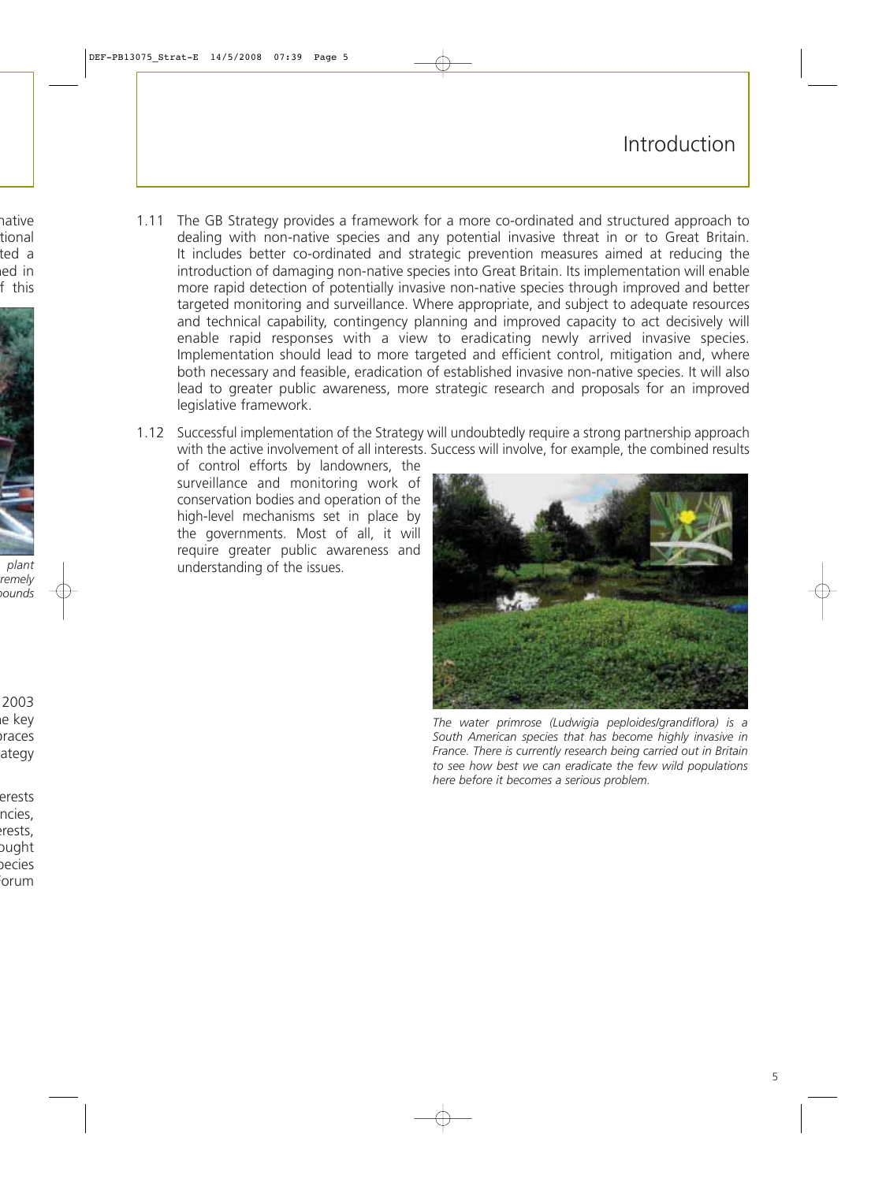## Introduction

- 1.11 The GB Strategy provides a framework for a more co-ordinated and structured approach to dealing with non-native species and any potential invasive threat in or to Great Britain. It includes better co-ordinated and strategic prevention measures aimed at reducing the introduction of damaging non-native species into Great Britain. Its implementation will enable more rapid detection of potentially invasive non-native species through improved and better targeted monitoring and surveillance. Where appropriate, and subject to adequate resources and technical capability, contingency planning and improved capacity to act decisively will enable rapid responses with a view to eradicating newly arrived invasive species. Implementation should lead to more targeted and efficient control, mitigation and, where both necessary and feasible, eradication of established invasive non-native species. It will also lead to greater public awareness, more strategic research and proposals for an improved legislative framework.
- 1.12 Successful implementation of the Strategy will undoubtedly require a strong partnership approach with the active involvement of all interests. Success will involve, for example, the combined results

of control efforts by landowners, the surveillance and monitoring work of conservation bodies and operation of the high-level mechanisms set in place by the governments. Most of all, it will require greater public awareness and understanding of the issues.



*The water primrose (Ludwigia peploides/grandiflora) is a South American species that has become highly invasive in France. There is currently research being carried out in Britain to see how best we can eradicate the few wild populations here before it becomes a serious problem.*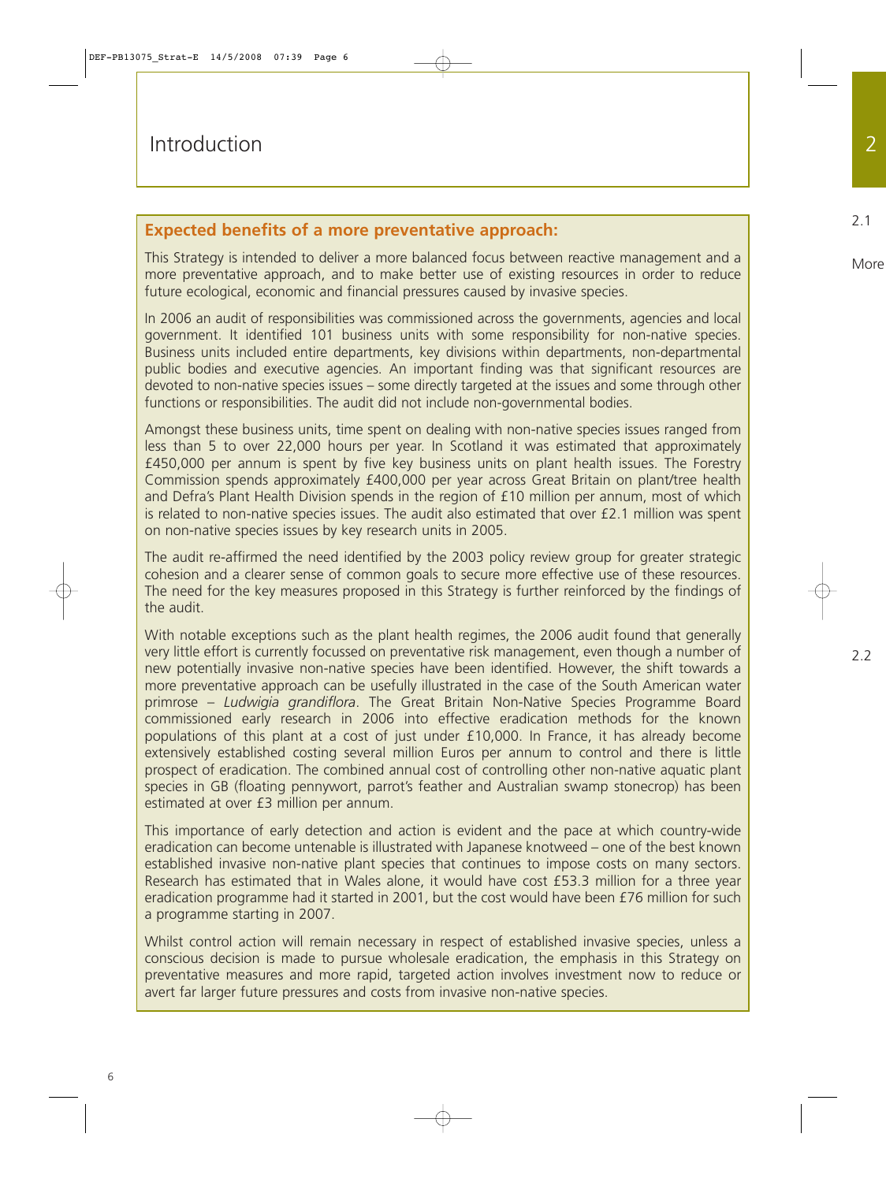## **Expected benefits of a more preventative approach:**

This Strategy is intended to deliver a more balanced focus between reactive management and a more preventative approach, and to make better use of existing resources in order to reduce future ecological, economic and financial pressures caused by invasive species.

In 2006 an audit of responsibilities was commissioned across the governments, agencies and local government. It identified 101 business units with some responsibility for non-native species. Business units included entire departments, key divisions within departments, non-departmental public bodies and executive agencies. An important finding was that significant resources are devoted to non-native species issues – some directly targeted at the issues and some through other functions or responsibilities. The audit did not include non-governmental bodies.

Amongst these business units, time spent on dealing with non-native species issues ranged from less than 5 to over 22,000 hours per year. In Scotland it was estimated that approximately £450,000 per annum is spent by five key business units on plant health issues. The Forestry Commission spends approximately £400,000 per year across Great Britain on plant/tree health and Defra's Plant Health Division spends in the region of £10 million per annum, most of which is related to non-native species issues. The audit also estimated that over £2.1 million was spent on non-native species issues by key research units in 2005.

The audit re-affirmed the need identified by the 2003 policy review group for greater strategic cohesion and a clearer sense of common goals to secure more effective use of these resources. The need for the key measures proposed in this Strategy is further reinforced by the findings of the audit.

With notable exceptions such as the plant health regimes, the 2006 audit found that generally very little effort is currently focussed on preventative risk management, even though a number of new potentially invasive non-native species have been identified. However, the shift towards a more preventative approach can be usefully illustrated in the case of the South American water primrose – *Ludwigia grandiflora*. The Great Britain Non-Native Species Programme Board commissioned early research in 2006 into effective eradication methods for the known populations of this plant at a cost of just under £10,000. In France, it has already become extensively established costing several million Euros per annum to control and there is little prospect of eradication. The combined annual cost of controlling other non-native aquatic plant species in GB (floating pennywort, parrot's feather and Australian swamp stonecrop) has been estimated at over £3 million per annum.

This importance of early detection and action is evident and the pace at which country-wide eradication can become untenable is illustrated with Japanese knotweed – one of the best known established invasive non-native plant species that continues to impose costs on many sectors. Research has estimated that in Wales alone, it would have cost £53.3 million for a three year eradication programme had it started in 2001, but the cost would have been £76 million for such a programme starting in 2007.

Whilst control action will remain necessary in respect of established invasive species, unless a conscious decision is made to pursue wholesale eradication, the emphasis in this Strategy on preventative measures and more rapid, targeted action involves investment now to reduce or avert far larger future pressures and costs from invasive non-native species.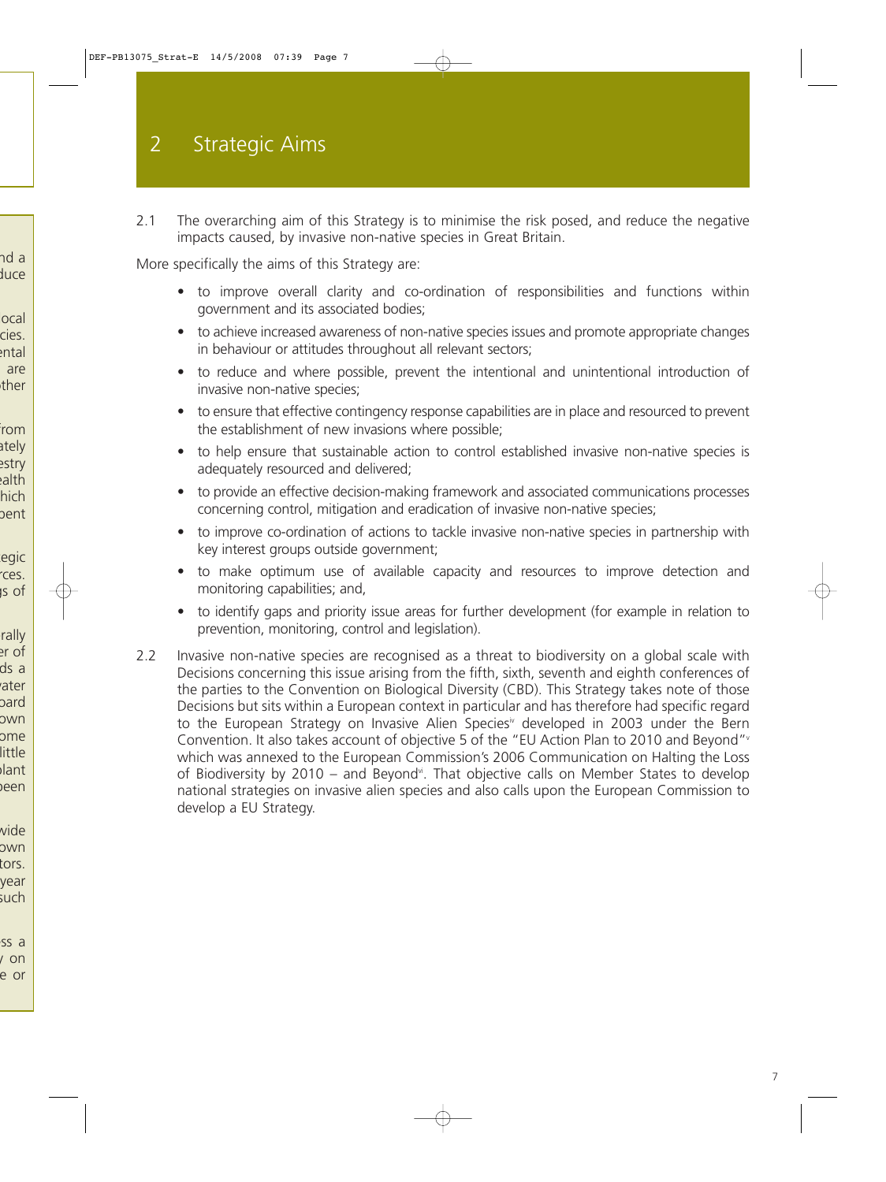2.1 The overarching aim of this Strategy is to minimise the risk posed, and reduce the negative impacts caused, by invasive non-native species in Great Britain.

More specifically the aims of this Strategy are:

- to improve overall clarity and co-ordination of responsibilities and functions within government and its associated bodies;
- to achieve increased awareness of non-native species issues and promote appropriate changes in behaviour or attitudes throughout all relevant sectors;
- to reduce and where possible, prevent the intentional and unintentional introduction of invasive non-native species;
- to ensure that effective contingency response capabilities are in place and resourced to prevent the establishment of new invasions where possible;
- to help ensure that sustainable action to control established invasive non-native species is adequately resourced and delivered;
- to provide an effective decision-making framework and associated communications processes concerning control, mitigation and eradication of invasive non-native species;
- to improve co-ordination of actions to tackle invasive non-native species in partnership with key interest groups outside government;
- to make optimum use of available capacity and resources to improve detection and monitoring capabilities; and,
- to identify gaps and priority issue areas for further development (for example in relation to prevention, monitoring, control and legislation).
- 2.2 Invasive non-native species are recognised as a threat to biodiversity on a global scale with Decisions concerning this issue arising from the fifth, sixth, seventh and eighth conferences of the parties to the Convention on Biological Diversity (CBD). This Strategy takes note of those Decisions but sits within a European context in particular and has therefore had specific regard to the European Strategy on Invasive Alien Species<sup>\*</sup> developed in 2003 under the Bern Convention. It also takes account of objective 5 of the "EU Action Plan to 2010 and Beyond"<sup>v</sup> which was annexed to the European Commission's 2006 Communication on Halting the Loss of Biodiversity by 2010 – and Beyond<sup>vi</sup>. That objective calls on Member States to develop national strategies on invasive alien species and also calls upon the European Commission to develop a EU Strategy.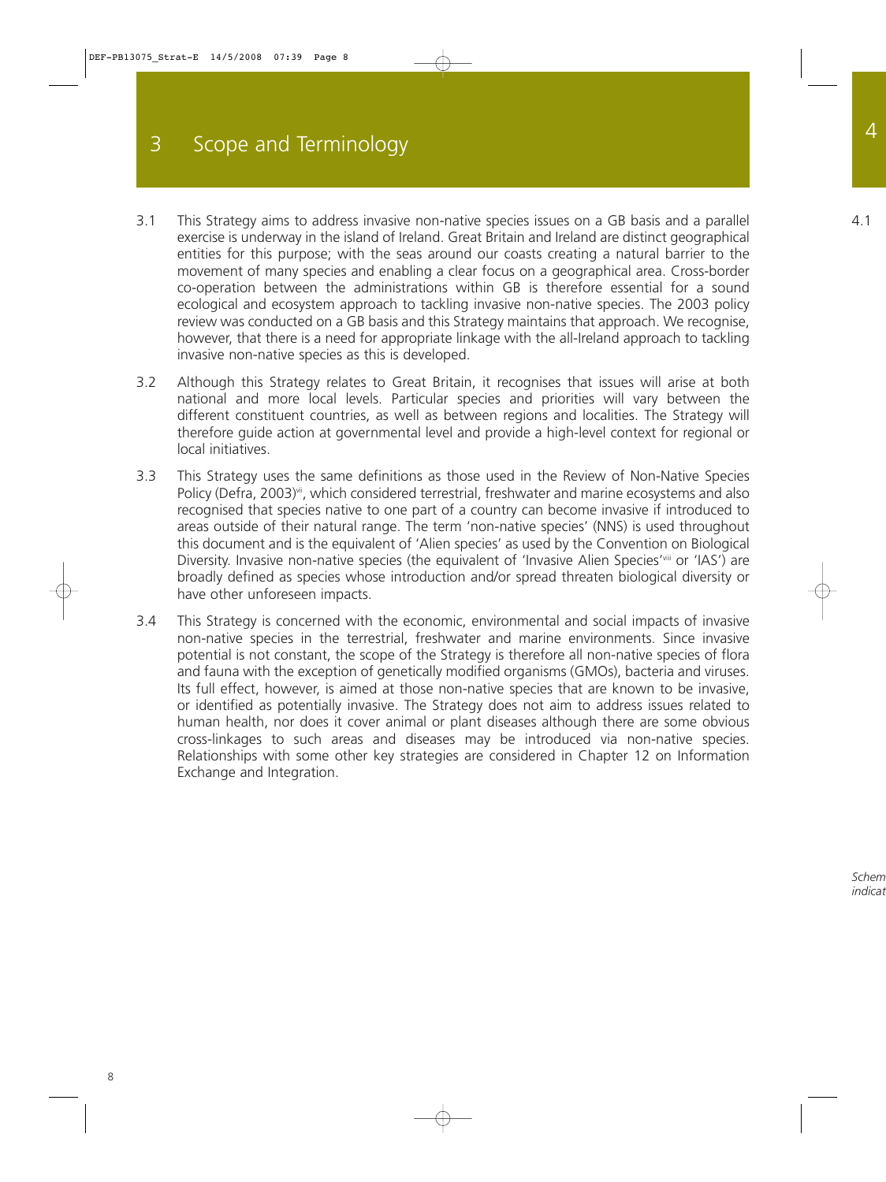- 3.1 This Strategy aims to address invasive non-native species issues on a GB basis and a parallel exercise is underway in the island of Ireland. Great Britain and Ireland are distinct geographical entities for this purpose; with the seas around our coasts creating a natural barrier to the movement of many species and enabling a clear focus on a geographical area. Cross-border co-operation between the administrations within GB is therefore essential for a sound ecological and ecosystem approach to tackling invasive non-native species. The 2003 policy review was conducted on a GB basis and this Strategy maintains that approach. We recognise, however, that there is a need for appropriate linkage with the all-Ireland approach to tackling invasive non-native species as this is developed.
- 3.2 Although this Strategy relates to Great Britain, it recognises that issues will arise at both national and more local levels. Particular species and priorities will vary between the different constituent countries, as well as between regions and localities. The Strategy will therefore guide action at governmental level and provide a high-level context for regional or local initiatives.
- 3.3 This Strategy uses the same definitions as those used in the Review of Non-Native Species Policy (Defra, 2003)<sup>vii</sup>, which considered terrestrial, freshwater and marine ecosystems and also recognised that species native to one part of a country can become invasive if introduced to areas outside of their natural range. The term 'non-native species' (NNS) is used throughout this document and is the equivalent of 'Alien species' as used by the Convention on Biological Diversity. Invasive non-native species (the equivalent of 'Invasive Alien Species'<sup>viii</sup> or 'IAS') are broadly defined as species whose introduction and/or spread threaten biological diversity or have other unforeseen impacts.
- 3.4 This Strategy is concerned with the economic, environmental and social impacts of invasive non-native species in the terrestrial, freshwater and marine environments. Since invasive potential is not constant, the scope of the Strategy is therefore all non-native species of flora and fauna with the exception of genetically modified organisms (GMOs), bacteria and viruses. Its full effect, however, is aimed at those non-native species that are known to be invasive, or identified as potentially invasive. The Strategy does not aim to address issues related to human health, nor does it cover animal or plant diseases although there are some obvious cross-linkages to such areas and diseases may be introduced via non-native species. Relationships with some other key strategies are considered in Chapter 12 on Information Exchange and Integration.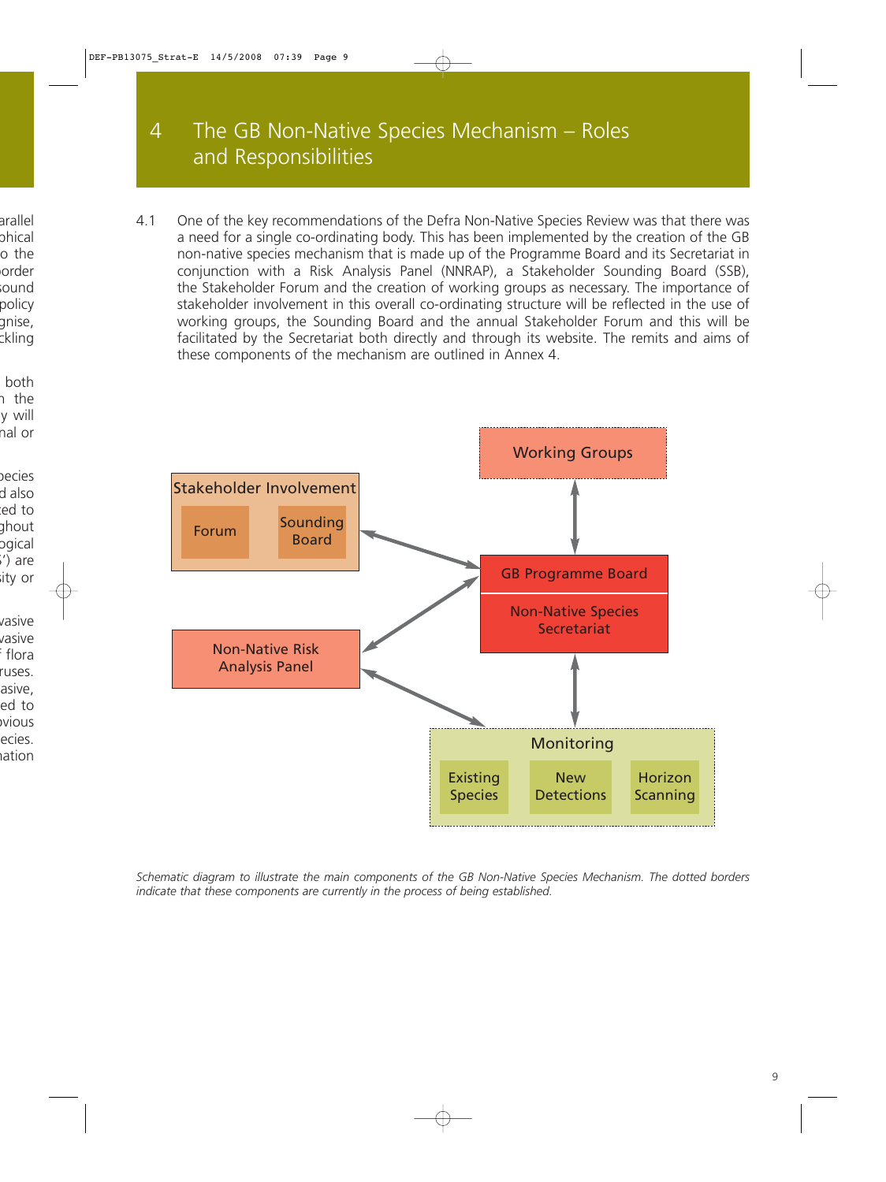# 4 The GB Non-Native Species Mechanism – Roles and Responsibilities

4.1 One of the key recommendations of the Defra Non-Native Species Review was that there was a need for a single co-ordinating body. This has been implemented by the creation of the GB non-native species mechanism that is made up of the Programme Board and its Secretariat in conjunction with a Risk Analysis Panel (NNRAP), a Stakeholder Sounding Board (SSB), the Stakeholder Forum and the creation of working groups as necessary. The importance of stakeholder involvement in this overall co-ordinating structure will be reflected in the use of working groups, the Sounding Board and the annual Stakeholder Forum and this will be facilitated by the Secretariat both directly and through its website. The remits and aims of these components of the mechanism are outlined in Annex 4.



*Schematic diagram to illustrate the main components of the GB Non-Native Species Mechanism. The dotted borders indicate that these components are currently in the process of being established.*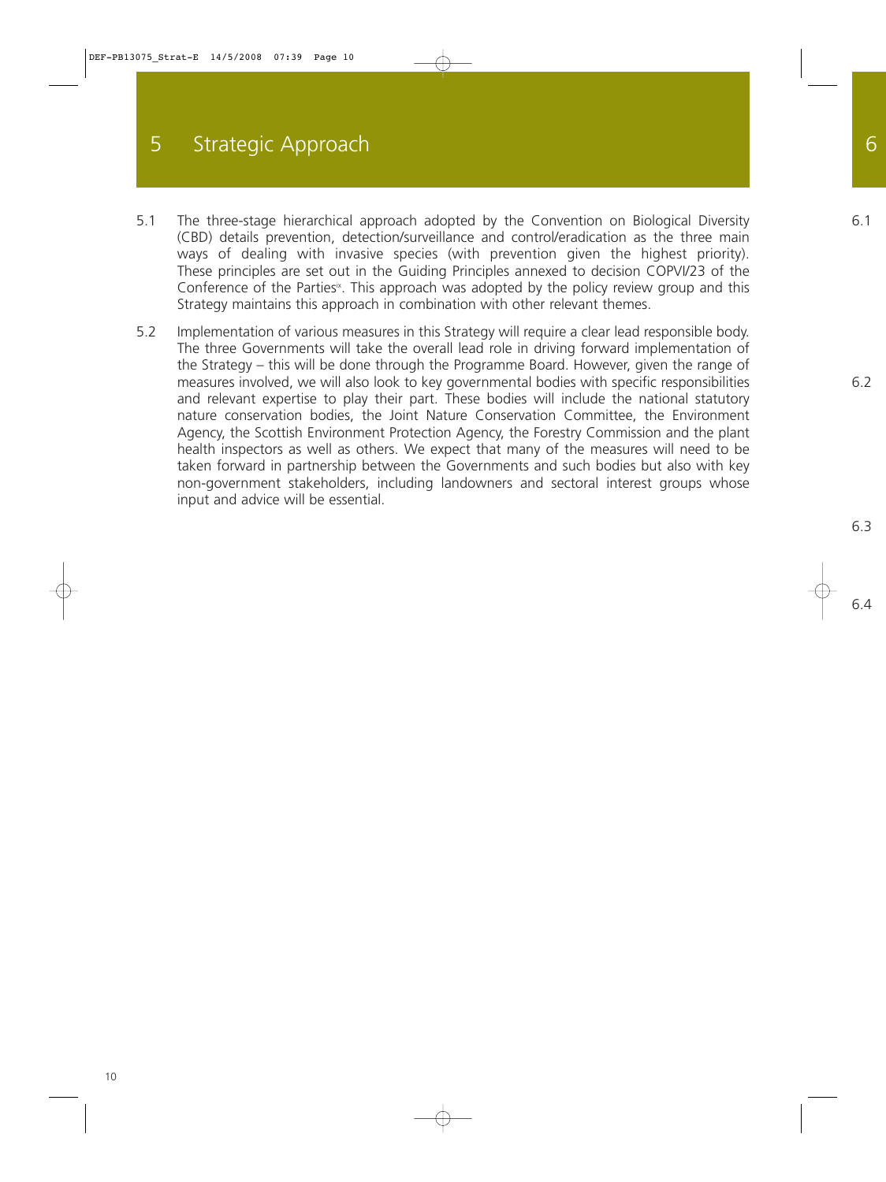# 5 Strategic Approach

- 5.1 The three-stage hierarchical approach adopted by the Convention on Biological Diversity (CBD) details prevention, detection/surveillance and control/eradication as the three main ways of dealing with invasive species (with prevention given the highest priority). These principles are set out in the Guiding Principles annexed to decision COPVI/23 of the Conference of the Parties<sup>\*</sup>. This approach was adopted by the policy review group and this Strategy maintains this approach in combination with other relevant themes.
- 5.2 Implementation of various measures in this Strategy will require a clear lead responsible body. The three Governments will take the overall lead role in driving forward implementation of the Strategy – this will be done through the Programme Board. However, given the range of measures involved, we will also look to key governmental bodies with specific responsibilities and relevant expertise to play their part. These bodies will include the national statutory nature conservation bodies, the Joint Nature Conservation Committee, the Environment Agency, the Scottish Environment Protection Agency, the Forestry Commission and the plant health inspectors as well as others. We expect that many of the measures will need to be taken forward in partnership between the Governments and such bodies but also with key non-government stakeholders, including landowners and sectoral interest groups whose input and advice will be essential.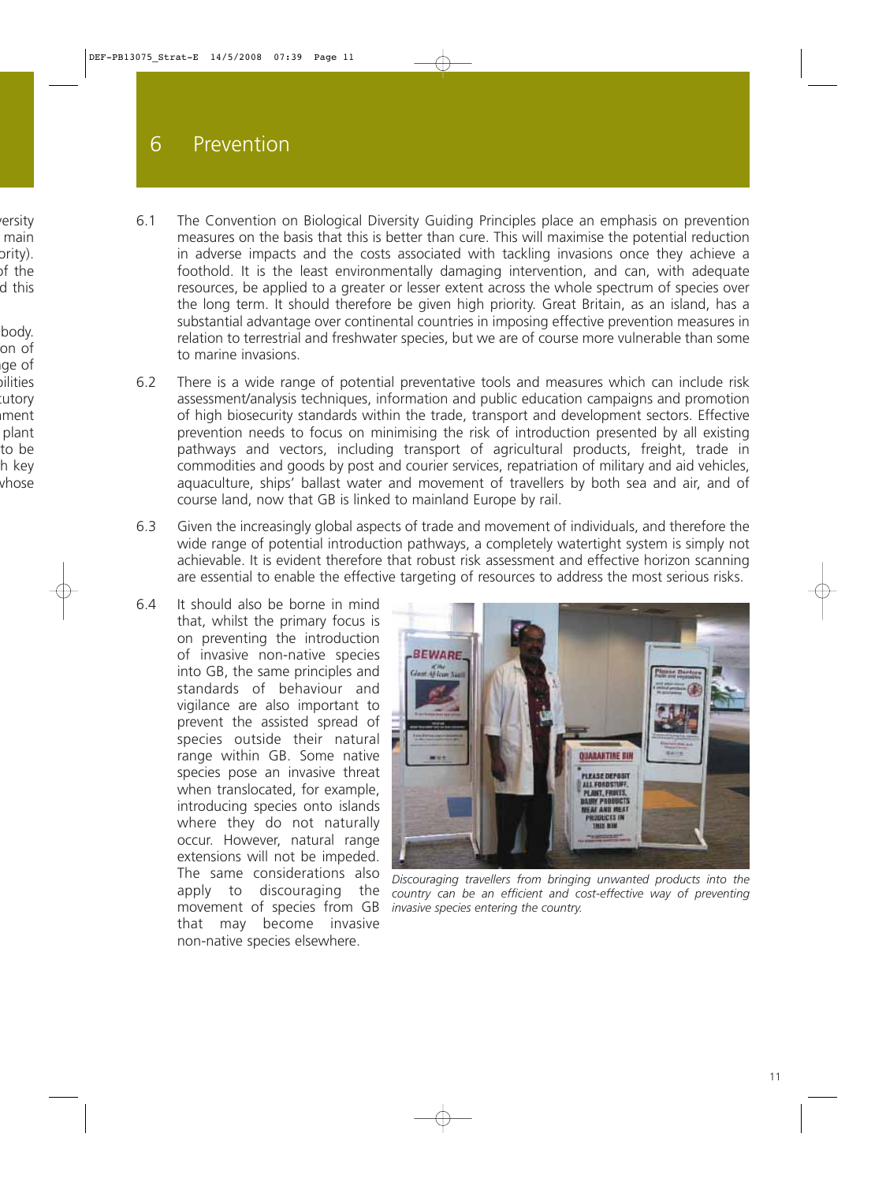- 6.1 The Convention on Biological Diversity Guiding Principles place an emphasis on prevention measures on the basis that this is better than cure. This will maximise the potential reduction in adverse impacts and the costs associated with tackling invasions once they achieve a foothold. It is the least environmentally damaging intervention, and can, with adequate resources, be applied to a greater or lesser extent across the whole spectrum of species over the long term. It should therefore be given high priority. Great Britain, as an island, has a substantial advantage over continental countries in imposing effective prevention measures in relation to terrestrial and freshwater species, but we are of course more vulnerable than some to marine invasions.
- 6.2 There is a wide range of potential preventative tools and measures which can include risk assessment/analysis techniques, information and public education campaigns and promotion of high biosecurity standards within the trade, transport and development sectors. Effective prevention needs to focus on minimising the risk of introduction presented by all existing pathways and vectors, including transport of agricultural products, freight, trade in commodities and goods by post and courier services, repatriation of military and aid vehicles, aquaculture, ships' ballast water and movement of travellers by both sea and air, and of course land, now that GB is linked to mainland Europe by rail.
- 6.3 Given the increasingly global aspects of trade and movement of individuals, and therefore the wide range of potential introduction pathways, a completely watertight system is simply not achievable. It is evident therefore that robust risk assessment and effective horizon scanning are essential to enable the effective targeting of resources to address the most serious risks.
- 6.4 It should also be borne in mind that, whilst the primary focus is on preventing the introduction of invasive non-native species into GB, the same principles and standards of behaviour and vigilance are also important to prevent the assisted spread of species outside their natural range within GB. Some native species pose an invasive threat when translocated, for example, introducing species onto islands where they do not naturally occur. However, natural range extensions will not be impeded. The same considerations also apply to discouraging the movement of species from GB that may become invasive non-native species elsewhere.



*Discouraging travellers from bringing unwanted products into the country can be an efficient and cost-effective way of preventing invasive species entering the country.*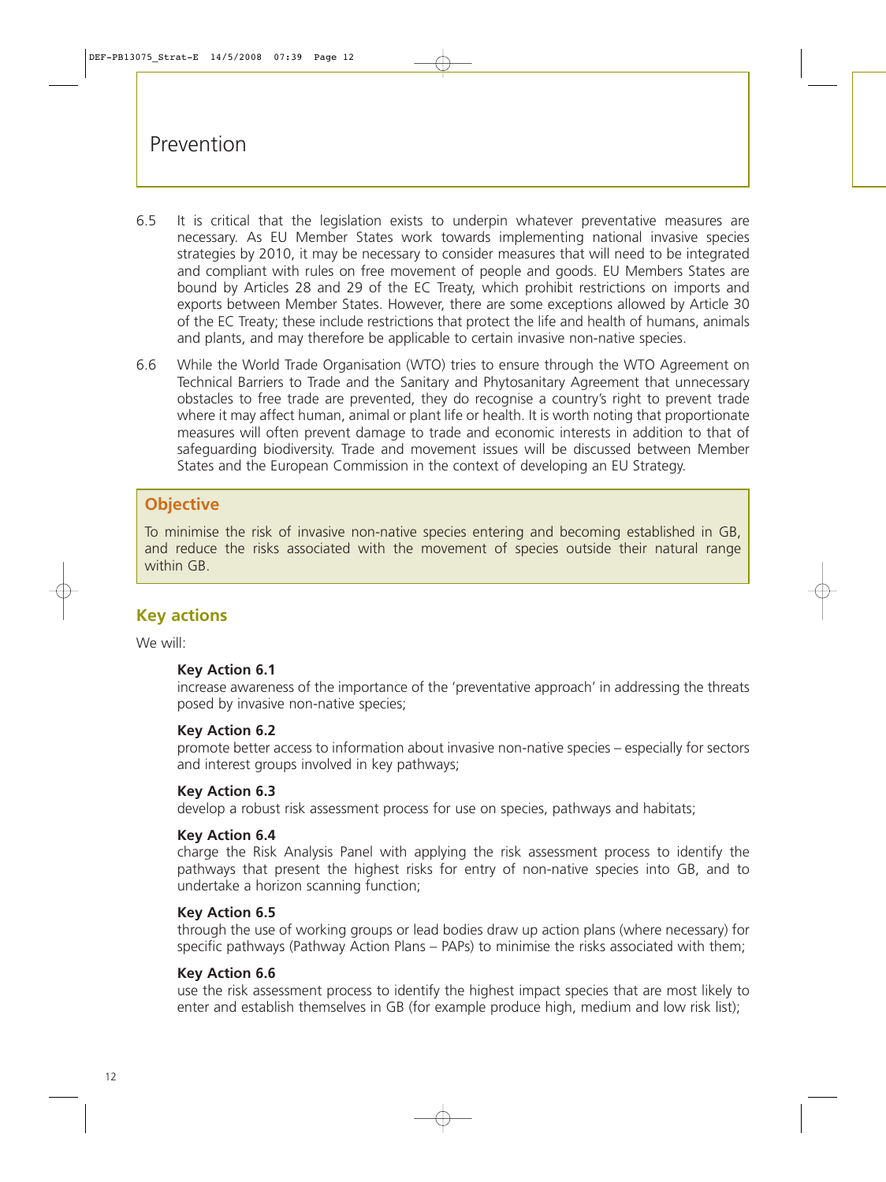- 6.5 It is critical that the legislation exists to underpin whatever preventative measures are necessary. As EU Member States work towards implementing national invasive species strategies by 2010, it may be necessary to consider measures that will need to be integrated and compliant with rules on free movement of people and goods. EU Members States are bound by Articles 28 and 29 of the EC Treaty, which prohibit restrictions on imports and exports between Member States. However, there are some exceptions allowed by Article 30 of the EC Treaty; these include restrictions that protect the life and health of humans, animals and plants, and may therefore be applicable to certain invasive non-native species.
- 6.6 While the World Trade Organisation (WTO) tries to ensure through the WTO Agreement on Technical Barriers to Trade and the Sanitary and Phytosanitary Agreement that unnecessary obstacles to free trade are prevented, they do recognise a country's right to prevent trade where it may affect human, animal or plant life or health. It is worth noting that proportionate measures will often prevent damage to trade and economic interests in addition to that of safeguarding biodiversity. Trade and movement issues will be discussed between Member States and the European Commission in the context of developing an EU Strategy.

## **Objective**

To minimise the risk of invasive non-native species entering and becoming established in GB, and reduce the risks associated with the movement of species outside their natural range within GB

## **Key actions**

We will:

#### **Key Action 6.1**

increase awareness of the importance of the 'preventative approach' in addressing the threats posed by invasive non-native species;

#### **Key Action 6.2**

promote better access to information about invasive non-native species – especially for sectors and interest groups involved in key pathways;

#### **Key Action 6.3**

develop a robust risk assessment process for use on species, pathways and habitats;

#### **Key Action 6.4**

charge the Risk Analysis Panel with applying the risk assessment process to identify the pathways that present the highest risks for entry of non-native species into GB, and to undertake a horizon scanning function;

#### **Key Action 6.5**

through the use of working groups or lead bodies draw up action plans (where necessary) for specific pathways (Pathway Action Plans – PAPs) to minimise the risks associated with them;

#### **Key Action 6.6**

use the risk assessment process to identify the highest impact species that are most likely to enter and establish themselves in GB (for example produce high, medium and low risk list);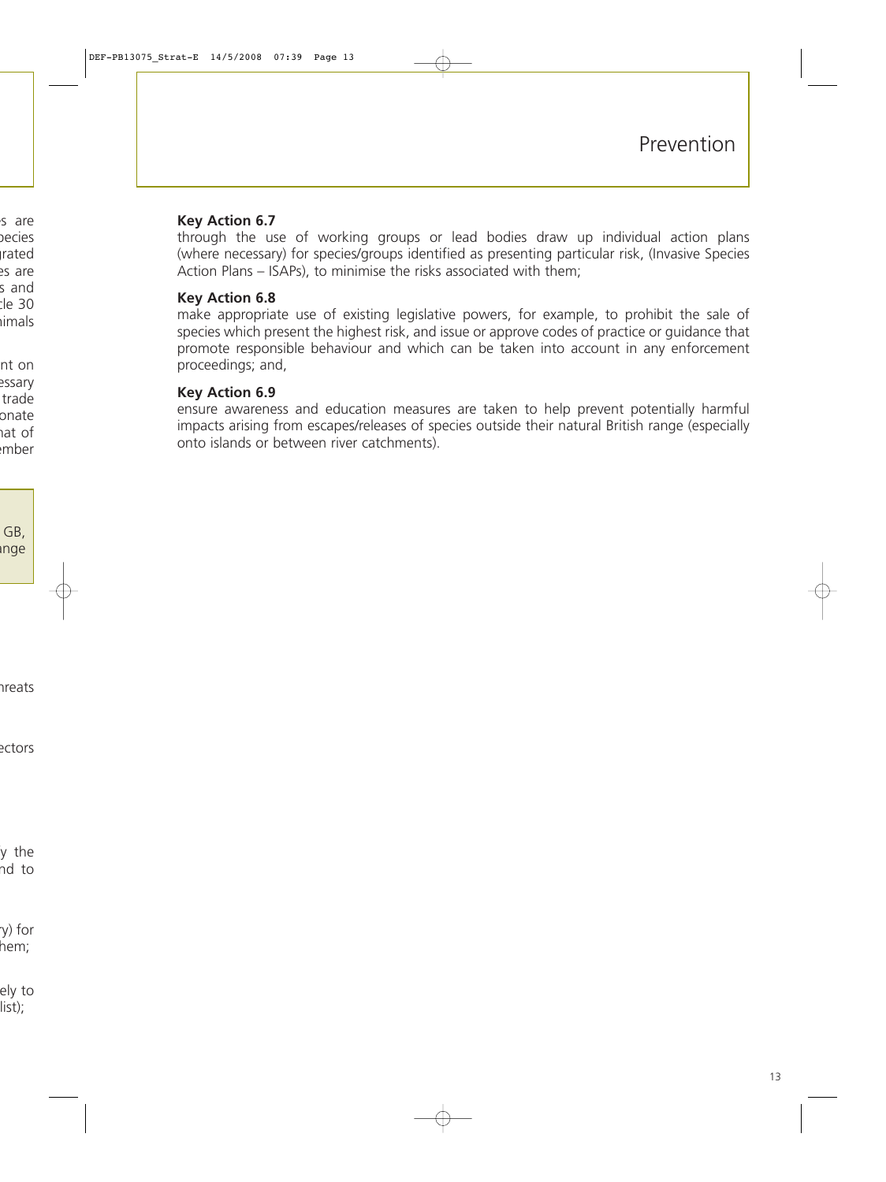#### **Key Action 6.7**

through the use of working groups or lead bodies draw up individual action plans (where necessary) for species/groups identified as presenting particular risk, (Invasive Species Action Plans – ISAPs), to minimise the risks associated with them;

#### **Key Action 6.8**

make appropriate use of existing legislative powers, for example, to prohibit the sale of species which present the highest risk, and issue or approve codes of practice or guidance that promote responsible behaviour and which can be taken into account in any enforcement proceedings; and,

#### **Key Action 6.9**

ensure awareness and education measures are taken to help prevent potentially harmful impacts arising from escapes/releases of species outside their natural British range (especially onto islands or between river catchments).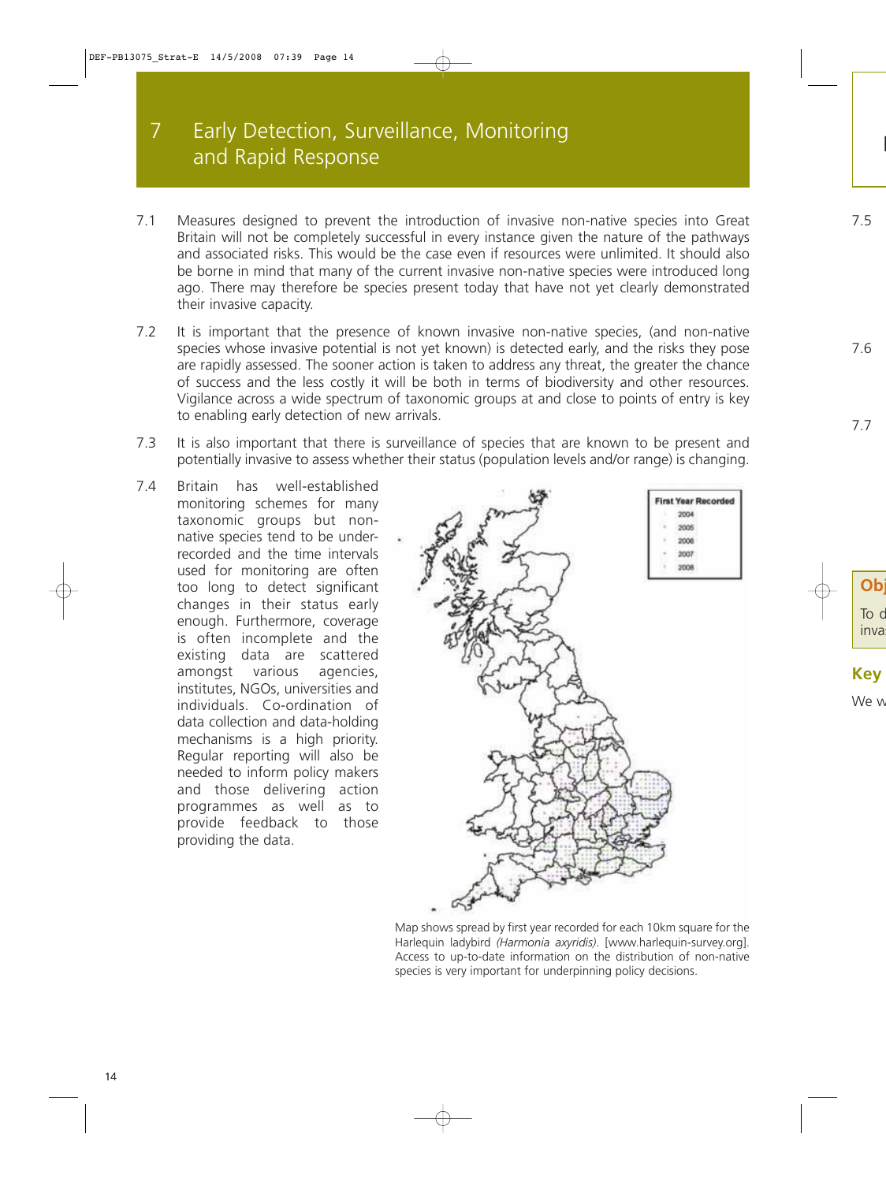# 7 Early Detection, Surveillance, Monitoring and Rapid Response

- 7.1 Measures designed to prevent the introduction of invasive non-native species into Great Britain will not be completely successful in every instance given the nature of the pathways and associated risks. This would be the case even if resources were unlimited. It should also be borne in mind that many of the current invasive non-native species were introduced long ago. There may therefore be species present today that have not yet clearly demonstrated their invasive capacity.
- 7.2 It is important that the presence of known invasive non-native species, (and non-native species whose invasive potential is not yet known) is detected early, and the risks they pose are rapidly assessed. The sooner action is taken to address any threat, the greater the chance of success and the less costly it will be both in terms of biodiversity and other resources. Vigilance across a wide spectrum of taxonomic groups at and close to points of entry is key to enabling early detection of new arrivals.
- 7.3 It is also important that there is surveillance of species that are known to be present and potentially invasive to assess whether their status (population levels and/or range) is changing.
- 7.4 Britain has well-established monitoring schemes for many taxonomic groups but nonnative species tend to be underrecorded and the time intervals used for monitoring are often too long to detect significant changes in their status early enough. Furthermore, coverage is often incomplete and the existing data are scattered amongst various agencies, institutes, NGOs, universities and individuals. Co-ordination of data collection and data-holding mechanisms is a high priority. Regular reporting will also be needed to inform policy makers and those delivering action programmes as well as to provide feedback to those providing the data.



Map shows spread by first year recorded for each 10km square for the Harlequin ladybird *(Harmonia axyridis)*. [\[www.harlequin-survey.org\]](http://www.harlequin-survey.org). Access to up-to-date information on the distribution of non-native species is very important for underpinning policy decisions.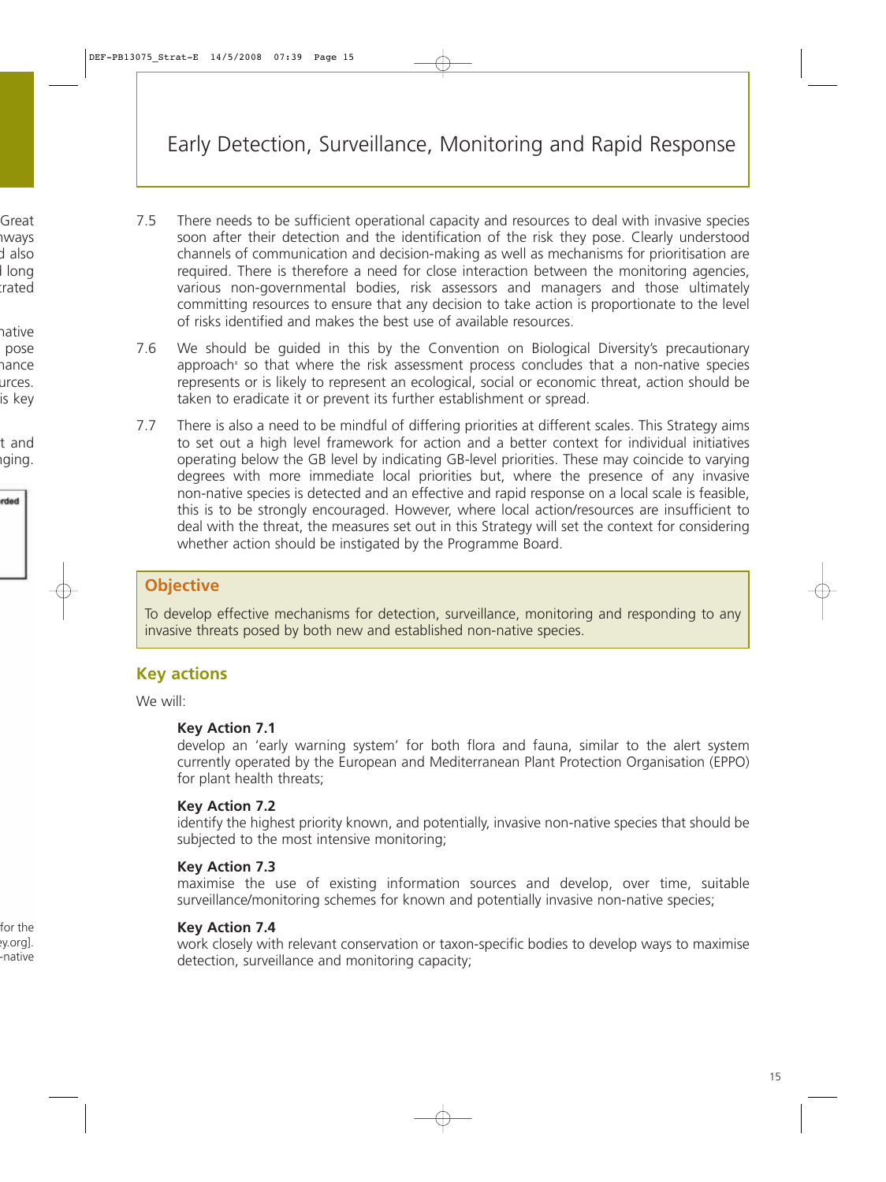- 7.5 There needs to be sufficient operational capacity and resources to deal with invasive species soon after their detection and the identification of the risk they pose. Clearly understood channels of communication and decision-making as well as mechanisms for prioritisation are required. There is therefore a need for close interaction between the monitoring agencies, various non-governmental bodies, risk assessors and managers and those ultimately committing resources to ensure that any decision to take action is proportionate to the level of risks identified and makes the best use of available resources.
- 7.6 We should be guided in this by the Convention on Biological Diversity's precautionary approach<sup>x</sup> so that where the risk assessment process concludes that a non-native species represents or is likely to represent an ecological, social or economic threat, action should be taken to eradicate it or prevent its further establishment or spread.
- 7.7 There is also a need to be mindful of differing priorities at different scales. This Strategy aims to set out a high level framework for action and a better context for individual initiatives operating below the GB level by indicating GB-level priorities. These may coincide to varying degrees with more immediate local priorities but, where the presence of any invasive non-native species is detected and an effective and rapid response on a local scale is feasible, this is to be strongly encouraged. However, where local action/resources are insufficient to deal with the threat, the measures set out in this Strategy will set the context for considering whether action should be instigated by the Programme Board.

## **Objective**

To develop effective mechanisms for detection, surveillance, monitoring and responding to any invasive threats posed by both new and established non-native species.

## **Key actions**

We will:

## **Key Action 7.1**

develop an 'early warning system' for both flora and fauna, similar to the alert system currently operated by the European and Mediterranean Plant Protection Organisation (EPPO) for plant health threats;

#### **Key Action 7.2**

identify the highest priority known, and potentially, invasive non-native species that should be subjected to the most intensive monitoring;

## **Key Action 7.3**

maximise the use of existing information sources and develop, over time, suitable surveillance/monitoring schemes for known and potentially invasive non-native species;

#### **Key Action 7.4**

work closely with relevant conservation or taxon-specific bodies to develop ways to maximise detection, surveillance and monitoring capacity;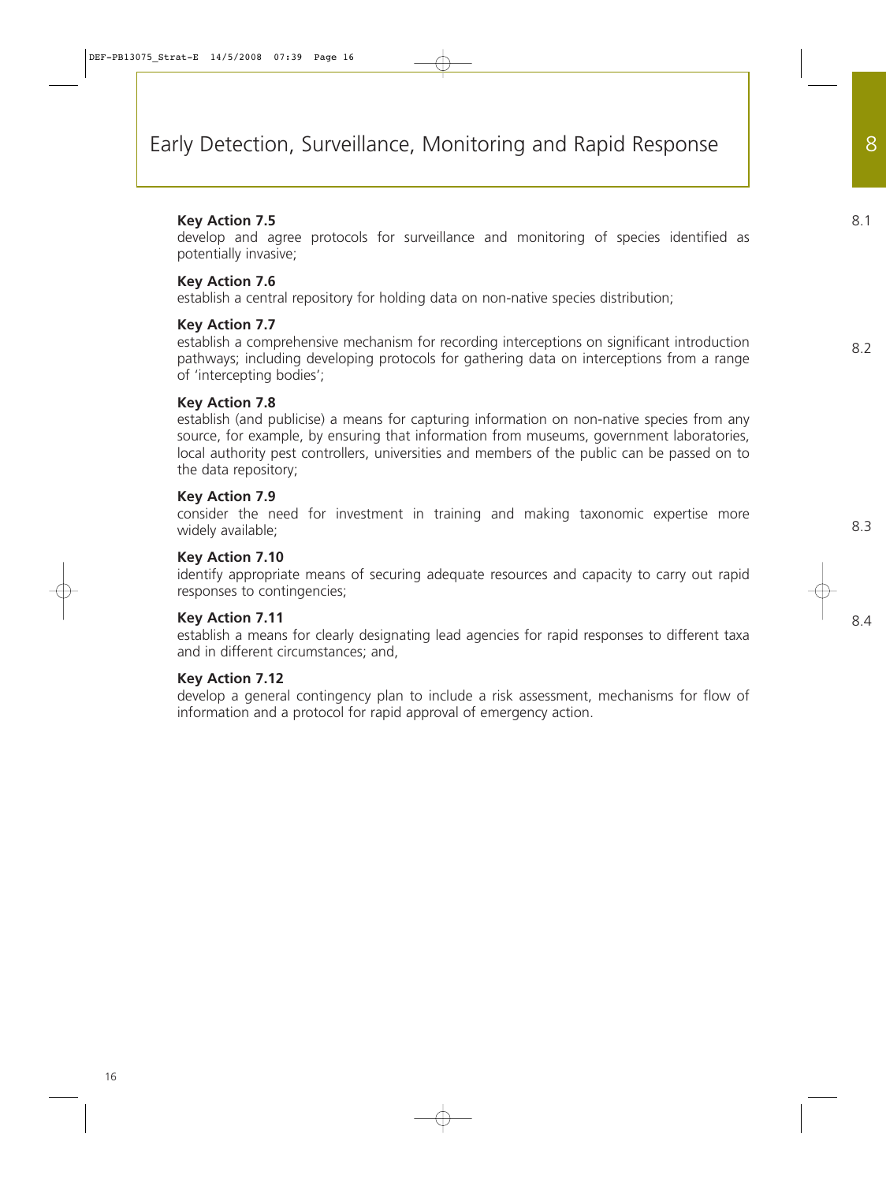#### **Key Action 7.5**

develop and agree protocols for surveillance and monitoring of species identified as potentially invasive;

#### **Key Action 7.6**

establish a central repository for holding data on non-native species distribution;

#### **Key Action 7.7**

establish a comprehensive mechanism for recording interceptions on significant introduction pathways; including developing protocols for gathering data on interceptions from a range of 'intercepting bodies';

#### **Key Action 7.8**

establish (and publicise) a means for capturing information on non-native species from any source, for example, by ensuring that information from museums, government laboratories, local authority pest controllers, universities and members of the public can be passed on to the data repository;

#### **Key Action 7.9**

consider the need for investment in training and making taxonomic expertise more widely available;

#### **Key Action 7.10**

identify appropriate means of securing adequate resources and capacity to carry out rapid responses to contingencies;

#### **Key Action 7.11**

establish a means for clearly designating lead agencies for rapid responses to different taxa and in different circumstances; and,

#### **Key Action 7.12**

develop a general contingency plan to include a risk assessment, mechanisms for flow of information and a protocol for rapid approval of emergency action.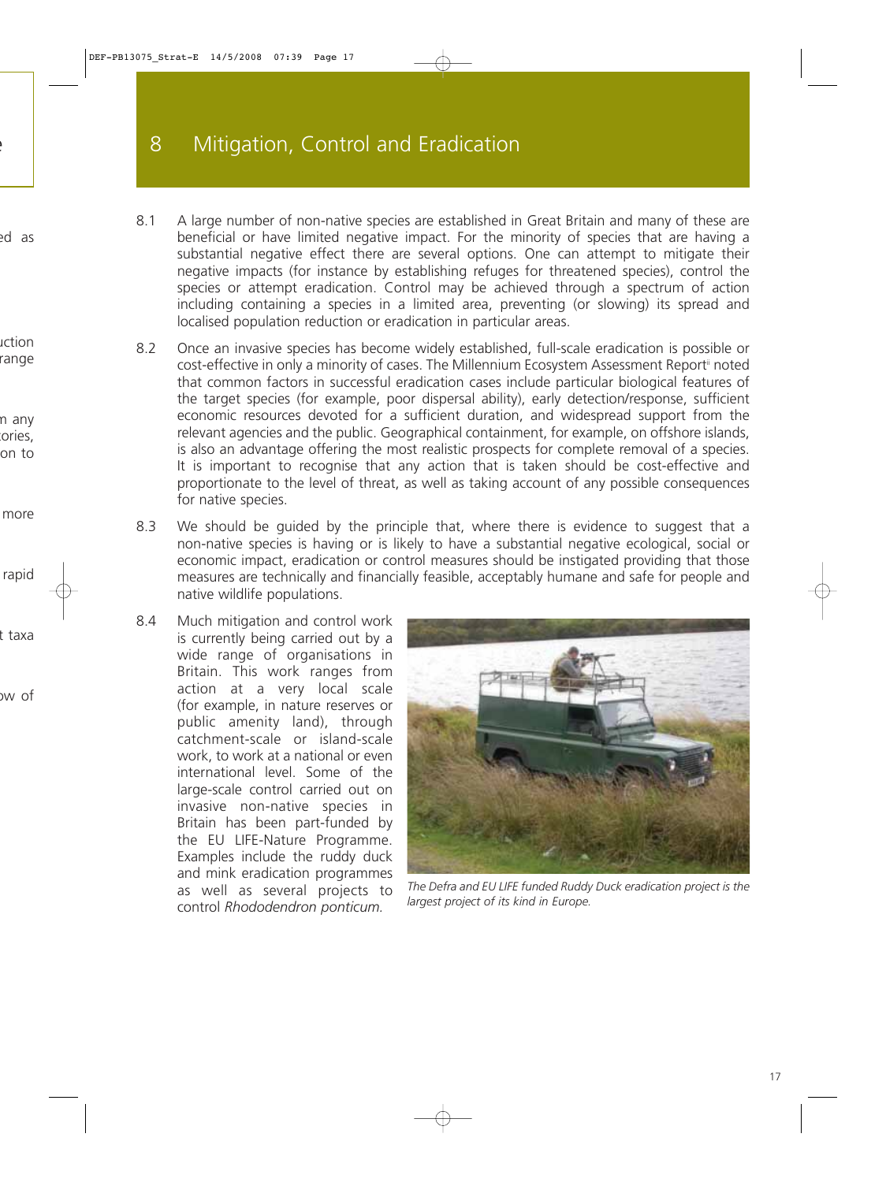- 8.1 A large number of non-native species are established in Great Britain and many of these are beneficial or have limited negative impact. For the minority of species that are having a substantial negative effect there are several options. One can attempt to mitigate their negative impacts (for instance by establishing refuges for threatened species), control the species or attempt eradication. Control may be achieved through a spectrum of action including containing a species in a limited area, preventing (or slowing) its spread and localised population reduction or eradication in particular areas.
- 8.2 Once an invasive species has become widely established, full-scale eradication is possible or cost-effective in only a minority of cases. The Millennium Ecosystem Assessment Report<sup>ii</sup> noted that common factors in successful eradication cases include particular biological features of the target species (for example, poor dispersal ability), early detection/response, sufficient economic resources devoted for a sufficient duration, and widespread support from the relevant agencies and the public. Geographical containment, for example, on offshore islands, is also an advantage offering the most realistic prospects for complete removal of a species. It is important to recognise that any action that is taken should be cost-effective and proportionate to the level of threat, as well as taking account of any possible consequences for native species.
- 8.3 We should be guided by the principle that, where there is evidence to suggest that a non-native species is having or is likely to have a substantial negative ecological, social or economic impact, eradication or control measures should be instigated providing that those measures are technically and financially feasible, acceptably humane and safe for people and native wildlife populations.
- 8.4 Much mitigation and control work is currently being carried out by a wide range of organisations in Britain. This work ranges from action at a very local scale (for example, in nature reserves or public amenity land), through catchment-scale or island-scale work, to work at a national or even international level. Some of the large-scale control carried out on invasive non-native species in Britain has been part-funded by the EU LIFE-Nature Programme. Examples include the ruddy duck and mink eradication programmes as well as several projects to control *Rhododendron ponticum.*



*The Defra and EU LIFE funded Ruddy Duck eradication project is the largest project of its kind in Europe.*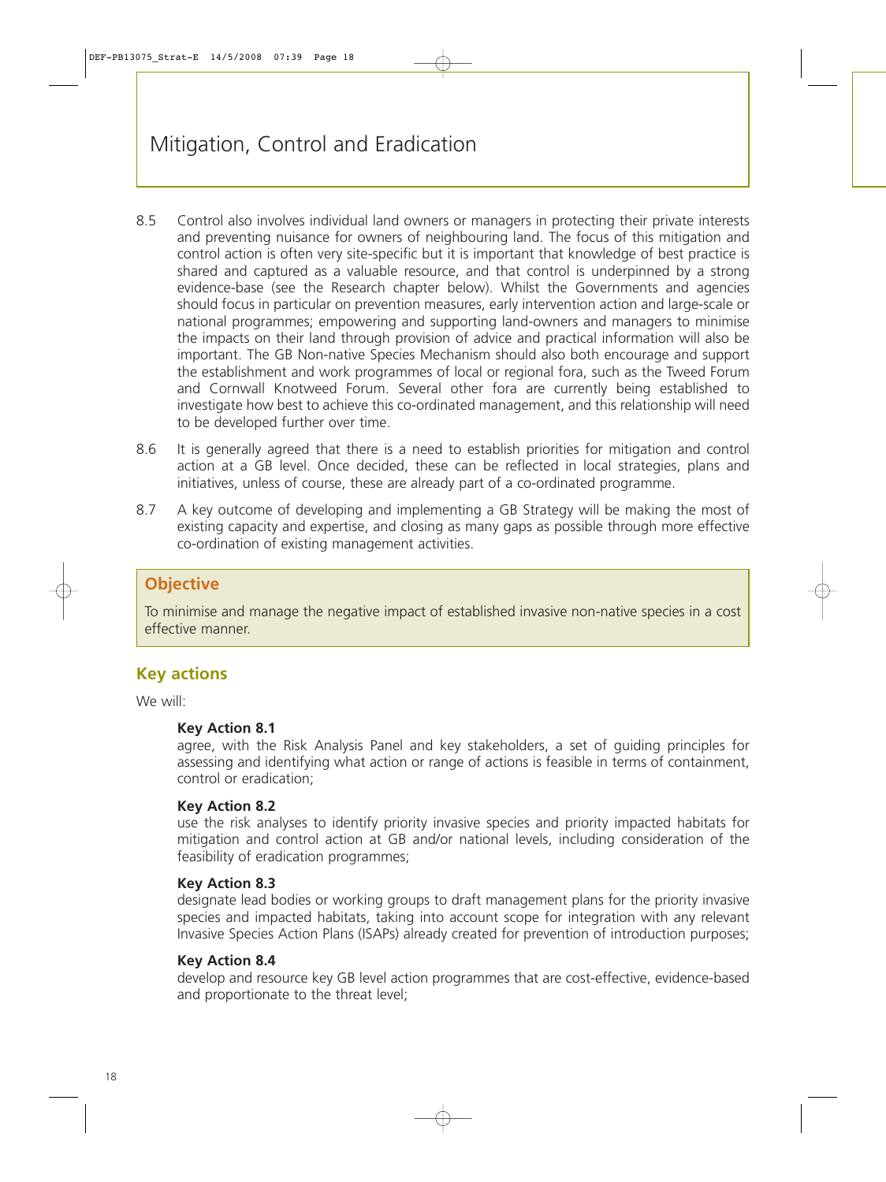- 8.5 Control also involves individual land owners or managers in protecting their private interests and preventing nuisance for owners of neighbouring land. The focus of this mitigation and control action is often very site-specific but it is important that knowledge of best practice is shared and captured as a valuable resource, and that control is underpinned by a strong evidence-base (see the Research chapter below). Whilst the Governments and agencies should focus in particular on prevention measures, early intervention action and large-scale or national programmes; empowering and supporting land-owners and managers to minimise the impacts on their land through provision of advice and practical information will also be important. The GB Non-native Species Mechanism should also both encourage and support the establishment and work programmes of local or regional fora, such as the Tweed Forum and Cornwall Knotweed Forum. Several other fora are currently being established to investigate how best to achieve this co-ordinated management, and this relationship will need to be developed further over time.
- 8.6 It is generally agreed that there is a need to establish priorities for mitigation and control action at a GB level. Once decided, these can be reflected in local strategies, plans and initiatives, unless of course, these are already part of a co-ordinated programme.
- 8.7 A key outcome of developing and implementing a GB Strategy will be making the most of existing capacity and expertise, and closing as many gaps as possible through more effective co-ordination of existing management activities.

## **Objective**

To minimise and manage the negative impact of established invasive non-native species in a cost effective manner.

## **Key actions**

We will:

#### **Key Action 8.1**

agree, with the Risk Analysis Panel and key stakeholders, a set of guiding principles for assessing and identifying what action or range of actions is feasible in terms of containment, control or eradication;

#### **Key Action 8.2**

use the risk analyses to identify priority invasive species and priority impacted habitats for mitigation and control action at GB and/or national levels, including consideration of the feasibility of eradication programmes;

#### **Key Action 8.3**

designate lead bodies or working groups to draft management plans for the priority invasive species and impacted habitats, taking into account scope for integration with any relevant Invasive Species Action Plans (ISAPs) already created for prevention of introduction purposes;

#### **Key Action 8.4**

develop and resource key GB level action programmes that are cost-effective, evidence-based and proportionate to the threat level;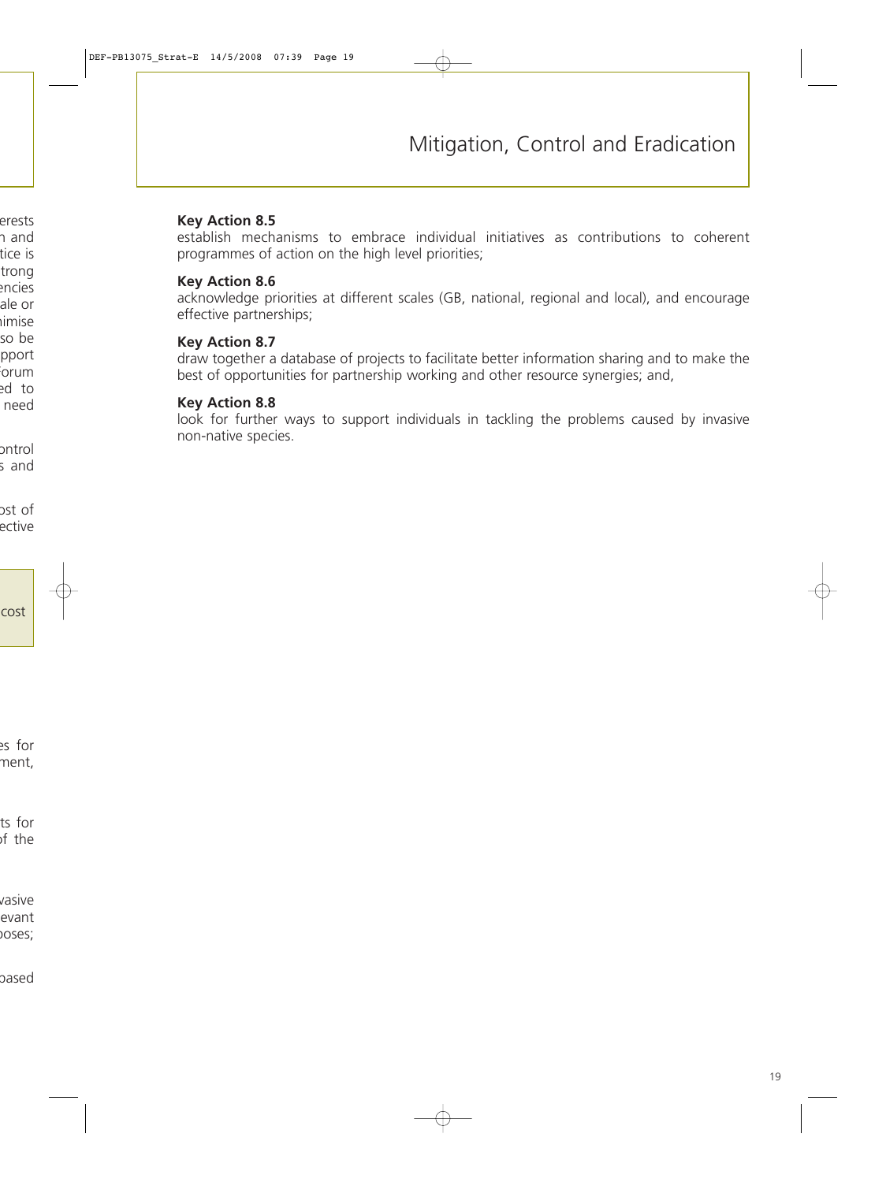#### **Key Action 8.5**

establish mechanisms to embrace individual initiatives as contributions to coherent programmes of action on the high level priorities;

#### **Key Action 8.6**

acknowledge priorities at different scales (GB, national, regional and local), and encourage effective partnerships;

#### **Key Action 8.7**

draw together a database of projects to facilitate better information sharing and to make the best of opportunities for partnership working and other resource synergies; and,

#### **Key Action 8.8**

look for further ways to support individuals in tackling the problems caused by invasive non-native species.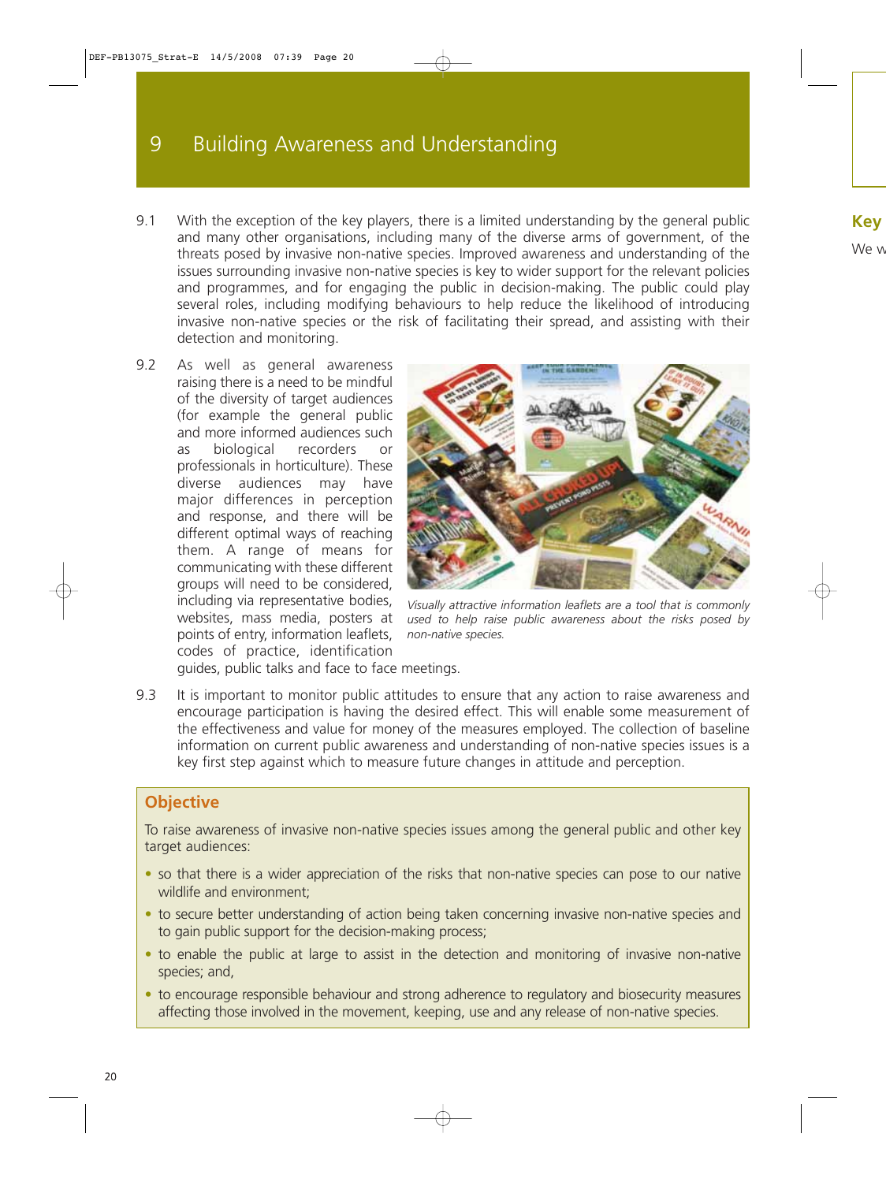# 9 Building Awareness and Understanding

- 9.1 With the exception of the key players, there is a limited understanding by the general public and many other organisations, including many of the diverse arms of government, of the threats posed by invasive non-native species. Improved awareness and understanding of the issues surrounding invasive non-native species is key to wider support for the relevant policies and programmes, and for engaging the public in decision-making. The public could play several roles, including modifying behaviours to help reduce the likelihood of introducing invasive non-native species or the risk of facilitating their spread, and assisting with their detection and monitoring.
- 9.2 As well as general awareness raising there is a need to be mindful of the diversity of target audiences (for example the general public and more informed audiences such as biological recorders or professionals in horticulture). These diverse audiences may have major differences in perception and response, and there will be different optimal ways of reaching them. A range of means for communicating with these different groups will need to be considered, including via representative bodies, websites, mass media, posters at points of entry, information leaflets, codes of practice, identification



*Visually attractive information leaflets are a tool that is commonly used to help raise public awareness about the risks posed by non-native species.*

guides, public talks and face to face meetings.

9.3 It is important to monitor public attitudes to ensure that any action to raise awareness and encourage participation is having the desired effect. This will enable some measurement of the effectiveness and value for money of the measures employed. The collection of baseline information on current public awareness and understanding of non-native species issues is a key first step against which to measure future changes in attitude and perception.

## **Objective**

To raise awareness of invasive non-native species issues among the general public and other key target audiences:

- so that there is a wider appreciation of the risks that non-native species can pose to our native wildlife and environment;
- to secure better understanding of action being taken concerning invasive non-native species and to gain public support for the decision-making process;
- to enable the public at large to assist in the detection and monitoring of invasive non-native species; and,
- to encourage responsible behaviour and strong adherence to regulatory and biosecurity measures affecting those involved in the movement, keeping, use and any release of non-native species.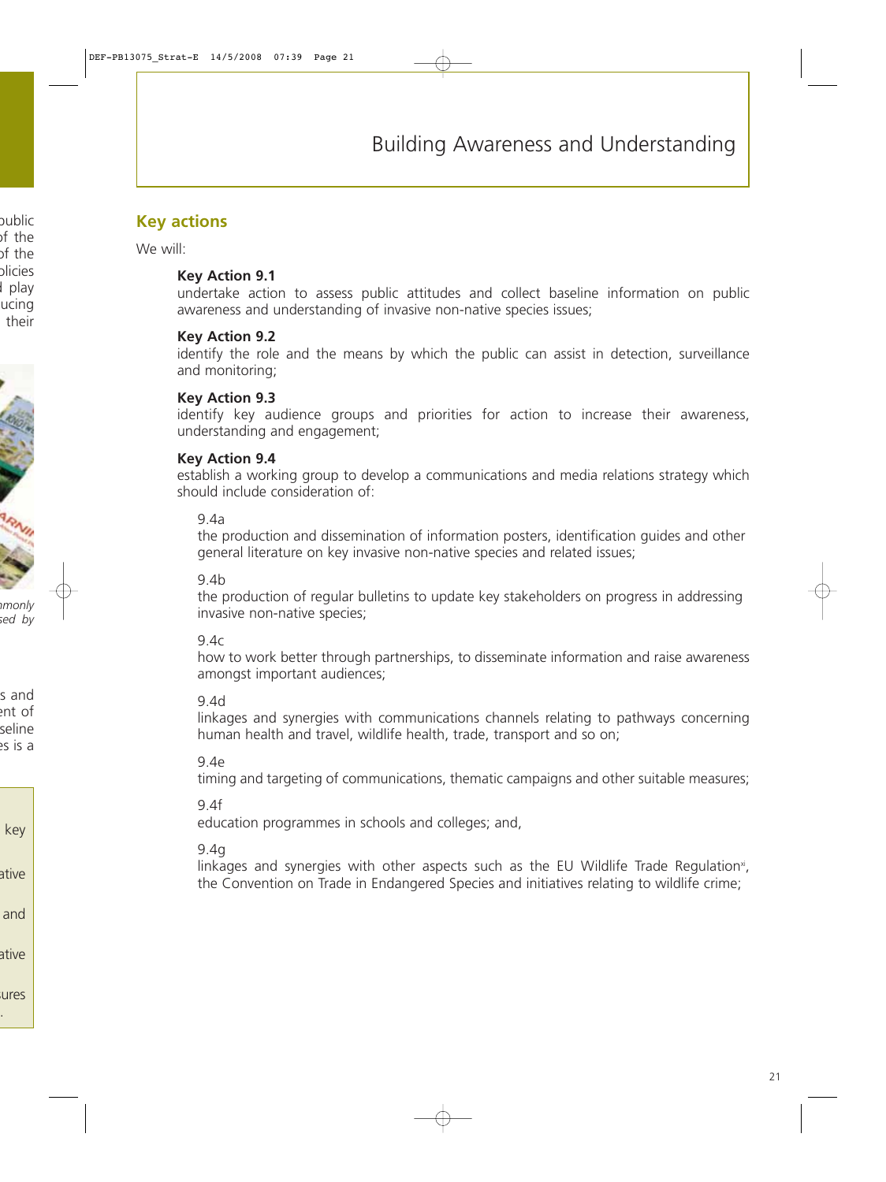## **Key actions**

We will:

#### **Key Action 9.1**

undertake action to assess public attitudes and collect baseline information on public awareness and understanding of invasive non-native species issues;

#### **Key Action 9.2**

identify the role and the means by which the public can assist in detection, surveillance and monitoring;

#### **Key Action 9.3**

identify key audience groups and priorities for action to increase their awareness, understanding and engagement;

#### **Key Action 9.4**

establish a working group to develop a communications and media relations strategy which should include consideration of:

9.4a

the production and dissemination of information posters, identification guides and other general literature on key invasive non-native species and related issues;

9.4b

the production of regular bulletins to update key stakeholders on progress in addressing invasive non-native species;

9.4c

how to work better through partnerships, to disseminate information and raise awareness amongst important audiences;

#### 9.4d

linkages and synergies with communications channels relating to pathways concerning human health and travel, wildlife health, trade, transport and so on;

9.4e

timing and targeting of communications, thematic campaigns and other suitable measures;

9.4f

education programmes in schools and colleges; and,

#### 9.4g

linkages and synergies with other aspects such as the EU Wildlife Trade Regulation<sup>x</sup>, the Convention on Trade in Endangered Species and initiatives relating to wildlife crime;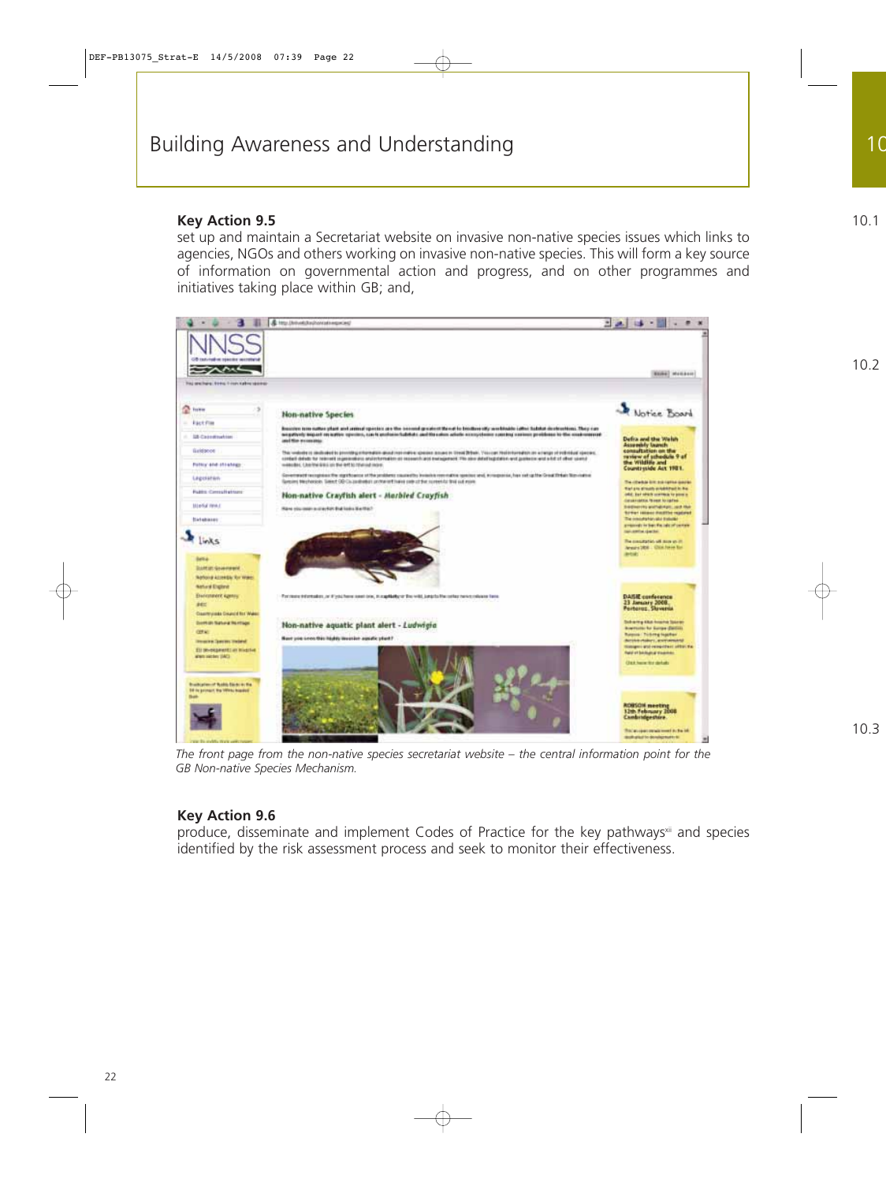#### **Key Action 9.5**

set up and maintain a Secretariat website on invasive non-native species issues which links to agencies, NGOs and others working on invasive non-native species. This will form a key source of information on governmental action and progress, and on other programmes and initiatives taking place within GB; and,



*The front page from the non-native species secretariat website – the central information point for the GB Non-native Species Mechanism.*

## **Key Action 9.6**

produce, disseminate and implement Codes of Practice for the key pathways<sup>xii</sup> and species identified by the risk assessment process and seek to monitor their effectiveness.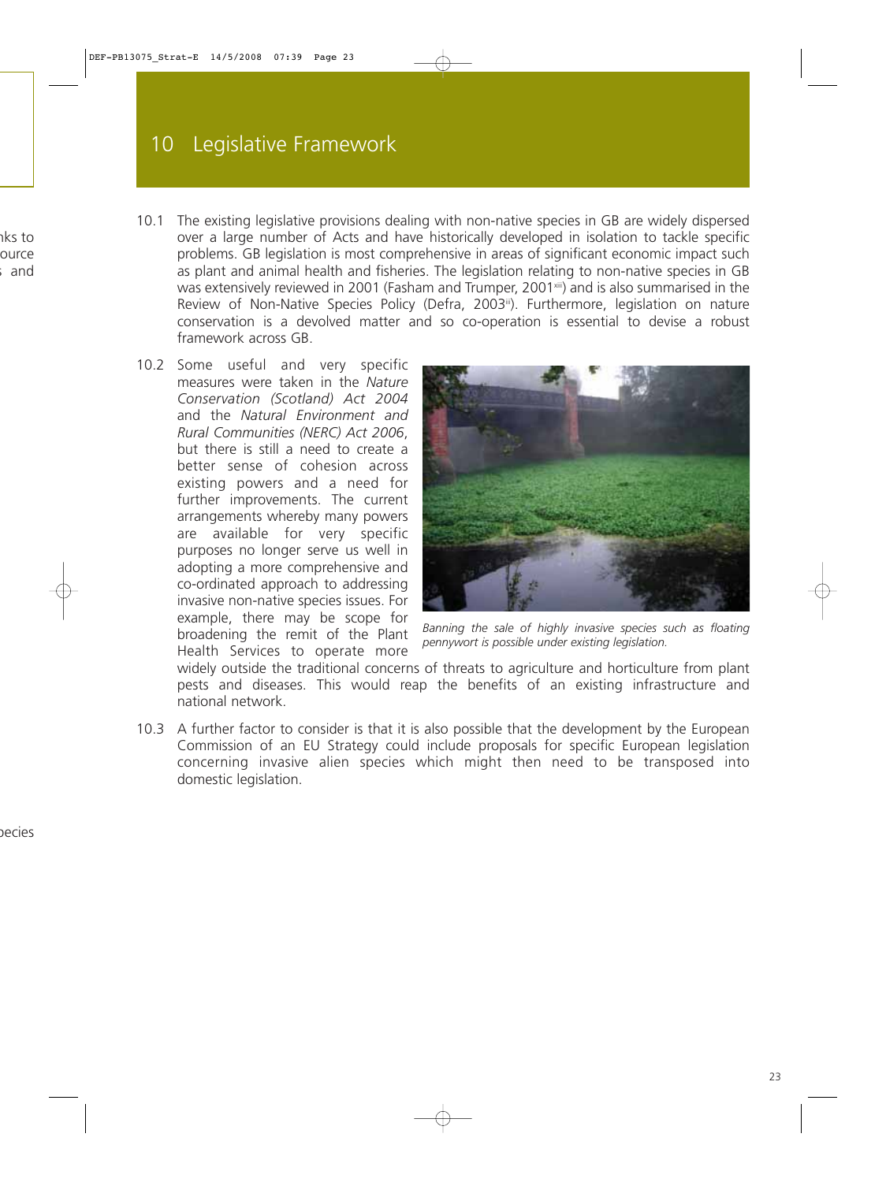- 10.1 The existing legislative provisions dealing with non-native species in GB are widely dispersed over a large number of Acts and have historically developed in isolation to tackle specific problems. GB legislation is most comprehensive in areas of significant economic impact such as plant and animal health and fisheries. The legislation relating to non-native species in GB was extensively reviewed in 2001 (Fasham and Trumper, 2001<sup>xiii</sup>) and is also summarised in the Review of Non-Native Species Policy (Defra, 2003<sup>iii</sup>). Furthermore, legislation on nature conservation is a devolved matter and so co-operation is essential to devise a robust framework across GB.
- 10.2 Some useful and very specific measures were taken in the *Nature Conservation (Scotland) Act 2004* and the *Natural Environment and Rural Communities (NERC) Act 2006*, but there is still a need to create a better sense of cohesion across existing powers and a need for further improvements. The current arrangements whereby many powers are available for very specific purposes no longer serve us well in adopting a more comprehensive and co-ordinated approach to addressing invasive non-native species issues. For example, there may be scope for broadening the remit of the Plant Health Services to operate more



*Banning the sale of highly invasive species such as floating pennywort is possible under existing legislation.*

widely outside the traditional concerns of threats to agriculture and horticulture from plant pests and diseases. This would reap the benefits of an existing infrastructure and national network.

10.3 A further factor to consider is that it is also possible that the development by the European Commission of an EU Strategy could include proposals for specific European legislation concerning invasive alien species which might then need to be transposed into domestic legislation.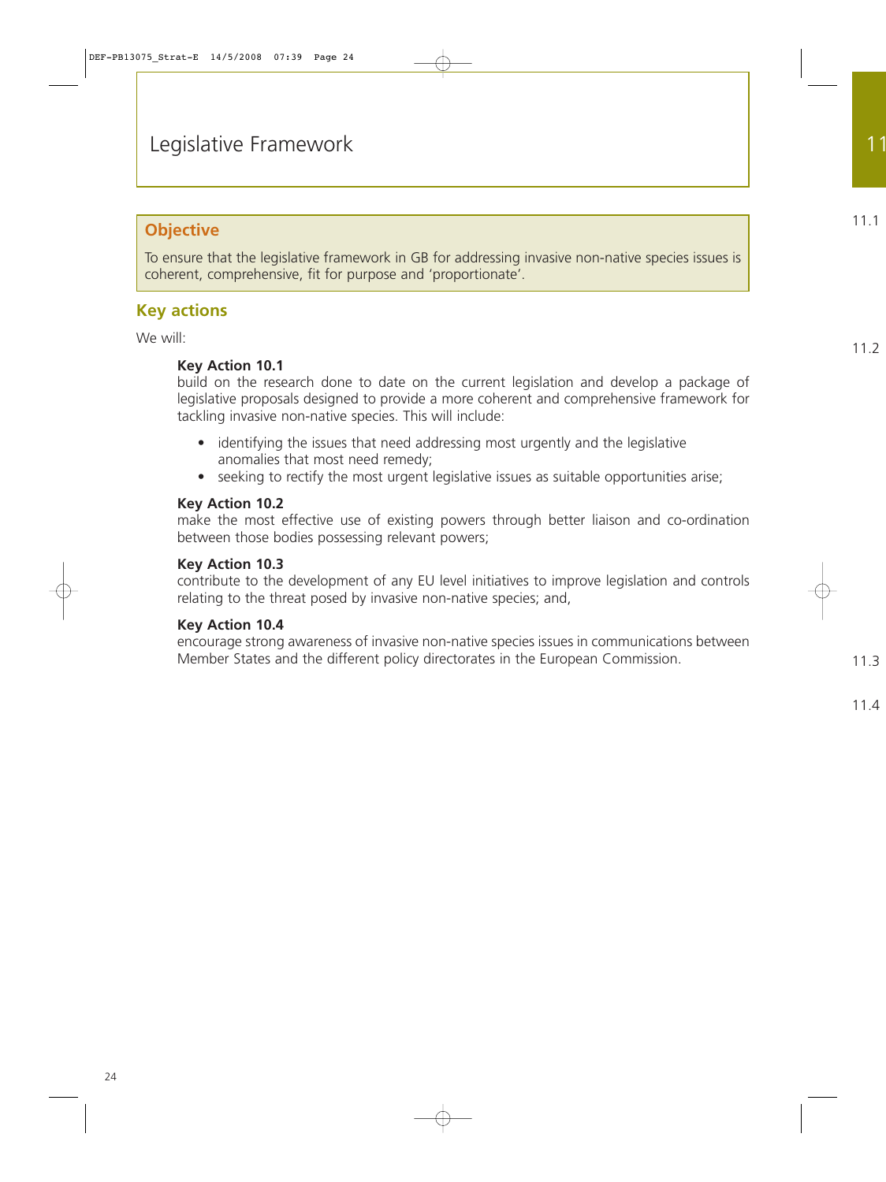## **Objective**

To ensure that the legislative framework in GB for addressing invasive non-native species issues is coherent, comprehensive, fit for purpose and 'proportionate'.

## **Key actions**

We will:

## **Key Action 10.1**

build on the research done to date on the current legislation and develop a package of legislative proposals designed to provide a more coherent and comprehensive framework for tackling invasive non-native species. This will include:

- identifying the issues that need addressing most urgently and the legislative anomalies that most need remedy;
- seeking to rectify the most urgent legislative issues as suitable opportunities arise;

## **Key Action 10.2**

make the most effective use of existing powers through better liaison and co-ordination between those bodies possessing relevant powers;

#### **Key Action 10.3**

contribute to the development of any EU level initiatives to improve legislation and controls relating to the threat posed by invasive non-native species; and,

## **Key Action 10.4**

encourage strong awareness of invasive non-native species issues in communications between Member States and the different policy directorates in the European Commission.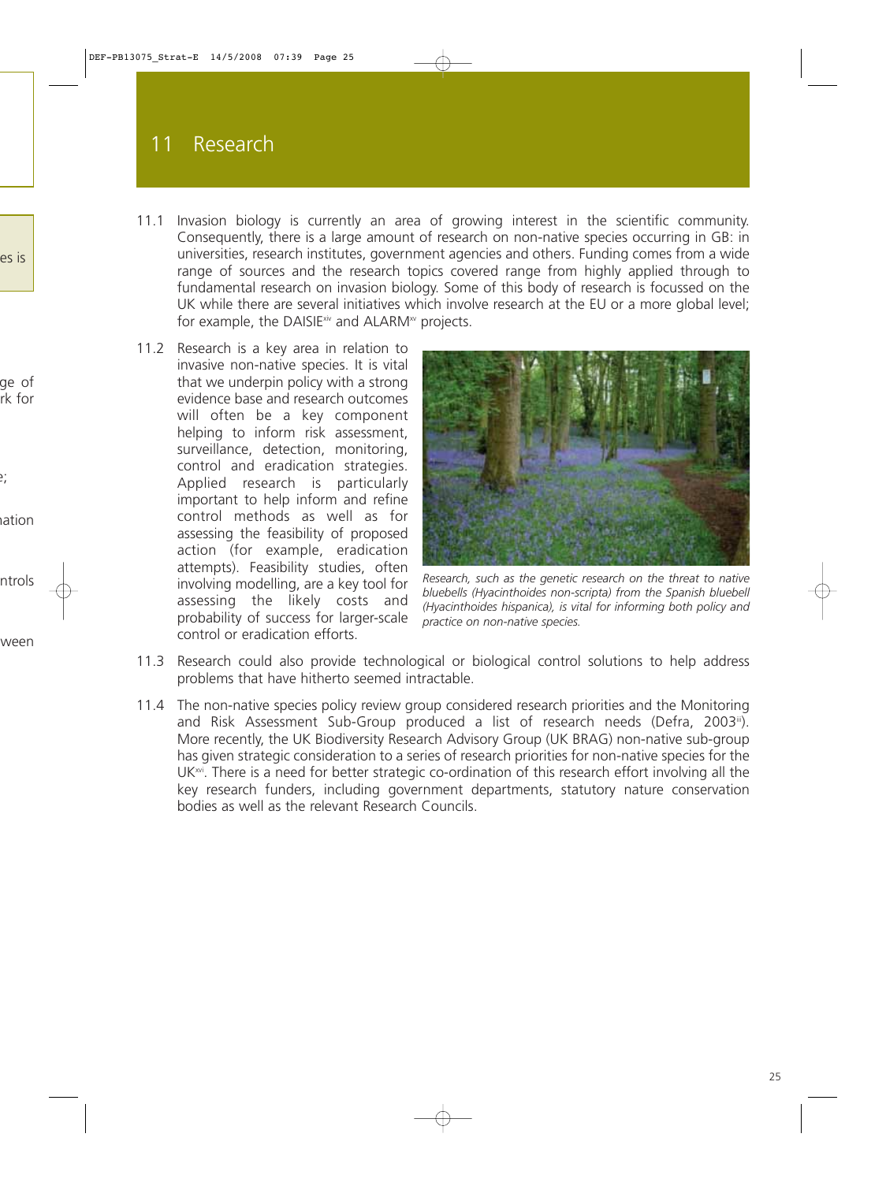# 11 Research

- 11.1 Invasion biology is currently an area of growing interest in the scientific community. Consequently, there is a large amount of research on non-native species occurring in GB: in universities, research institutes, government agencies and others. Funding comes from a wide range of sources and the research topics covered range from highly applied through to fundamental research on invasion biology. Some of this body of research is focussed on the UK while there are several initiatives which involve research at the EU or a more global level; for example, the DAISIE $\dot{x}$  and ALARM<sup> $x$ </sup> projects.
- 11.2 Research is a key area in relation to invasive non-native species. It is vital that we underpin policy with a strong evidence base and research outcomes will often be a key component helping to inform risk assessment, surveillance, detection, monitoring, control and eradication strategies. Applied research is particularly important to help inform and refine control methods as well as for assessing the feasibility of proposed action (for example, eradication attempts). Feasibility studies, often involving modelling, are a key tool for assessing the likely costs and probability of success for larger-scale control or eradication efforts.



*Research, such as the genetic research on the threat to native bluebells (Hyacinthoides non-scripta) from the Spanish bluebell (Hyacinthoides hispanica), is vital for informing both policy and practice on non-native species.*

- 11.3 Research could also provide technological or biological control solutions to help address problems that have hitherto seemed intractable.
- 11.4 The non-native species policy review group considered research priorities and the Monitoring and Risk Assessment Sub-Group produced a list of research needs (Defra, 2003iii). More recently, the UK Biodiversity Research Advisory Group (UK BRAG) non-native sub-group has given strategic consideration to a series of research priorities for non-native species for the UK<sup>xvi</sup>. There is a need for better strategic co-ordination of this research effort involving all the key research funders, including government departments, statutory nature conservation bodies as well as the relevant Research Councils.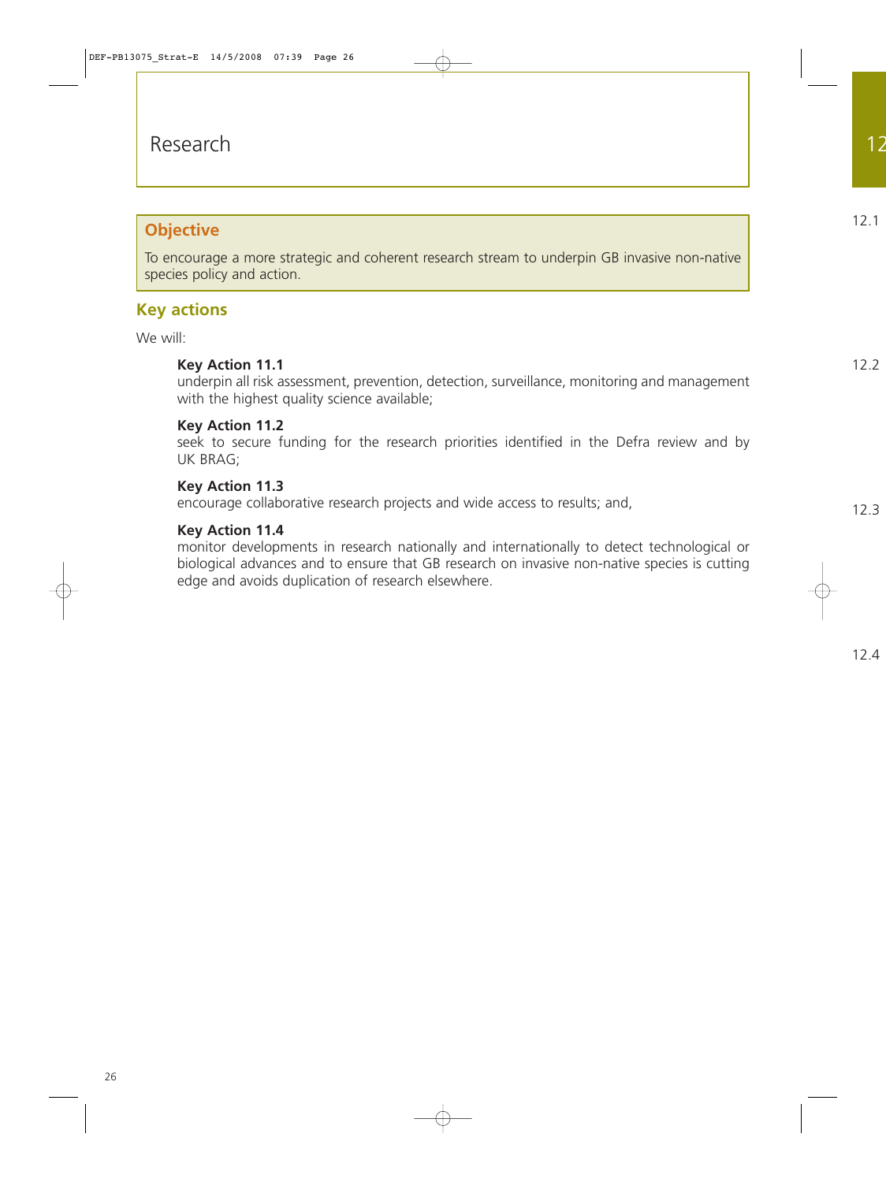## **Objective**

To encourage a more strategic and coherent research stream to underpin GB invasive non-native species policy and action.

## **Key actions**

We will:

## **Key Action 11.1**

underpin all risk assessment, prevention, detection, surveillance, monitoring and management with the highest quality science available;

#### **Key Action 11.2**

seek to secure funding for the research priorities identified in the Defra review and by UK BRAG;

#### **Key Action 11.3**

encourage collaborative research projects and wide access to results; and,

#### **Key Action 11.4**

monitor developments in research nationally and internationally to detect technological or biological advances and to ensure that GB research on invasive non-native species is cutting edge and avoids duplication of research elsewhere.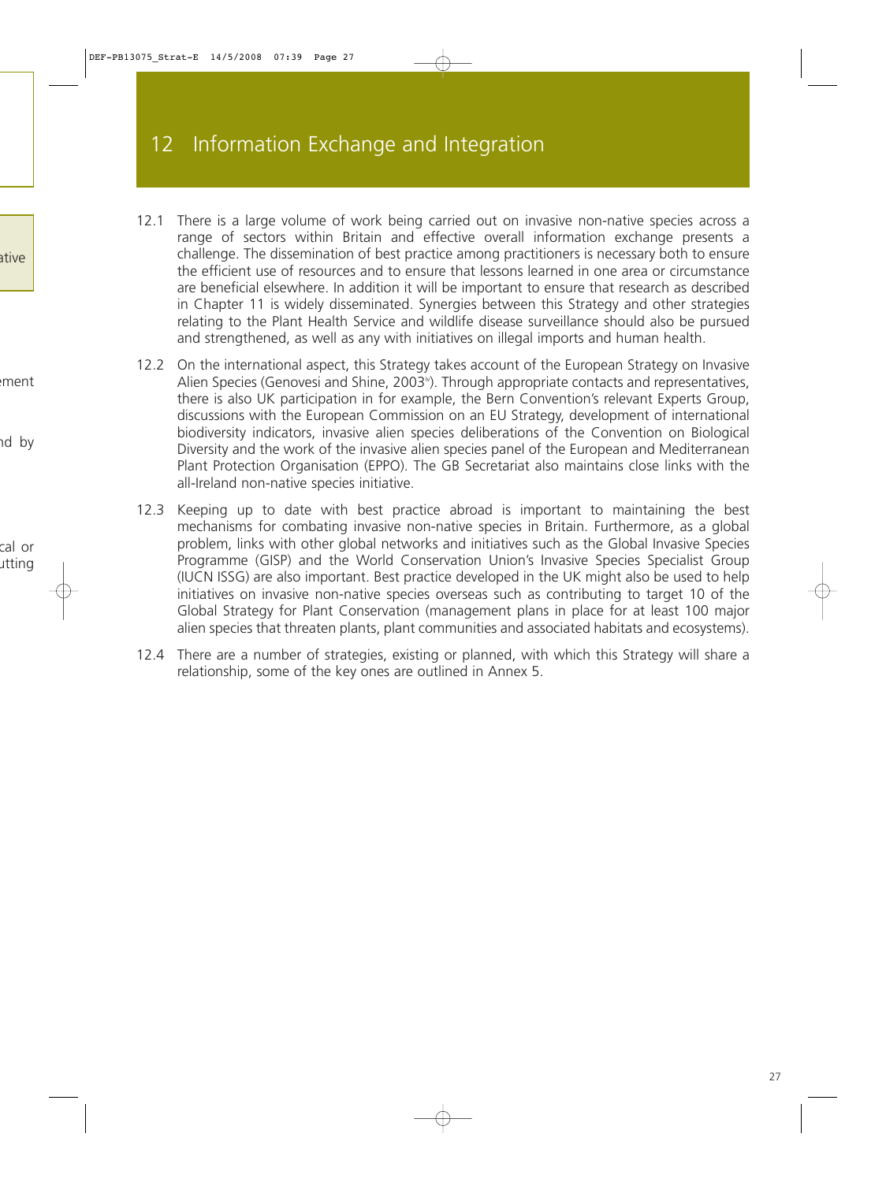- 12.1 There is a large volume of work being carried out on invasive non-native species across a range of sectors within Britain and effective overall information exchange presents a challenge. The dissemination of best practice among practitioners is necessary both to ensure the efficient use of resources and to ensure that lessons learned in one area or circumstance are beneficial elsewhere. In addition it will be important to ensure that research as described in Chapter 11 is widely disseminated. Synergies between this Strategy and other strategies relating to the Plant Health Service and wildlife disease surveillance should also be pursued and strengthened, as well as any with initiatives on illegal imports and human health.
- 12.2 On the international aspect, this Strategy takes account of the European Strategy on Invasive Alien Species (Genovesi and Shine, 2003<sup>v</sup>). Through appropriate contacts and representatives, there is also UK participation in for example, the Bern Convention's relevant Experts Group, discussions with the European Commission on an EU Strategy, development of international biodiversity indicators, invasive alien species deliberations of the Convention on Biological Diversity and the work of the invasive alien species panel of the European and Mediterranean Plant Protection Organisation (EPPO). The GB Secretariat also maintains close links with the all-Ireland non-native species initiative.
- 12.3 Keeping up to date with best practice abroad is important to maintaining the best mechanisms for combating invasive non-native species in Britain. Furthermore, as a global problem, links with other global networks and initiatives such as the Global Invasive Species Programme (GISP) and the World Conservation Union's Invasive Species Specialist Group (IUCN ISSG) are also important. Best practice developed in the UK might also be used to help initiatives on invasive non-native species overseas such as contributing to target 10 of the Global Strategy for Plant Conservation (management plans in place for at least 100 major alien species that threaten plants, plant communities and associated habitats and ecosystems).
- 12.4 There are a number of strategies, existing or planned, with which this Strategy will share a relationship, some of the key ones are outlined in Annex 5.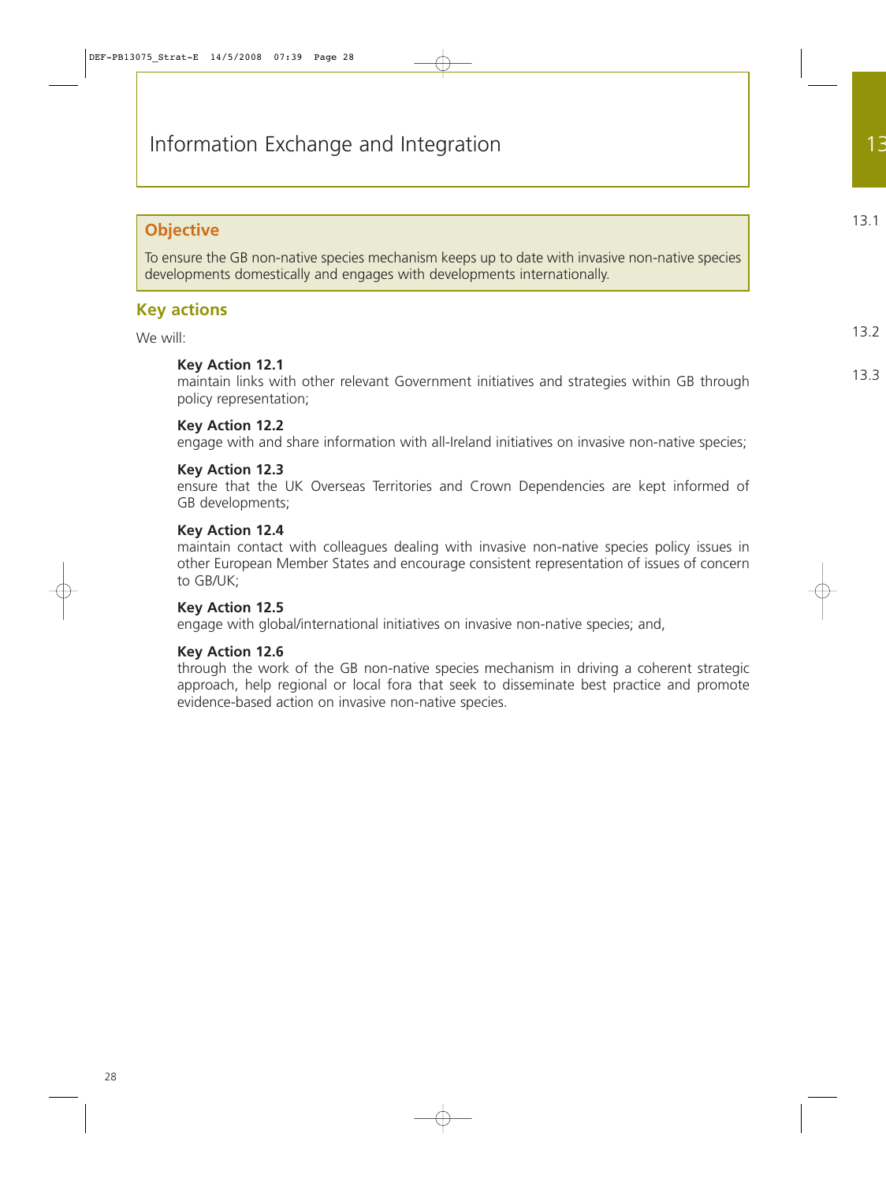## **Objective**

To ensure the GB non-native species mechanism keeps up to date with invasive non-native species developments domestically and engages with developments internationally.

## **Key actions**

We will:

#### **Key Action 12.1**

maintain links with other relevant Government initiatives and strategies within GB through policy representation;

#### **Key Action 12.2**

engage with and share information with all-Ireland initiatives on invasive non-native species;

#### **Key Action 12.3**

ensure that the UK Overseas Territories and Crown Dependencies are kept informed of GB developments;

#### **Key Action 12.4**

maintain contact with colleagues dealing with invasive non-native species policy issues in other European Member States and encourage consistent representation of issues of concern to GB/UK;

## **Key Action 12.5**

engage with global/international initiatives on invasive non-native species; and,

## **Key Action 12.6**

through the work of the GB non-native species mechanism in driving a coherent strategic approach, help regional or local fora that seek to disseminate best practice and promote evidence-based action on invasive non-native species.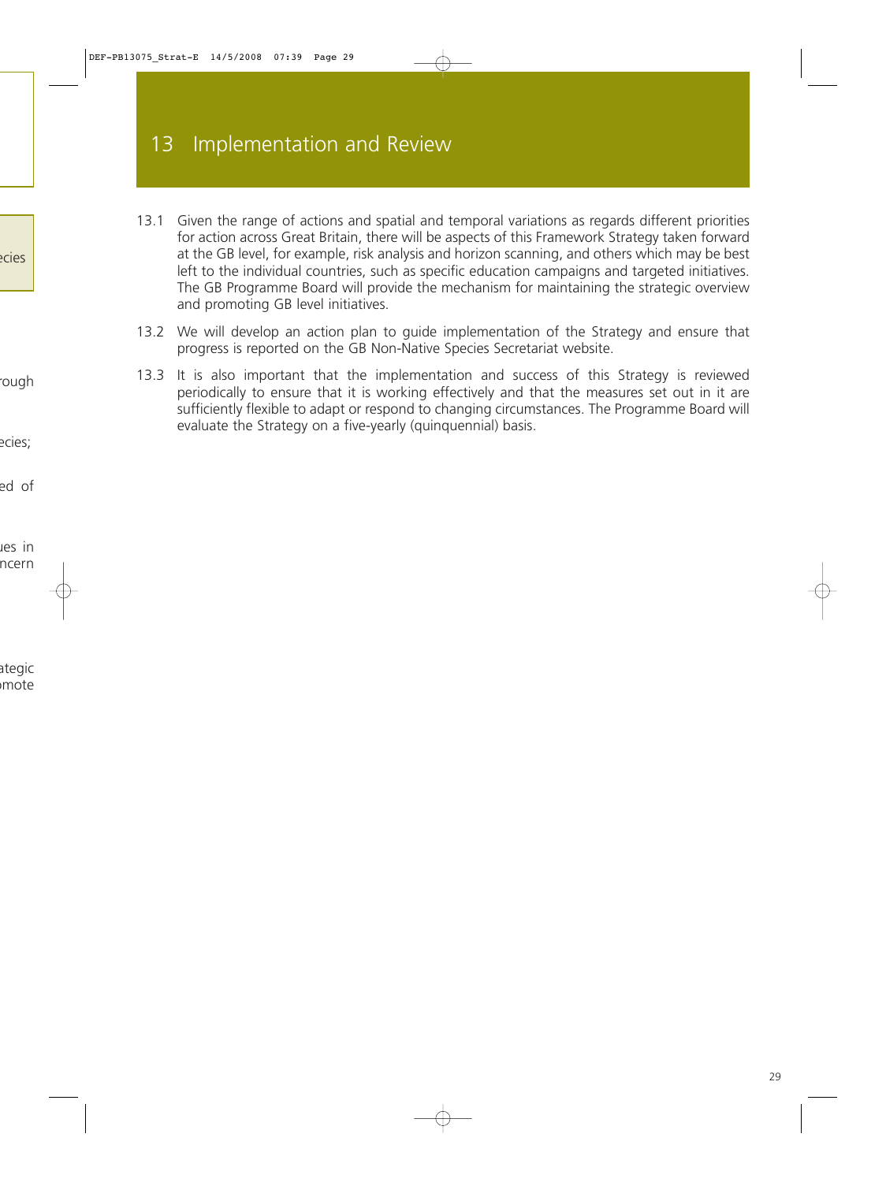- 13.1 Given the range of actions and spatial and temporal variations as regards different priorities for action across Great Britain, there will be aspects of this Framework Strategy taken forward at the GB level, for example, risk analysis and horizon scanning, and others which may be best left to the individual countries, such as specific education campaigns and targeted initiatives. The GB Programme Board will provide the mechanism for maintaining the strategic overview and promoting GB level initiatives.
- 13.2 We will develop an action plan to guide implementation of the Strategy and ensure that progress is reported on the GB Non-Native Species Secretariat website.
- 13.3 It is also important that the implementation and success of this Strategy is reviewed periodically to ensure that it is working effectively and that the measures set out in it are sufficiently flexible to adapt or respond to changing circumstances. The Programme Board will evaluate the Strategy on a five-yearly (quinquennial) basis.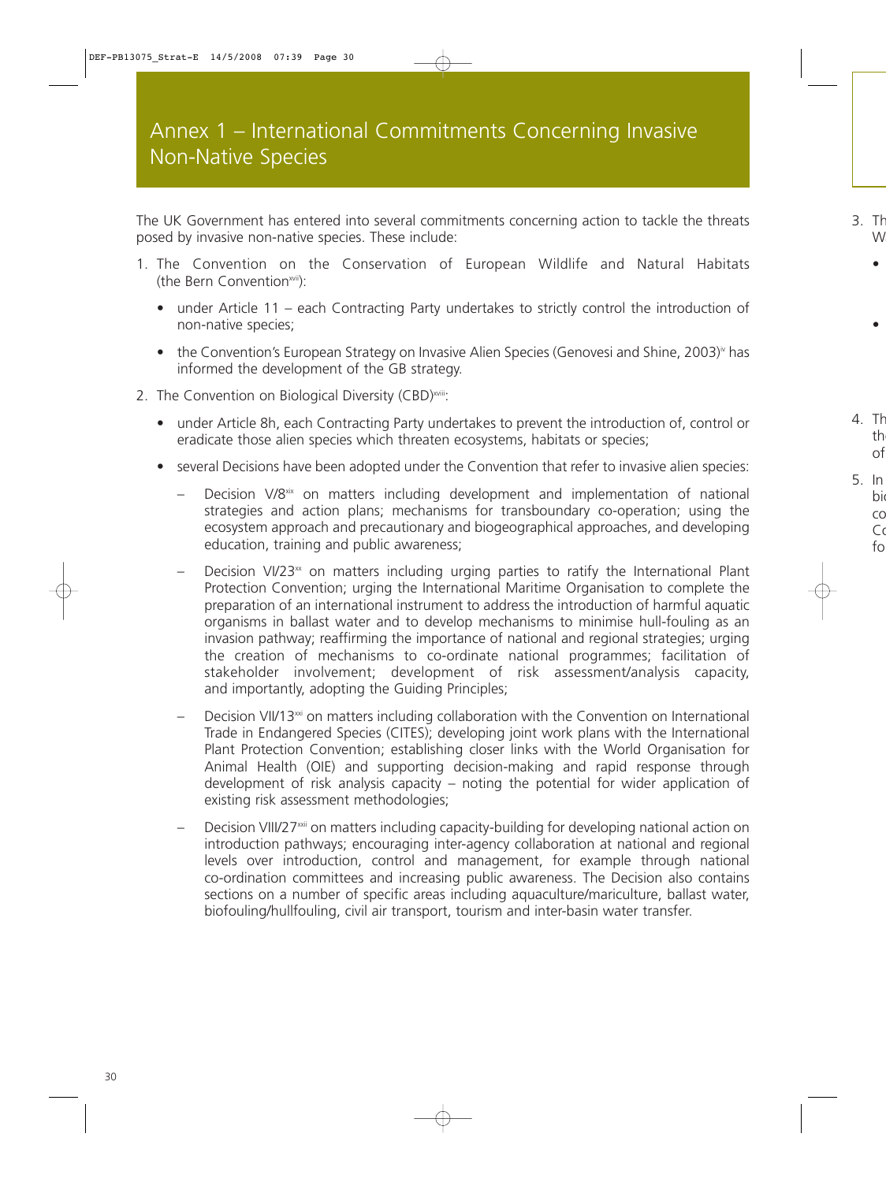The UK Government has entered into several commitments concerning action to tackle the threats posed by invasive non-native species. These include:

- 1. The Convention on the Conservation of European Wildlife and Natural Habitats (the Bern Conventionxvii):
	- under Article 11 each Contracting Party undertakes to strictly control the introduction of non-native species;
	- the Convention's European Strategy on Invasive Alien Species (Genovesi and Shine, 2003) $\dot{v}$  has informed the development of the GB strategy.
- 2. The Convention on Biological Diversity (CBD)<sup>xviii</sup>:
	- under Article 8h, each Contracting Party undertakes to prevent the introduction of, control or eradicate those alien species which threaten ecosystems, habitats or species;
	- several Decisions have been adopted under the Convention that refer to invasive alien species:
		- Decision V/8<sup>xix</sup> on matters including development and implementation of national strategies and action plans; mechanisms for transboundary co-operation; using the ecosystem approach and precautionary and biogeographical approaches, and developing education, training and public awareness;
		- Decision VI/23 $<sup>x</sup>$  on matters including urging parties to ratify the International Plant</sup> Protection Convention; urging the International Maritime Organisation to complete the preparation of an international instrument to address the introduction of harmful aquatic organisms in ballast water and to develop mechanisms to minimise hull-fouling as an invasion pathway; reaffirming the importance of national and regional strategies; urging the creation of mechanisms to co-ordinate national programmes; facilitation of stakeholder involvement; development of risk assessment/analysis capacity, and importantly, adopting the Guiding Principles;
		- Decision VII/13 $\omega$  on matters including collaboration with the Convention on International Trade in Endangered Species (CITES); developing joint work plans with the International Plant Protection Convention; establishing closer links with the World Organisation for Animal Health (OIE) and supporting decision-making and rapid response through development of risk analysis capacity – noting the potential for wider application of existing risk assessment methodologies;
		- Decision VIII/27<sup>xxii</sup> on matters including capacity-building for developing national action on introduction pathways; encouraging inter-agency collaboration at national and regional levels over introduction, control and management, for example through national co-ordination committees and increasing public awareness. The Decision also contains sections on a number of specific areas including aquaculture/mariculture, ballast water, biofouling/hullfouling, civil air transport, tourism and inter-basin water transfer.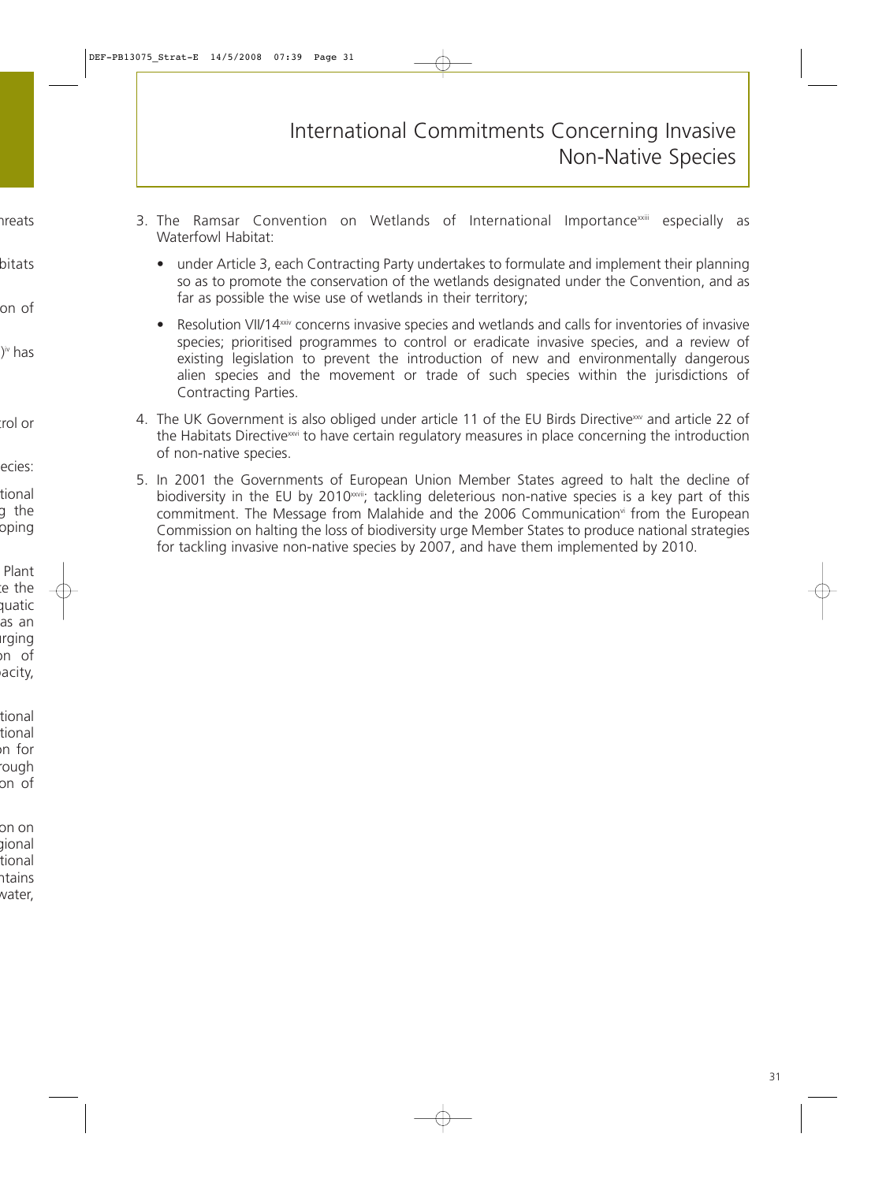- 3. The Ramsar Convention on Wetlands of International Importance<sup>xxiii</sup> especially as Waterfowl Habitat:
	- under Article 3, each Contracting Party undertakes to formulate and implement their planning so as to promote the conservation of the wetlands designated under the Convention, and as far as possible the wise use of wetlands in their territory;
	- Resolution VII/14xxiv concerns invasive species and wetlands and calls for inventories of invasive species; prioritised programmes to control or eradicate invasive species, and a review of existing legislation to prevent the introduction of new and environmentally dangerous alien species and the movement or trade of such species within the jurisdictions of Contracting Parties.
- 4. The UK Government is also obliged under article 11 of the EU Birds Directive<sup>xxv</sup> and article 22 of the Habitats Directive<sup>xxvi</sup> to have certain regulatory measures in place concerning the introduction of non-native species.
- 5. In 2001 the Governments of European Union Member States agreed to halt the decline of biodiversity in the EU by 2010<sup>xxvii</sup>; tackling deleterious non-native species is a key part of this commitment. The Message from Malahide and the 2006 Communication<sup>vi</sup> from the European Commission on halting the loss of biodiversity urge Member States to produce national strategies for tackling invasive non-native species by 2007, and have them implemented by 2010.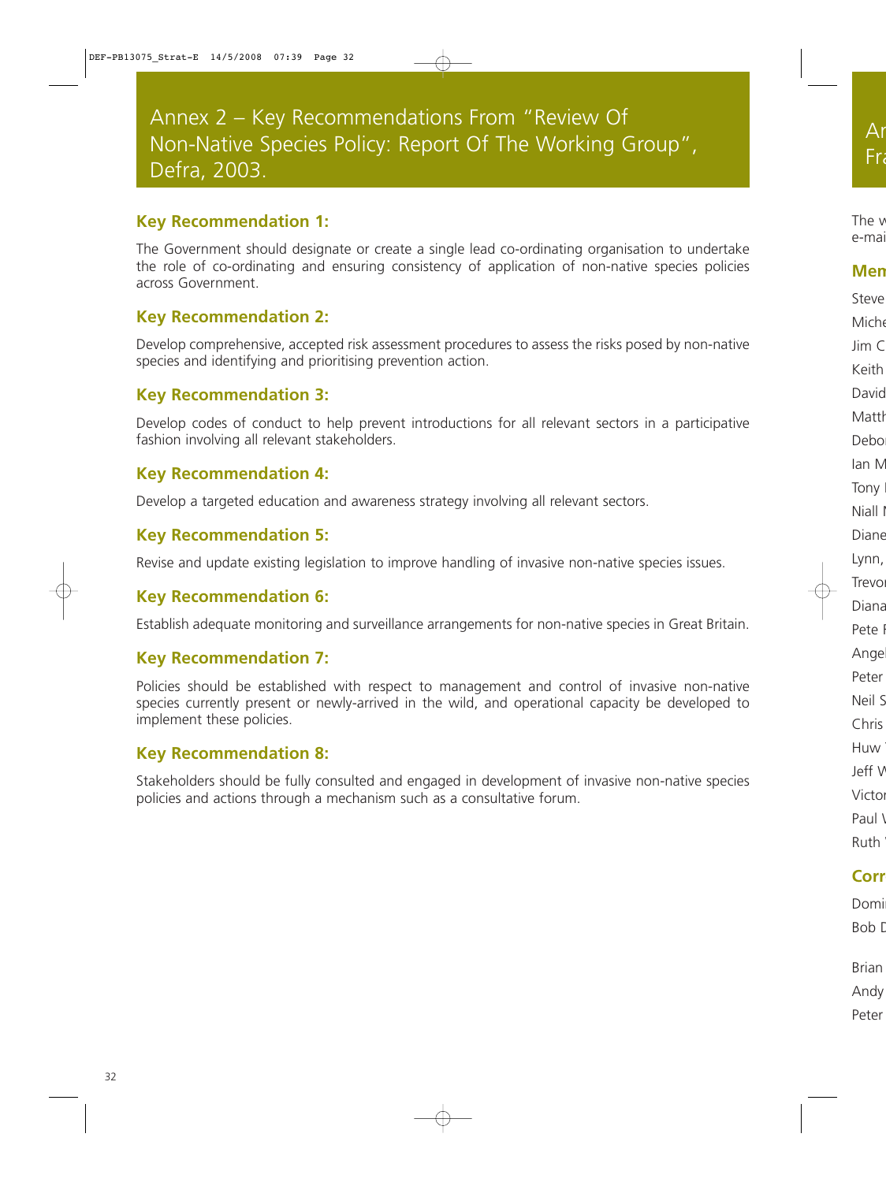## **Key Recommendation 1:**

The Government should designate or create a single lead co-ordinating organisation to undertake the role of co-ordinating and ensuring consistency of application of non-native species policies across Government.

## **Key Recommendation 2:**

Develop comprehensive, accepted risk assessment procedures to assess the risks posed by non-native species and identifying and prioritising prevention action.

## **Key Recommendation 3:**

Develop codes of conduct to help prevent introductions for all relevant sectors in a participative fashion involving all relevant stakeholders.

## **Key Recommendation 4:**

Develop a targeted education and awareness strategy involving all relevant sectors.

## **Key Recommendation 5:**

Revise and update existing legislation to improve handling of invasive non-native species issues.

## **Key Recommendation 6:**

Establish adequate monitoring and surveillance arrangements for non-native species in Great Britain.

## **Key Recommendation 7:**

Policies should be established with respect to management and control of invasive non-native species currently present or newly-arrived in the wild, and operational capacity be developed to implement these policies.

## **Key Recommendation 8:**

Stakeholders should be fully consulted and engaged in development of invasive non-native species policies and actions through a mechanism such as a consultative forum.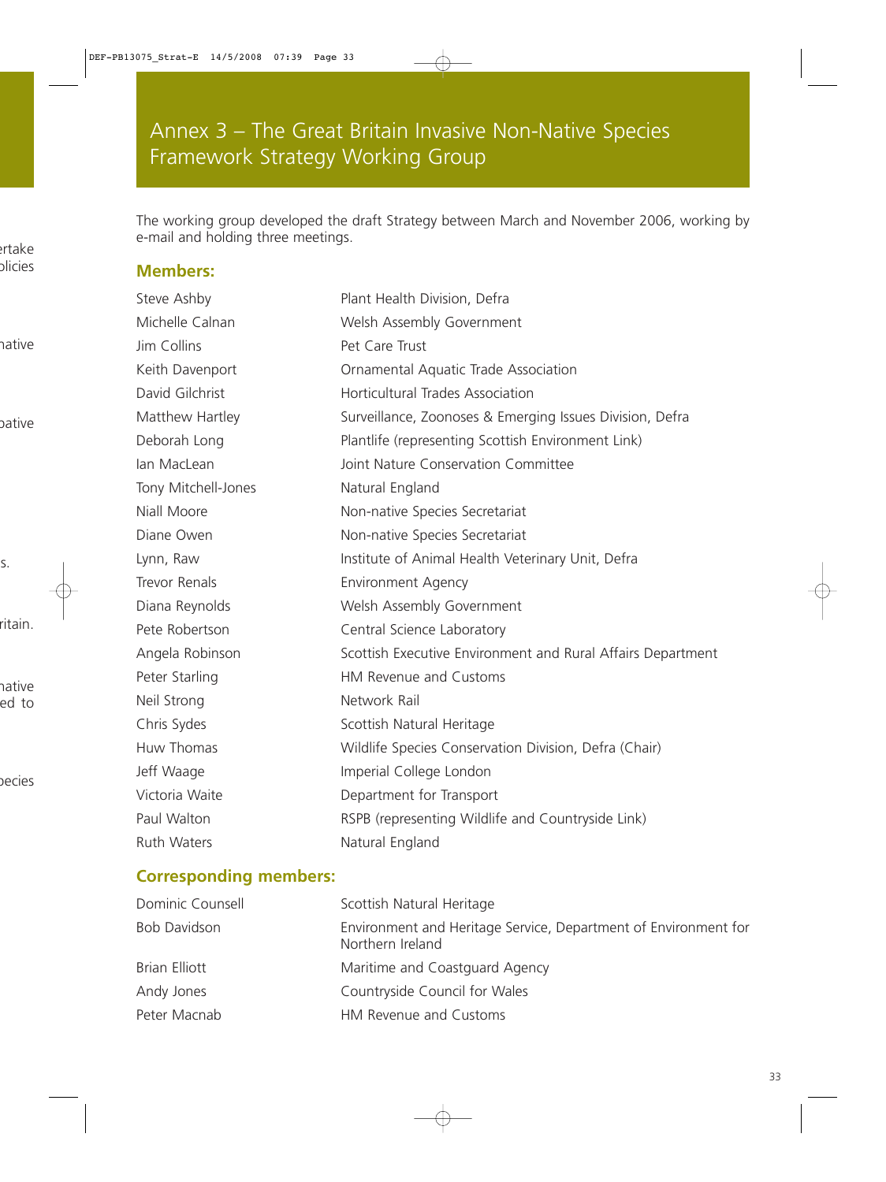The working group developed the draft Strategy between March and November 2006, working by e-mail and holding three meetings.

## **Members:**

Steve Ashby **Plant Health Division, Defra** Michelle Calnan Welsh Assembly Government Jim Collins Pet Care Trust Keith Davenport Ornamental Aquatic Trade Association David Gilchrist **Horticultural Trades Association** Matthew Hartley Surveillance, Zoonoses & Emerging Issues Division, Defra Deborah Long Plantlife (representing Scottish Environment Link) Ian MacLean Joint Nature Conservation Committee Tony Mitchell-Jones Natural England Niall Moore Non-native Species Secretariat Diane Owen Non-native Species Secretariat Lynn, Raw Institute of Animal Health Veterinary Unit, Defra Trevor Renals Environment Agency Diana Reynolds Welsh Assembly Government Pete Robertson **Central Science Laboratory** Angela Robinson Scottish Executive Environment and Rural Affairs Department Peter Starling **HM** Revenue and Customs Neil Strong Network Rail Chris Sydes Scottish Natural Heritage Huw Thomas Wildlife Species Conservation Division, Defra (Chair) Jeff Waage **Imperial College London** Victoria Waite **Department for Transport** Paul Walton **RSPB** (representing Wildlife and Countryside Link) Ruth Waters **Natural England** 

## **Corresponding members:**

| Dominic Counsell    | Scottish Natural Heritage                                                           |
|---------------------|-------------------------------------------------------------------------------------|
| <b>Bob Davidson</b> | Environment and Heritage Service, Department of Environment for<br>Northern Ireland |
| Brian Elliott       | Maritime and Coastguard Agency                                                      |
| Andy Jones          | Countryside Council for Wales                                                       |
| Peter Macnab        | HM Revenue and Customs                                                              |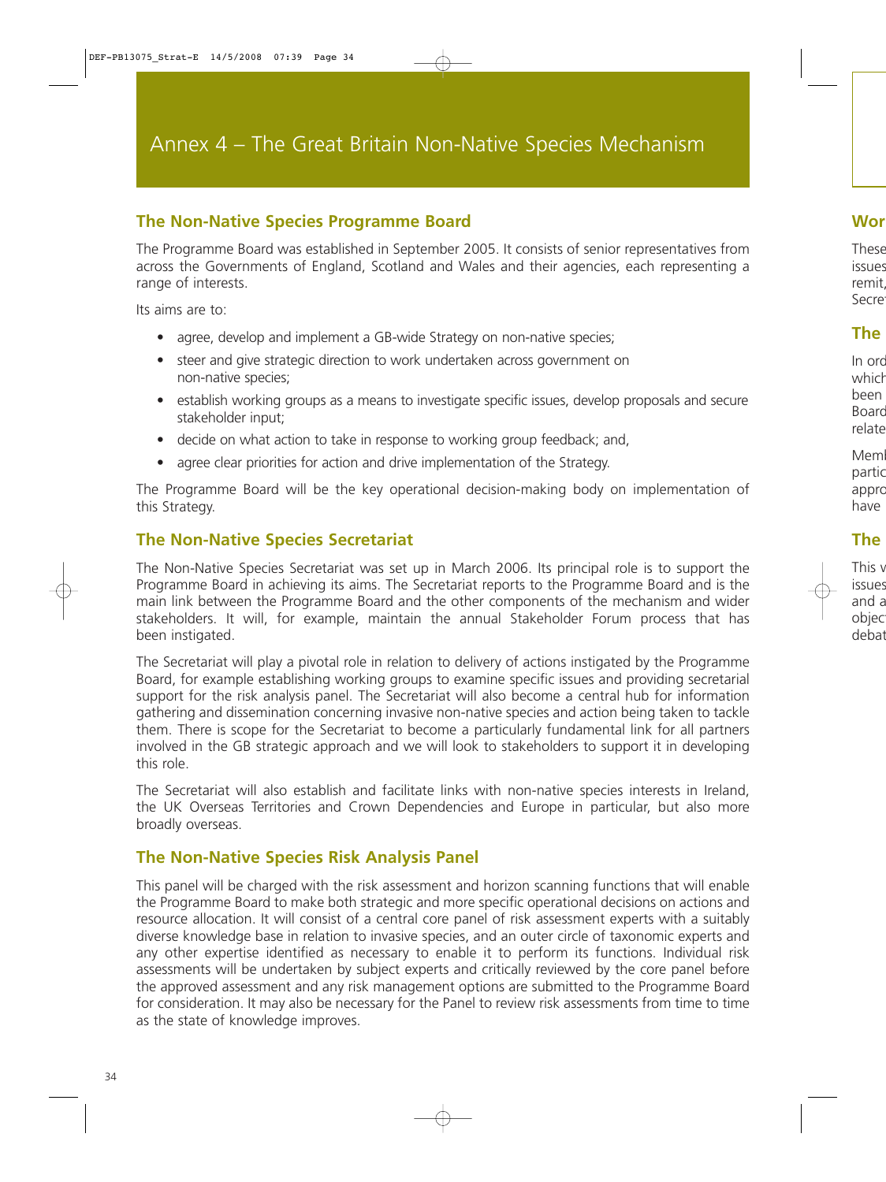## **The Non-Native Species Programme Board**

The Programme Board was established in September 2005. It consists of senior representatives from across the Governments of England, Scotland and Wales and their agencies, each representing a range of interests.

Its aims are to:

- agree, develop and implement a GB-wide Strategy on non-native species;
- steer and give strategic direction to work undertaken across government on non-native species;
- establish working groups as a means to investigate specific issues, develop proposals and secure stakeholder input;
- decide on what action to take in response to working group feedback; and,
- agree clear priorities for action and drive implementation of the Strategy.

The Programme Board will be the key operational decision-making body on implementation of this Strategy.

## **The Non-Native Species Secretariat**

The Non-Native Species Secretariat was set up in March 2006. Its principal role is to support the Programme Board in achieving its aims. The Secretariat reports to the Programme Board and is the main link between the Programme Board and the other components of the mechanism and wider stakeholders. It will, for example, maintain the annual Stakeholder Forum process that has been instigated.

The Secretariat will play a pivotal role in relation to delivery of actions instigated by the Programme Board, for example establishing working groups to examine specific issues and providing secretarial support for the risk analysis panel. The Secretariat will also become a central hub for information gathering and dissemination concerning invasive non-native species and action being taken to tackle them. There is scope for the Secretariat to become a particularly fundamental link for all partners involved in the GB strategic approach and we will look to stakeholders to support it in developing this role.

The Secretariat will also establish and facilitate links with non-native species interests in Ireland, the UK Overseas Territories and Crown Dependencies and Europe in particular, but also more broadly overseas.

## **The Non-Native Species Risk Analysis Panel**

This panel will be charged with the risk assessment and horizon scanning functions that will enable the Programme Board to make both strategic and more specific operational decisions on actions and resource allocation. It will consist of a central core panel of risk assessment experts with a suitably diverse knowledge base in relation to invasive species, and an outer circle of taxonomic experts and any other expertise identified as necessary to enable it to perform its functions. Individual risk assessments will be undertaken by subject experts and critically reviewed by the core panel before the approved assessment and any risk management options are submitted to the Programme Board for consideration. It may also be necessary for the Panel to review risk assessments from time to time as the state of knowledge improves.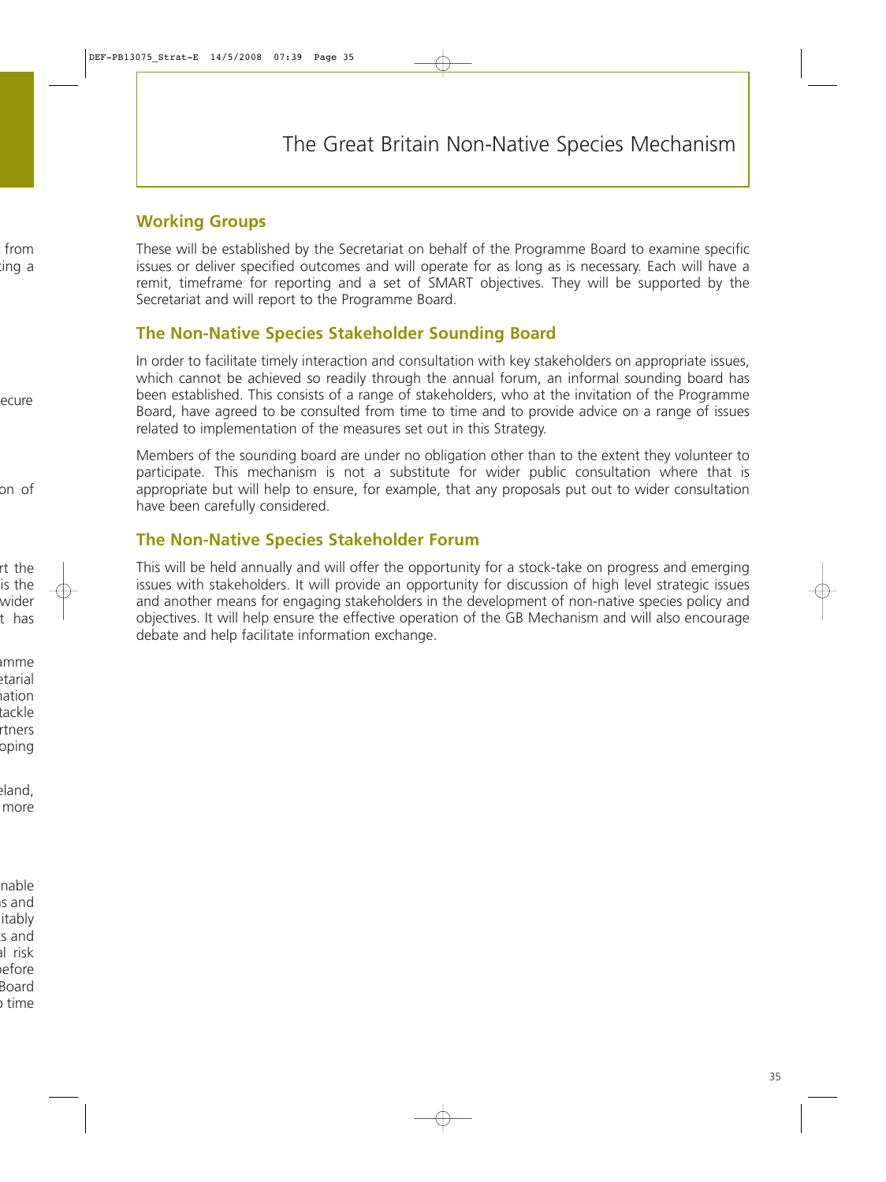## **Working Groups**

These will be established by the Secretariat on behalf of the Programme Board to examine specific issues or deliver specified outcomes and will operate for as long as is necessary. Each will have a remit, timeframe for reporting and a set of SMART objectives. They will be supported by the Secretariat and will report to the Programme Board.

## **The Non-Native Species Stakeholder Sounding Board**

In order to facilitate timely interaction and consultation with key stakeholders on appropriate issues, which cannot be achieved so readily through the annual forum, an informal sounding board has been established. This consists of a range of stakeholders, who at the invitation of the Programme Board, have agreed to be consulted from time to time and to provide advice on a range of issues related to implementation of the measures set out in this Strategy.

Members of the sounding board are under no obligation other than to the extent they volunteer to participate. This mechanism is not a substitute for wider public consultation where that is appropriate but will help to ensure, for example, that any proposals put out to wider consultation have been carefully considered.

## **The Non-Native Species Stakeholder Forum**

This will be held annually and will offer the opportunity for a stock-take on progress and emerging issues with stakeholders. It will provide an opportunity for discussion of high level strategic issues and another means for engaging stakeholders in the development of non-native species policy and objectives. It will help ensure the effective operation of the GB Mechanism and will also encourage debate and help facilitate information exchange.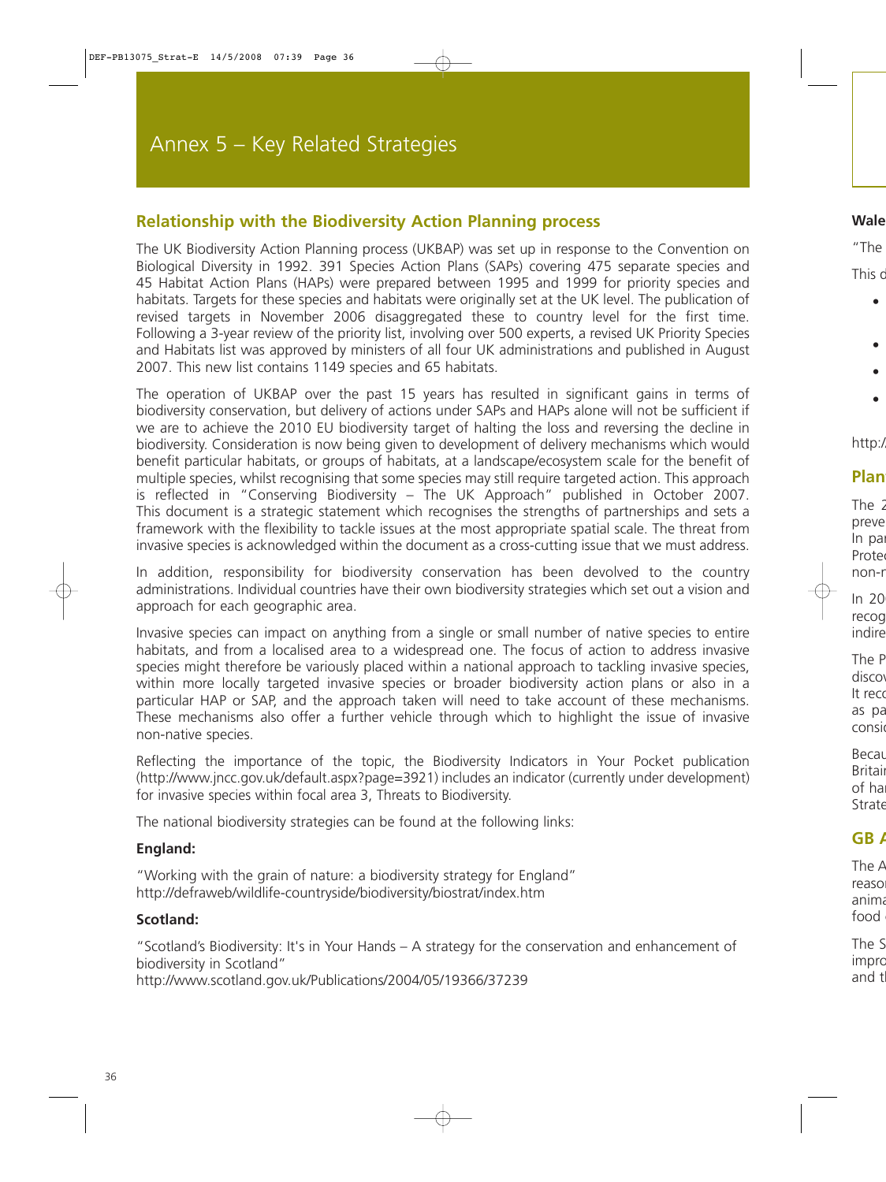## **Relationship with the Biodiversity Action Planning process**

The UK Biodiversity Action Planning process (UKBAP) was set up in response to the Convention on Biological Diversity in 1992. 391 Species Action Plans (SAPs) covering 475 separate species and 45 Habitat Action Plans (HAPs) were prepared between 1995 and 1999 for priority species and habitats. Targets for these species and habitats were originally set at the UK level. The publication of revised targets in November 2006 disaggregated these to country level for the first time. Following a 3-year review of the priority list, involving over 500 experts, a revised UK Priority Species and Habitats list was approved by ministers of all four UK administrations and published in August 2007. This new list contains 1149 species and 65 habitats.

The operation of UKBAP over the past 15 years has resulted in significant gains in terms of biodiversity conservation, but delivery of actions under SAPs and HAPs alone will not be sufficient if we are to achieve the 2010 EU biodiversity target of halting the loss and reversing the decline in biodiversity. Consideration is now being given to development of delivery mechanisms which would benefit particular habitats, or groups of habitats, at a landscape/ecosystem scale for the benefit of multiple species, whilst recognising that some species may still require targeted action. This approach is reflected in "Conserving Biodiversity – The UK Approach" published in October 2007. This document is a strategic statement which recognises the strengths of partnerships and sets a framework with the flexibility to tackle issues at the most appropriate spatial scale. The threat from invasive species is acknowledged within the document as a cross-cutting issue that we must address.

In addition, responsibility for biodiversity conservation has been devolved to the country administrations. Individual countries have their own biodiversity strategies which set out a vision and approach for each geographic area.

Invasive species can impact on anything from a single or small number of native species to entire habitats, and from a localised area to a widespread one. The focus of action to address invasive species might therefore be variously placed within a national approach to tackling invasive species, within more locally targeted invasive species or broader biodiversity action plans or also in a particular HAP or SAP, and the approach taken will need to take account of these mechanisms. These mechanisms also offer a further vehicle through which to highlight the issue of invasive non-native species.

Reflecting the importance of the topic, the Biodiversity Indicators in Your Pocket publication [\(http://www.jncc.gov.uk/default.aspx?page=3921\)](http://www.jncc.gov.uk/default.aspx?page=3921) includes an indicator (currently under development) for invasive species within focal area 3, Threats to Biodiversity.

The national biodiversity strategies can be found at the following links:

#### **England:**

"Working with the grain of nature: a biodiversity strategy for England" [http://defraweb/wildlife-countryside/biodiversity/biostrat/index.htm](http://www.defra.gov.uk/wildlife-countryside/biodiversity/biostrat/index.htm)

#### **Scotland:**

"Scotland's Biodiversity: It's in Your Hands – A strategy for the conservation and enhancement of biodiversity in Scotland"

<http://www.scotland.gov.uk/Publications/2004/05/19366/37239>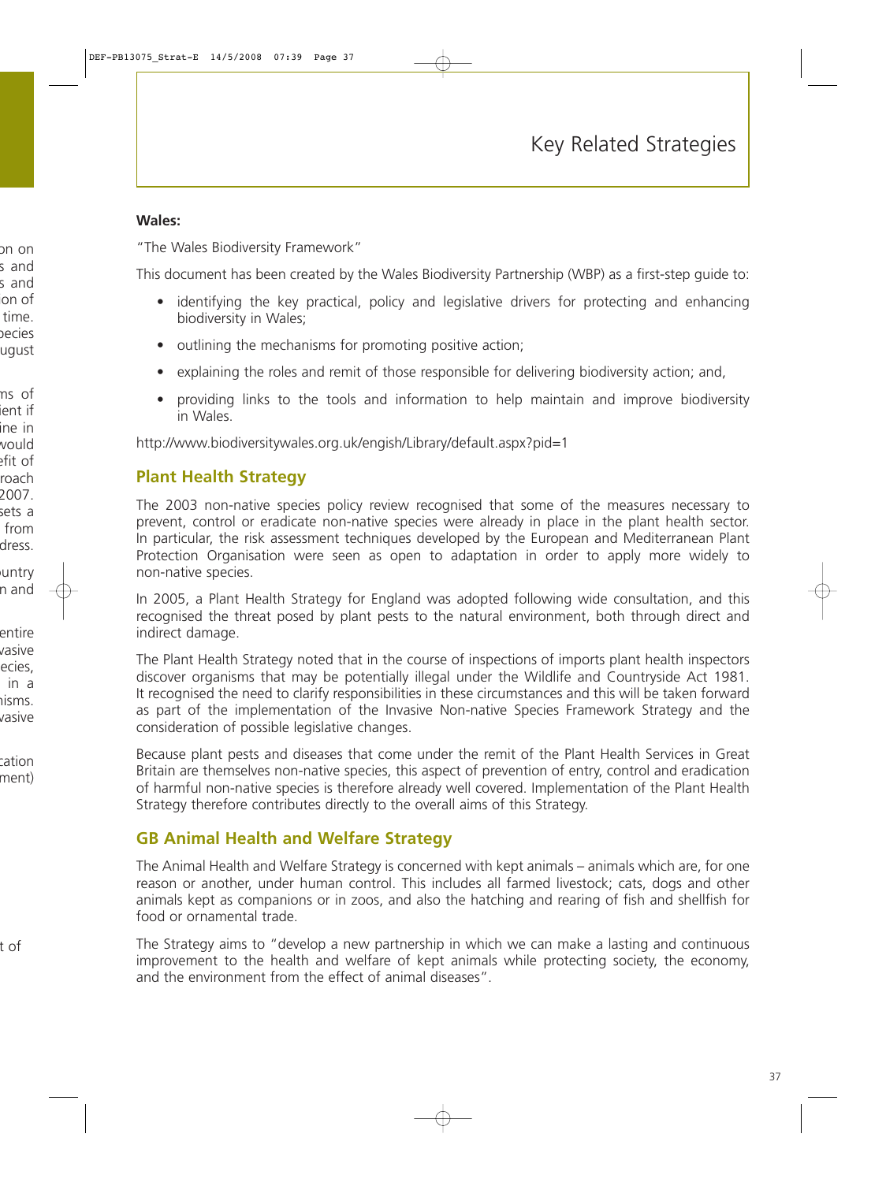#### **Wales:**

"The Wales Biodiversity Framework"

This document has been created by the Wales Biodiversity Partnership (WBP) as a first-step guide to:

- identifying the key practical, policy and legislative drivers for protecting and enhancing biodiversity in Wales;
- outlining the mechanisms for promoting positive action:
- explaining the roles and remit of those responsible for delivering biodiversity action; and,
- providing links to the tools and information to help maintain and improve biodiversity in Wales.

[http://www.biodiversitywales.org.uk/engish/Library/default.aspx?pid=1](http://www.biodiversitywales.org.uk/english/Library/default.aspx?pid=1)

## **Plant Health Strategy**

The 2003 non-native species policy review recognised that some of the measures necessary to prevent, control or eradicate non-native species were already in place in the plant health sector. In particular, the risk assessment techniques developed by the European and Mediterranean Plant Protection Organisation were seen as open to adaptation in order to apply more widely to non-native species.

In 2005, a Plant Health Strategy for England was adopted following wide consultation, and this recognised the threat posed by plant pests to the natural environment, both through direct and indirect damage.

The Plant Health Strategy noted that in the course of inspections of imports plant health inspectors discover organisms that may be potentially illegal under the Wildlife and Countryside Act 1981. It recognised the need to clarify responsibilities in these circumstances and this will be taken forward as part of the implementation of the Invasive Non-native Species Framework Strategy and the consideration of possible legislative changes.

Because plant pests and diseases that come under the remit of the Plant Health Services in Great Britain are themselves non-native species, this aspect of prevention of entry, control and eradication of harmful non-native species is therefore already well covered. Implementation of the Plant Health Strategy therefore contributes directly to the overall aims of this Strategy.

## **GB Animal Health and Welfare Strategy**

The Animal Health and Welfare Strategy is concerned with kept animals – animals which are, for one reason or another, under human control. This includes all farmed livestock; cats, dogs and other animals kept as companions or in zoos, and also the hatching and rearing of fish and shellfish for food or ornamental trade.

The Strategy aims to "develop a new partnership in which we can make a lasting and continuous improvement to the health and welfare of kept animals while protecting society, the economy, and the environment from the effect of animal diseases".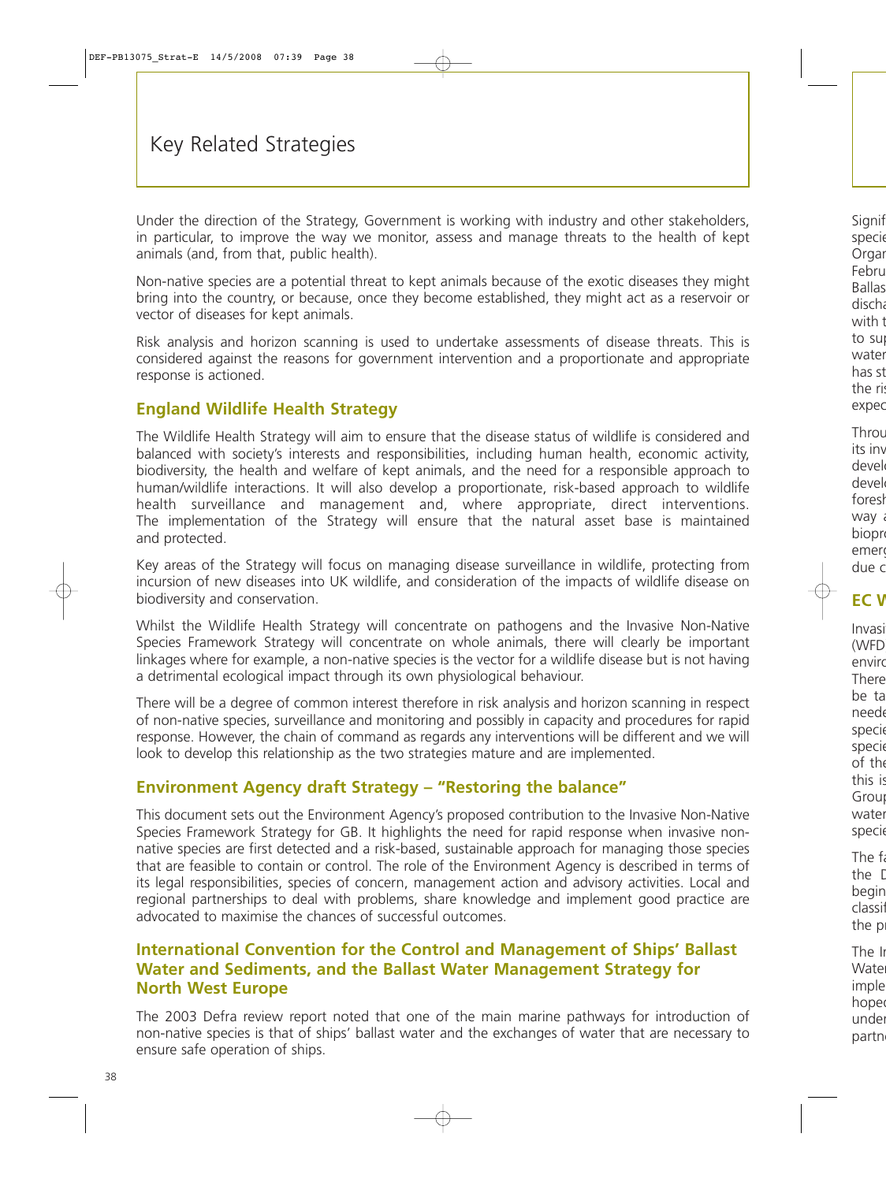Under the direction of the Strategy, Government is working with industry and other stakeholders, in particular, to improve the way we monitor, assess and manage threats to the health of kept animals (and, from that, public health).

Non-native species are a potential threat to kept animals because of the exotic diseases they might bring into the country, or because, once they become established, they might act as a reservoir or vector of diseases for kept animals.

Risk analysis and horizon scanning is used to undertake assessments of disease threats. This is considered against the reasons for government intervention and a proportionate and appropriate response is actioned.

## **England Wildlife Health Strategy**

The Wildlife Health Strategy will aim to ensure that the disease status of wildlife is considered and balanced with society's interests and responsibilities, including human health, economic activity, biodiversity, the health and welfare of kept animals, and the need for a responsible approach to human/wildlife interactions. It will also develop a proportionate, risk-based approach to wildlife health surveillance and management and, where appropriate, direct interventions. The implementation of the Strategy will ensure that the natural asset base is maintained and protected.

Key areas of the Strategy will focus on managing disease surveillance in wildlife, protecting from incursion of new diseases into UK wildlife, and consideration of the impacts of wildlife disease on biodiversity and conservation.

Whilst the Wildlife Health Strategy will concentrate on pathogens and the Invasive Non-Native Species Framework Strategy will concentrate on whole animals, there will clearly be important linkages where for example, a non-native species is the vector for a wildlife disease but is not having a detrimental ecological impact through its own physiological behaviour.

There will be a degree of common interest therefore in risk analysis and horizon scanning in respect of non-native species, surveillance and monitoring and possibly in capacity and procedures for rapid response. However, the chain of command as regards any interventions will be different and we will look to develop this relationship as the two strategies mature and are implemented.

## **Environment Agency draft Strategy – "Restoring the balance"**

This document sets out the Environment Agency's proposed contribution to the Invasive Non-Native Species Framework Strategy for GB. It highlights the need for rapid response when invasive nonnative species are first detected and a risk-based, sustainable approach for managing those species that are feasible to contain or control. The role of the Environment Agency is described in terms of its legal responsibilities, species of concern, management action and advisory activities. Local and regional partnerships to deal with problems, share knowledge and implement good practice are advocated to maximise the chances of successful outcomes.

## **International Convention for the Control and Management of Ships' Ballast Water and Sediments, and the Ballast Water Management Strategy for North West Europe**

The 2003 Defra review report noted that one of the main marine pathways for introduction of non-native species is that of ships' ballast water and the exchanges of water that are necessary to ensure safe operation of ships.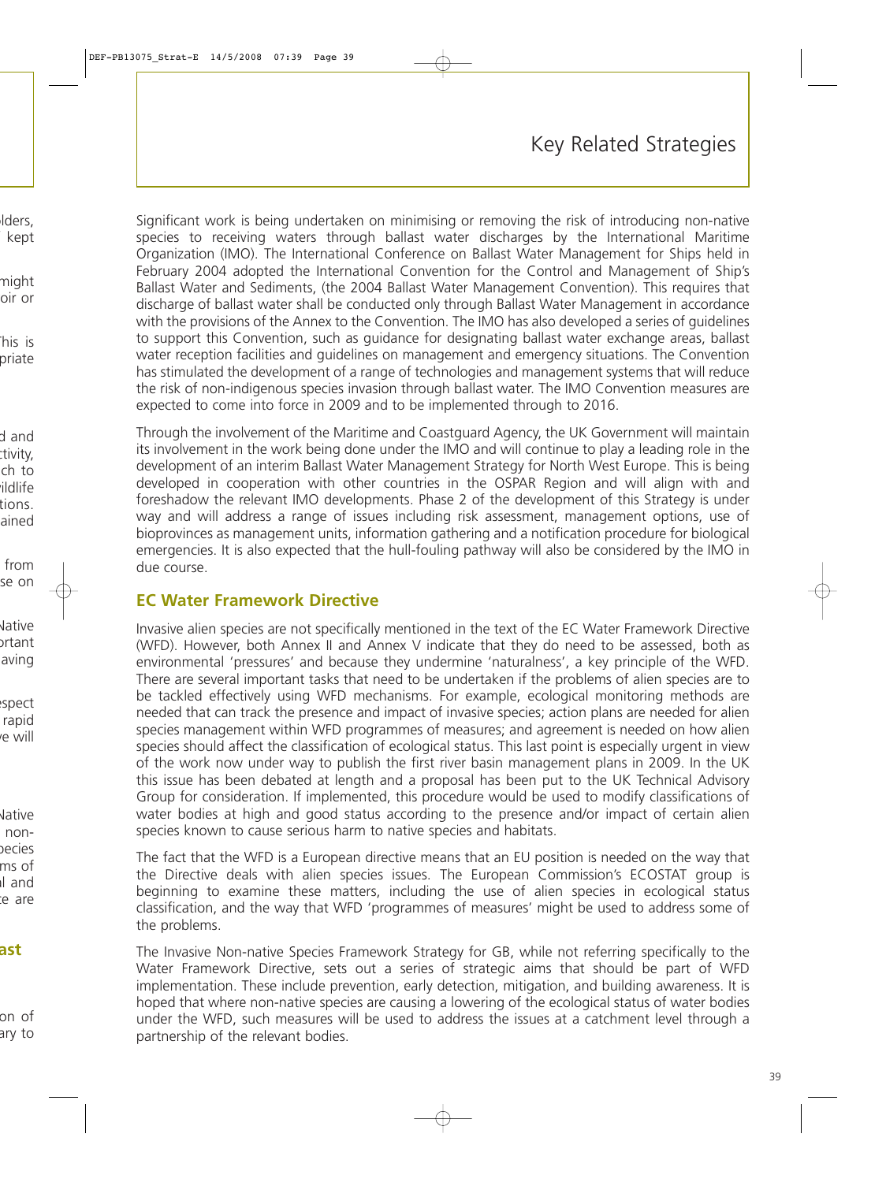Significant work is being undertaken on minimising or removing the risk of introducing non-native species to receiving waters through ballast water discharges by the International Maritime Organization (IMO). The International Conference on Ballast Water Management for Ships held in February 2004 adopted the International Convention for the Control and Management of Ship's Ballast Water and Sediments, (the 2004 Ballast Water Management Convention). This requires that discharge of ballast water shall be conducted only through Ballast Water Management in accordance with the provisions of the Annex to the Convention. The IMO has also developed a series of guidelines to support this Convention, such as guidance for designating ballast water exchange areas, ballast water reception facilities and guidelines on management and emergency situations. The Convention has stimulated the development of a range of technologies and management systems that will reduce the risk of non-indigenous species invasion through ballast water. The IMO Convention measures are expected to come into force in 2009 and to be implemented through to 2016.

Through the involvement of the Maritime and Coastguard Agency, the UK Government will maintain its involvement in the work being done under the IMO and will continue to play a leading role in the development of an interim Ballast Water Management Strategy for North West Europe. This is being developed in cooperation with other countries in the OSPAR Region and will align with and foreshadow the relevant IMO developments. Phase 2 of the development of this Strategy is under way and will address a range of issues including risk assessment, management options, use of bioprovinces as management units, information gathering and a notification procedure for biological emergencies. It is also expected that the hull-fouling pathway will also be considered by the IMO in due course.

## **EC Water Framework Directive**

Invasive alien species are not specifically mentioned in the text of the EC Water Framework Directive (WFD). However, both Annex II and Annex V indicate that they do need to be assessed, both as environmental 'pressures' and because they undermine 'naturalness', a key principle of the WFD. There are several important tasks that need to be undertaken if the problems of alien species are to be tackled effectively using WFD mechanisms. For example, ecological monitoring methods are needed that can track the presence and impact of invasive species; action plans are needed for alien species management within WFD programmes of measures; and agreement is needed on how alien species should affect the classification of ecological status. This last point is especially urgent in view of the work now under way to publish the first river basin management plans in 2009. In the UK this issue has been debated at length and a proposal has been put to the UK Technical Advisory Group for consideration. If implemented, this procedure would be used to modify classifications of water bodies at high and good status according to the presence and/or impact of certain alien species known to cause serious harm to native species and habitats.

The fact that the WFD is a European directive means that an EU position is needed on the way that the Directive deals with alien species issues. The European Commission's ECOSTAT group is beginning to examine these matters, including the use of alien species in ecological status classification, and the way that WFD 'programmes of measures' might be used to address some of the problems.

The Invasive Non-native Species Framework Strategy for GB, while not referring specifically to the Water Framework Directive, sets out a series of strategic aims that should be part of WFD implementation. These include prevention, early detection, mitigation, and building awareness. It is hoped that where non-native species are causing a lowering of the ecological status of water bodies under the WFD, such measures will be used to address the issues at a catchment level through a partnership of the relevant bodies.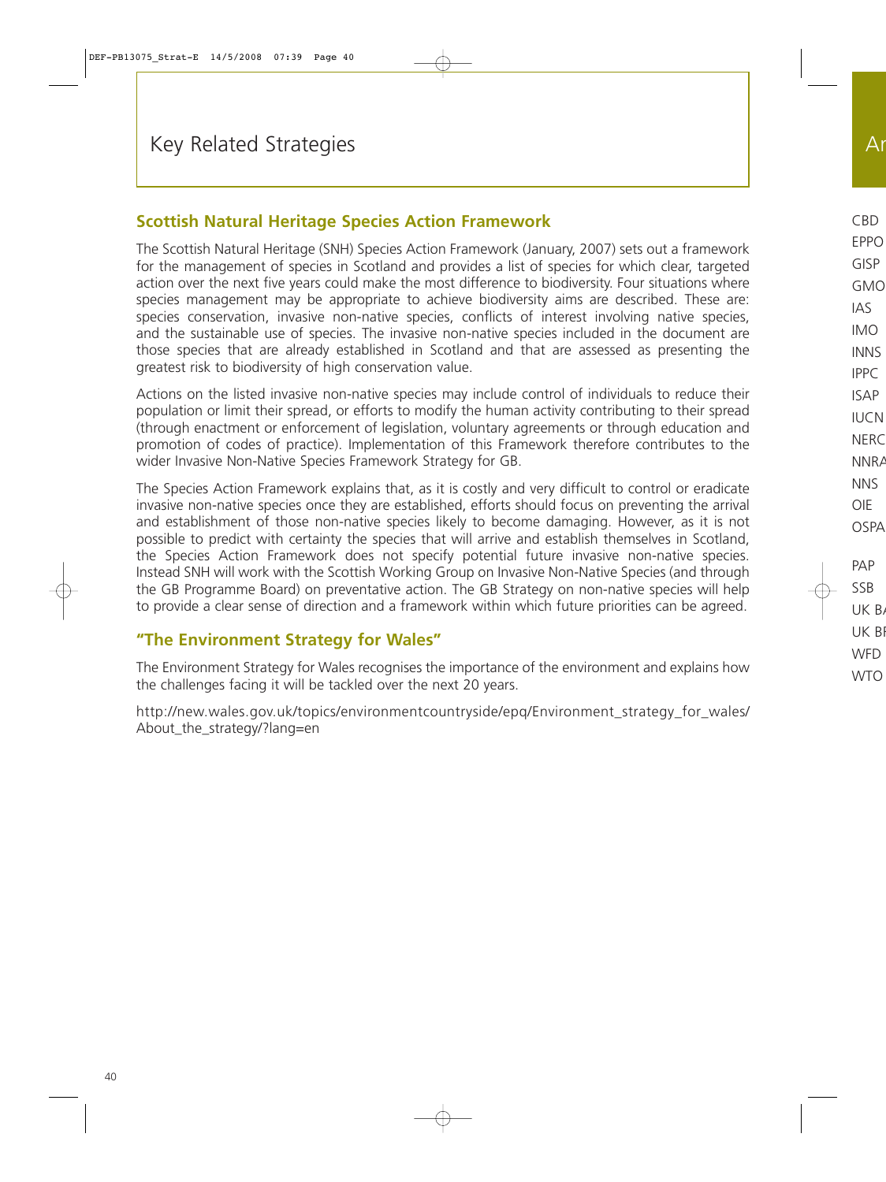## **Scottish Natural Heritage Species Action Framework**

The Scottish Natural Heritage (SNH) Species Action Framework (January, 2007) sets out a framework for the management of species in Scotland and provides a list of species for which clear, targeted action over the next five years could make the most difference to biodiversity. Four situations where species management may be appropriate to achieve biodiversity aims are described. These are: species conservation, invasive non-native species, conflicts of interest involving native species, and the sustainable use of species. The invasive non-native species included in the document are those species that are already established in Scotland and that are assessed as presenting the greatest risk to biodiversity of high conservation value.

Actions on the listed invasive non-native species may include control of individuals to reduce their population or limit their spread, or efforts to modify the human activity contributing to their spread (through enactment or enforcement of legislation, voluntary agreements or through education and promotion of codes of practice). Implementation of this Framework therefore contributes to the wider Invasive Non-Native Species Framework Strategy for GB.

The Species Action Framework explains that, as it is costly and very difficult to control or eradicate invasive non-native species once they are established, efforts should focus on preventing the arrival and establishment of those non-native species likely to become damaging. However, as it is not possible to predict with certainty the species that will arrive and establish themselves in Scotland, the Species Action Framework does not specify potential future invasive non-native species. Instead SNH will work with the Scottish Working Group on Invasive Non-Native Species (and through the GB Programme Board) on preventative action. The GB Strategy on non-native species will help to provide a clear sense of direction and a framework within which future priorities can be agreed.

## **"The Environment Strategy for Wales"**

The Environment Strategy for Wales recognises the importance of the environment and explains how the challenges facing it will be tackled over the next 20 years.

http://new.wales.gov.uk/topics/environmentcountryside/epg/Environment\_strategy\_for\_wales/ About\_the\_strategy/?lang=en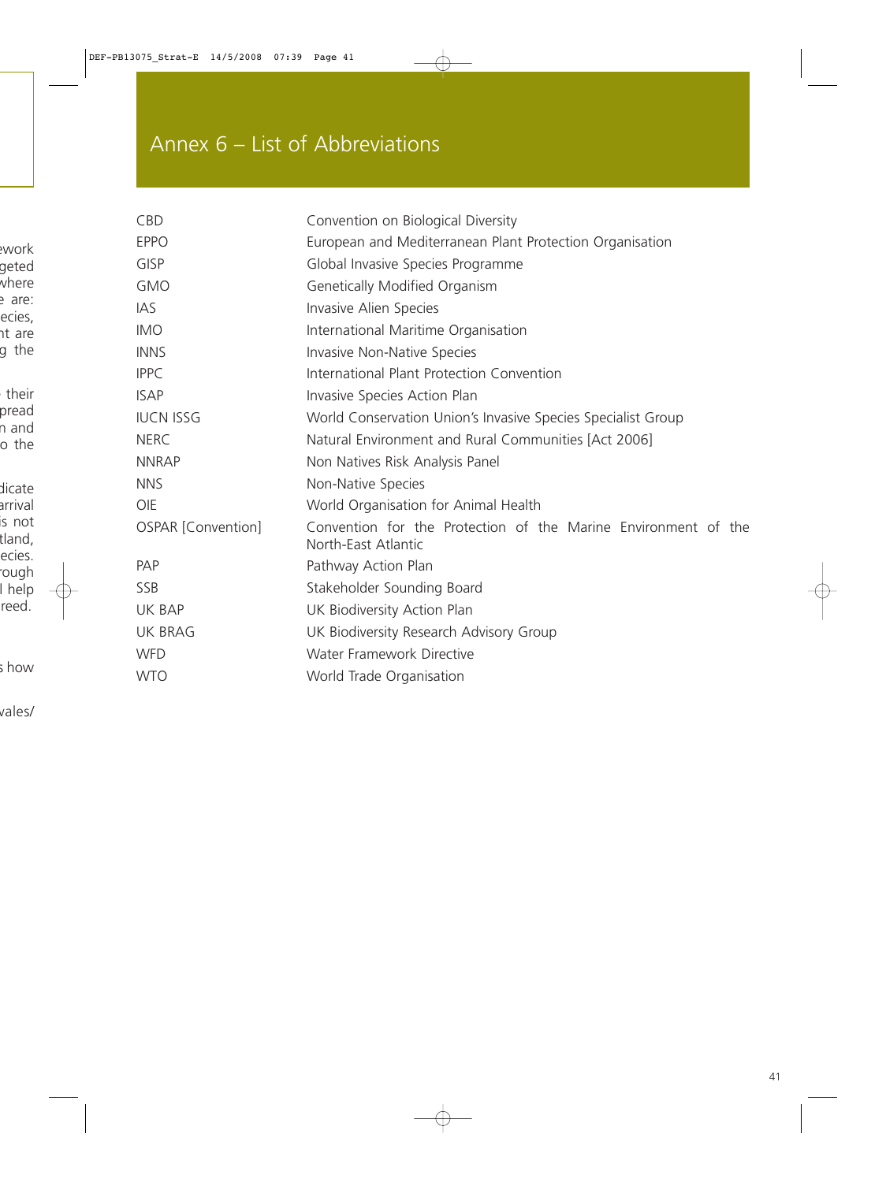# Annex 6 – List of Abbreviations

| <b>CBD</b>         | Convention on Biological Diversity                                                    |
|--------------------|---------------------------------------------------------------------------------------|
| <b>EPPO</b>        | European and Mediterranean Plant Protection Organisation                              |
| <b>GISP</b>        | Global Invasive Species Programme                                                     |
| <b>GMO</b>         | Genetically Modified Organism                                                         |
| <b>IAS</b>         | Invasive Alien Species                                                                |
| <b>IMO</b>         | International Maritime Organisation                                                   |
| <b>INNS</b>        | <b>Invasive Non-Native Species</b>                                                    |
| <b>IPPC</b>        | International Plant Protection Convention                                             |
| <b>ISAP</b>        | Invasive Species Action Plan                                                          |
| <b>IUCN ISSG</b>   | World Conservation Union's Invasive Species Specialist Group                          |
| <b>NERC</b>        | Natural Environment and Rural Communities [Act 2006]                                  |
| <b>NNRAP</b>       | Non Natives Risk Analysis Panel                                                       |
| <b>NNS</b>         | Non-Native Species                                                                    |
| OIE                | World Organisation for Animal Health                                                  |
| OSPAR [Convention] | Convention for the Protection of the Marine Environment of the<br>North-East Atlantic |
| PAP                | Pathway Action Plan                                                                   |
| <b>SSB</b>         | Stakeholder Sounding Board                                                            |
| UK BAP             | UK Biodiversity Action Plan                                                           |
| <b>UK BRAG</b>     | UK Biodiversity Research Advisory Group                                               |
| <b>WFD</b>         | Water Framework Directive                                                             |
| <b>WTO</b>         | World Trade Organisation                                                              |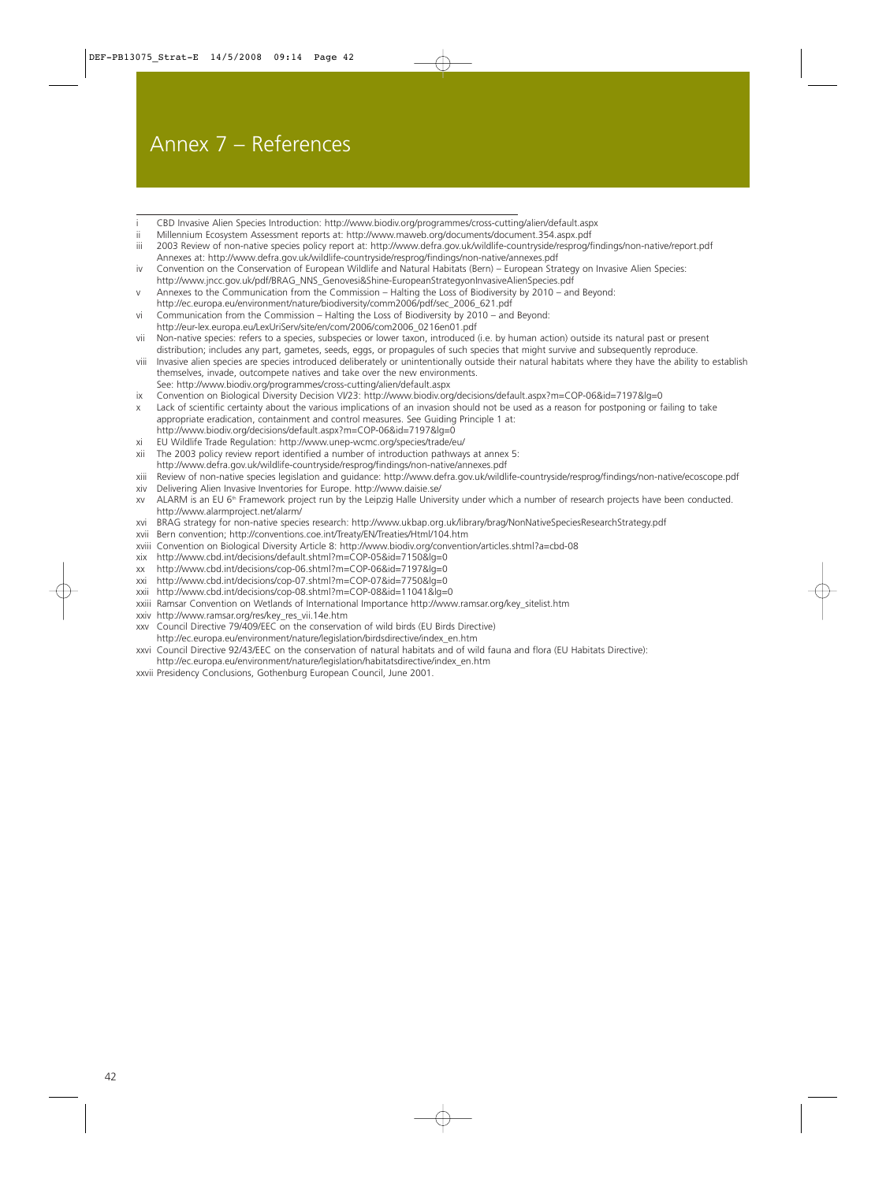# Annex 7 – References

- CBD Invasive Alien Species Introduction: <http://www.biodiv.org/programmes/cross-cutting/alien/default.aspx>
- ii Millennium Ecosystem Assessment reports at:<http://www.maweb.org/documents/document.354.aspx.pdf>
- iii 2003 Review of non-native species policy report at: <http://www.defra.gov.uk/wildlife-countryside/resprog/findings/non-native/report.pdf> Annexes at: <http://www.defra.gov.uk/wildlife-countryside/resprog/findings/non-native/annexes.pdf>
- iv Convention on the Conservation of European Wildlife and Natural Habitats (Bern) European Strategy on Invasive Alien Species: [http://www.jncc.gov.uk/pdf/BRAG\\_NNS\\_Genovesi&Shine-EuropeanStrategyonInvasiveAlienSpecies.pdf](http://www.jncc.gov.uk/pdf/BRAG_NNS_Genovesi&Shine-EuropeanStrategyonInvasiveAlienSpecies.pdf)
- v Annexes to the Communication from the Commission Halting the Loss of Biodiversity by 2010 and Beyond:
- [http://ec.europa.eu/environment/nature/biodiversity/comm2006/pdf/sec\\_2006\\_621.pdf](http://ec.europa.eu/environment/nature/biodiversity/comm2006/pdf/sec_2006_621.pdf) vi Communication from the Commission – Halting the Loss of Biodiversity by 2010 – and Beyond:
- [http://eur-lex.europa.eu/LexUriServ/site/en/com/2006/com2006\\_0216en01.pdf](http://eur-lex.europa.eu/LexUriServ/site/en/com/2006/com2006_0216en01.pdf)
- vii Non-native species: refers to a species, subspecies or lower taxon, introduced (i.e. by human action) outside its natural past or present distribution; includes any part, gametes, seeds, eggs, or propagules of such species that might survive and subsequently reproduce.
- viii Invasive alien species are species introduced deliberately or unintentionally outside their natural habitats where they have the ability to establish themselves, invade, outcompete natives and take over the new environments.
- See: <http://www.biodiv.org/programmes/cross-cutting/alien/default.aspx>
- ix Convention on Biological Diversity Decision VI/23: <http://www.biodiv.org/decisions/default.aspx?m=COP-06&id=7197&lg=0>
- Lack of scientific certainty about the various implications of an invasion should not be used as a reason for postponing or failing to take appropriate eradication, containment and control measures. See Guiding Principle 1 at: <http://www.biodiv.org/decisions/default.aspx?m=COP-06&id=7197&lg=0>
- xi EU Wildlife Trade Regulation: [http://www.unep-wcmc.org/species/trade/eu/](http://www.unep-wcmc.org/species/trade/eu)
- xii The 2003 policy review report identified a number of introduction pathways at annex 5:
- <http://www.defra.gov.uk/wildlife-countryside/resprog/findings/non-native/annexes.pdf>
- xiii Review of non-native species legislation and guidance: <http://www.defra.gov.uk/wildlife-countryside/resprog/findings/non-native/ecoscope.pdf> xiv Delivering Alien Invasive Inventories for Europe. [http://www.daisie.se/](http://www.daisie.se)
- xv ALARM is an EU 6<sup>th</sup> Framework project run by the Leipzig Halle University under which a number of research projects have been conducted. [http://www.alarmproject.net/alarm/](http://www.alarmproject.net/alarm)
- xvi BRAG strategy for non-native species research: <http://www.ukbap.org.uk/library/brag/NonNativeSpeciesResearchStrategy.pdf>
- xvii Bern convention; <http://conventions.coe.int/Treaty/EN/Treaties/Html/104.htm>
- xviii Convention on Biological Diversity Article 8: <http://www.biodiv.org/convention/articles.shtml?a=cbd-08>
- xix<http://www.cbd.int/decisions/default.shtml?m=COP-05&id=7150&lg=0>
- xx<http://www.cbd.int/decisions/cop-06.shtml?m=COP-06&id=7197&lg=0>
- xxi<http://www.cbd.int/decisions/cop-07.shtml?m=COP-07&id=7750&lg=0>
- xxii<http://www.cbd.int/decisions/cop-08.shtml?m=COP-08&id=11041&lg=0>
- xxiii Ramsar Convention on Wetlands of International Importance [http://www.ramsar.org/key\\_sitelist.htm](http://www.ramsar.org/key_sitelist.htm)
- xxiv [http://www.ramsar.org/res/key\\_res\\_vii.14e.htm](http://www.ramsar.org/res/key_res_vii.14e.htm)
- xxv Council Directive 79/409/EEC on the conservation of wild birds (EU Birds Directive)
- [http://ec.europa.eu/environment/nature/legislation/birdsdirective/index\\_en.htm](http://ec.europa.eu/environment/nature/legislation/birdsdirective/index_en.htm) xxvi Council Directive 92/43/EEC on the conservation of natural habitats and of wild fauna and flora (EU Habitats Directive):
- [http://ec.europa.eu/environment/nature/legislation/habitatsdirective/index\\_en.htm](http://ec.europa.eu/environment/nature/legislation/habitatsdirective/index_en.htm)
- xxvii Presidency Conclusions, Gothenburg European Council, June 2001.